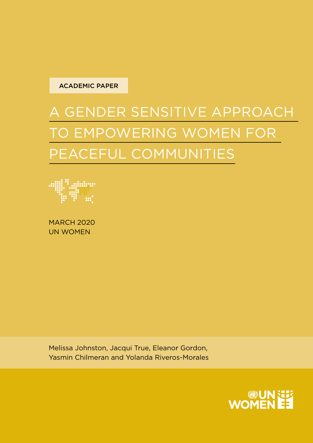

# A GENDER SENSITIVE APPROACH TO EMPOWERING WOMEN FOR PEACEFUL COMMUNITIES



MARCH 2020 UN WOMEN

Melissa Johnston, Jacqui True, Eleanor Gordon, Yasmin Chilmeran and Yolanda Riveros-Morales

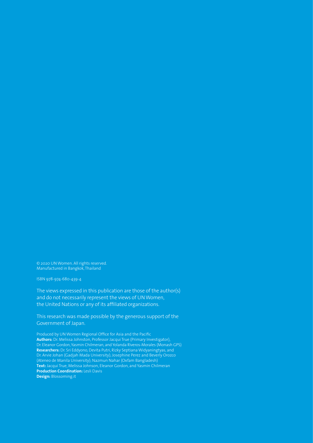© 2020 UN Women. All rights reserved. Manufactured in Bangkok, Thailand

ISBN 978-974-680-439-4

The views expressed in this publication are those of the author(s) and do not necessarily represent the views of UN Women, the United Nations or any of its affiliated organizations.

This research was made possible by the generous support of the Government of Japan.

Produced by UN Women Regional Office for Asia and the Pacific **Authors:** Dr. Melissa Johnston, Professor Jacqui True (Primary Investigator), Dr. Eleanor Gordon, Yasmin Chilmeran, and Yolanda Riveros-Morales (Monash GPS) **Researchers:** Dr. Sri Eddyono, Devita Putri, Rizky Septiana Widyaningtyas, and Dr. Arvie Johan (Gadjah Mada University); Josephine Perez and Beverly Orozco (Ateneo de Manila University); Nazmun Nahar (Oxfam Bangladesh) **Text:** Jacqui True, Melissa Johnson, Eleanor Gordon, and Yasmin Chilmeran **Production Coordination:** Lesli Davis **Design:** Blossoming.it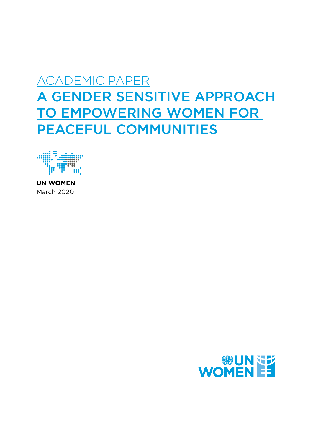## ACADEMIC PAPER A GENDER SENSITIVE APPROACH TO EMPOWERING WOMEN FOR PEACEFUL COMMUNITIES



**UN WOMEN** March 2020

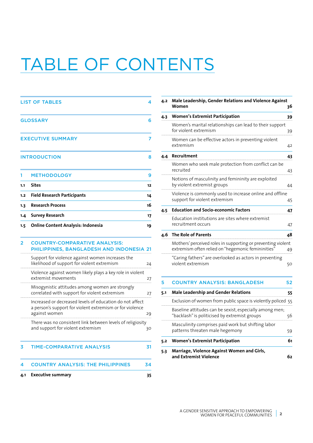# TABLE OF CONTENTS

|                | <b>LIST OF TABLES</b>                                                                                                                 | 4  |
|----------------|---------------------------------------------------------------------------------------------------------------------------------------|----|
|                | <b>GLOSSARY</b>                                                                                                                       | 6  |
|                | <b>EXECUTIVE SUMMARY</b>                                                                                                              | 7  |
|                | <b>INTRODUCTION</b>                                                                                                                   | 8  |
| 1              | <b>METHODOLOGY</b>                                                                                                                    | 9  |
| 1.1            | Sites                                                                                                                                 | 12 |
| 1.2            | <b>Field Research Participants</b>                                                                                                    | 14 |
| 1.3            | <b>Research Process</b>                                                                                                               | 16 |
| 1.4            | Survey Research                                                                                                                       | 17 |
| 1.5            | <b>Online Content Analysis: Indonesia</b>                                                                                             | 19 |
| $\overline{2}$ | <b>COUNTRY-COMPARATIVE ANALYSIS:</b><br>PHILIPPINES, BANGLADESH AND INDONESIA 21                                                      |    |
|                | Support for violence against women increases the<br>likelihood of support for violent extremism                                       | 24 |
|                | Violence against women likely plays a key role in violent<br>extremist movements                                                      | 27 |
|                | Misogynistic attitudes among women are strongly<br>correlated with support for violent extremism                                      | 27 |
|                | Increased or decreased levels of education do not affect<br>a person's support for violent extremism or for violence<br>against women | 29 |
|                | There was no consistent link between levels of religiosity<br>and support for violent extremism                                       | 30 |
| 3              | <b>TIME-COMPARATIVE ANALYSIS</b>                                                                                                      | 31 |
| 4              | <b>COUNTRY ANALYSIS: THE PHILIPPINES</b>                                                                                              | 34 |
| 4.1            | <b>Executive summary</b>                                                                                                              | 35 |

| 4.2 | Male Leadership, Gender Relations and Violence Against<br>Women                                                    | 36 |
|-----|--------------------------------------------------------------------------------------------------------------------|----|
| 4.3 | <b>Women's Extremist Participation</b>                                                                             | 39 |
|     | Women's marital relationships can lead to their support<br>for violent extremism                                   | 39 |
|     | Women can be effective actors in preventing violent<br>extremism                                                   | 42 |
| 4.4 | Recruitment                                                                                                        | 43 |
|     | Women who seek male protection from conflict can be<br>recruited                                                   | 43 |
|     | Notions of masculinity and femininity are exploited<br>by violent extremist groups                                 | 44 |
|     | Violence is commonly used to increase online and offline<br>support for violent extremism                          | 45 |
| 4.5 | <b>Education and Socio-economic Factors</b>                                                                        | 47 |
|     | Education institutions are sites where extremist<br>recruitment occurs                                             | 47 |
| 4.6 | <b>The Role of Parents</b>                                                                                         | 48 |
|     | Mothers' perceived roles in supporting or preventing violent<br>extremism often relied on "hegemonic femininities" | 49 |
|     | "Caring fathers" are overlooked as actors in preventing<br>violent extremism                                       | 50 |
| 5   | <b>COUNTRY ANALYSIS: BANGLADESH</b>                                                                                | 52 |
| 5.1 | <b>Male Leadership and Gender Relations</b>                                                                        | 55 |
|     | Exclusion of women from public space is violently policed 55                                                       |    |
|     | Baseline attitudes can be sexist, especially among men;<br>"backlash" is politicised by extremist groups           | 56 |
|     | Masculinity comprises paid work but shifting labor<br>patterns threaten male hegemony                              | 59 |
| 5.2 | <b>Women's Extremist Participation</b>                                                                             | 61 |
| 5.3 | Marriage, Violence Against Women and Girls,<br>and Extremist Violence                                              | 62 |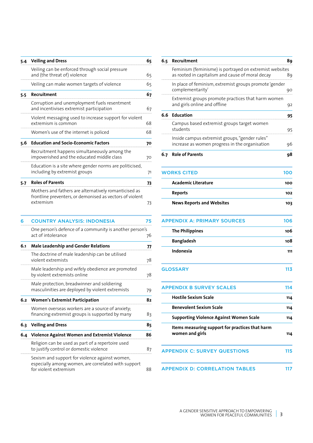| 5.4 | <b>Veiling and Dress</b>                                                                                                       | 65 |  |  |  |  |  |  |  |  |
|-----|--------------------------------------------------------------------------------------------------------------------------------|----|--|--|--|--|--|--|--|--|
|     | Veiling can be enforced through social pressure<br>and (the threat of) violence                                                | 65 |  |  |  |  |  |  |  |  |
|     | Veiling can make women targets of violence                                                                                     | 65 |  |  |  |  |  |  |  |  |
| 5.5 | Recruitment                                                                                                                    | 67 |  |  |  |  |  |  |  |  |
|     | Corruption and unemployment fuels resentment<br>and incentivises extremist participation                                       | 67 |  |  |  |  |  |  |  |  |
|     | Violent messaging used to increase support for violent<br>extremism is common                                                  | 68 |  |  |  |  |  |  |  |  |
|     | Women's use of the internet is policed                                                                                         | 68 |  |  |  |  |  |  |  |  |
| 5.6 | <b>Education and Socio-Economic Factors</b>                                                                                    | 70 |  |  |  |  |  |  |  |  |
|     | Recruitment happens simultaneously among the<br>impoverished and the educated middle class                                     |    |  |  |  |  |  |  |  |  |
|     | Education is a site where gender norms are politicised,<br>including by extremist groups                                       |    |  |  |  |  |  |  |  |  |
| 5.7 | <b>Roles of Parents</b>                                                                                                        | 73 |  |  |  |  |  |  |  |  |
|     | Mothers and fathers are alternatively romanticised as<br>frontline preventers, or demonised as vectors of violent<br>extremism | 73 |  |  |  |  |  |  |  |  |
| 6   | <b>COUNTRY ANALYSIS: INDONESIA</b>                                                                                             | 75 |  |  |  |  |  |  |  |  |
|     | One person's defence of a community is another person's<br>act of intolerance                                                  | 76 |  |  |  |  |  |  |  |  |
| 6.1 | <b>Male Leadership and Gender Relations</b>                                                                                    | 77 |  |  |  |  |  |  |  |  |
|     | The doctrine of male leadership can be utilised<br>violent extremists                                                          | 78 |  |  |  |  |  |  |  |  |
|     | Male leadership and wifely obedience are promoted<br>by violent extremists online                                              | 78 |  |  |  |  |  |  |  |  |
|     | Male protection, breadwinner and soldiering<br>masculinities are deployed by violent extremists                                |    |  |  |  |  |  |  |  |  |
| 6.2 | <b>Women's Extremist Participation</b>                                                                                         | 82 |  |  |  |  |  |  |  |  |
|     | Women overseas workers are a source of anxiety;<br>financing extremist groups is supported by many                             | 83 |  |  |  |  |  |  |  |  |
| 6.3 | <b>Veiling and Dress</b>                                                                                                       | 85 |  |  |  |  |  |  |  |  |
| 6.4 | Violence Against Women and Extremist Violence                                                                                  |    |  |  |  |  |  |  |  |  |
|     | Religion can be used as part of a repertoire used<br>to justify control or domestic violence                                   |    |  |  |  |  |  |  |  |  |
|     | Sexism and support for violence against women,<br>especially among women, are correlated with support<br>for violent extremism | 88 |  |  |  |  |  |  |  |  |

| 6.5 | Recruitment                                                                                                 | 89  |
|-----|-------------------------------------------------------------------------------------------------------------|-----|
|     | Feminism (feminisme) is portrayed on extremist websites<br>as rooted in capitalism and cause of moral decay | 89  |
|     | In place of feminism, extremist groups promote 'gender<br>complementarity'                                  | 90  |
|     | Extremist groups promote practices that harm women<br>and girls online and offline                          | 92  |
| 6.6 | <b>Education</b>                                                                                            | 95  |
|     | Campus based extremist groups target women<br>students                                                      | 95  |
|     | Inside campus extremist groups, "gender rules"<br>increase as women progress in the organisation            | 96  |
| 6.7 | <b>Role of Parents</b>                                                                                      | 98  |
|     | <b>WORKS CITED</b>                                                                                          | 100 |
|     | Academic Literature                                                                                         | 100 |
|     | <b>Reports</b>                                                                                              | 102 |
|     | <b>News Reports and Websites</b>                                                                            | 103 |
|     | <b>APPENDIX A: PRIMARY SOURCES</b>                                                                          | 106 |
|     | <b>The Philippines</b>                                                                                      | 106 |
|     | <b>Bangladesh</b>                                                                                           | 108 |
|     | Indonesia                                                                                                   | 111 |
|     | <b>GLOSSARY</b>                                                                                             | 113 |
|     | <b>APPENDIX B SURVEY SCALES</b>                                                                             | 114 |
|     | <b>Hostile Sexism Scale</b>                                                                                 | 114 |
|     | <b>Benevolent Sexism Scale</b>                                                                              | 114 |
|     | <b>Supporting Violence Against Women Scale</b>                                                              | 114 |
|     | Items measuring support for practices that harm<br>women and girls                                          | 114 |
|     | <b>APPENDIX C: SURVEY QUESTIONS</b>                                                                         | 115 |
|     | <b>APPENDIX D: CORRELATION TABLES</b>                                                                       | 117 |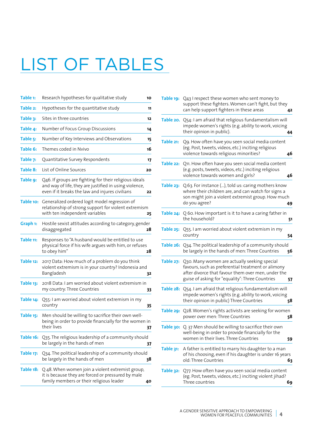# LIST OF TABLES

| Table 1:  | Research hypotheses for qualitative study                                                                                                                           | 10 |
|-----------|---------------------------------------------------------------------------------------------------------------------------------------------------------------------|----|
| Table 2:  | Hypotheses for the quantitative study                                                                                                                               | 11 |
| Table 3:  | Sites in three countries                                                                                                                                            | 12 |
| Table 4:  | Number of Focus Group Discussions                                                                                                                                   | 14 |
| Table 5:  | Number of Key Interviews and Observations                                                                                                                           | 15 |
| Table 6:  | Themes coded in Nvivo                                                                                                                                               | 16 |
| Table 7:  | Quantitative Survey Respondents                                                                                                                                     | 17 |
| Table 8:  | List of Online Sources                                                                                                                                              | 20 |
| Table 9:  | Q46. If groups are fighting for their religious ideals<br>and way of life, they are justified in using violence,<br>even if it breaks the law and injures civilians | 22 |
| Table 10: | Generalized ordered logit model regression of<br>relationship of strong support for violent extremism<br>with ten independent variables                             | 25 |
| Graph 1:  | Hostile sexist attitudes according to category, gender<br>disaggregated                                                                                             | 28 |
| Table 11: | Responses to "A husband would be entitled to use<br>physical force if his wife argues with him, or refuses<br>to obey him"                                          | 28 |
| Table 12: | 2017 Data: How much of a problem do you think<br>violent extremism is in your country? Indonesia and<br>Bangladesh                                                  | 32 |
| Table 13: | 2018 Data: I am worried about violent extremism in<br>my country: Three Countries                                                                                   | 33 |
| Table 14: | Q55: I am worried about violent extremism in my<br>country                                                                                                          | 35 |
| Table 15: | Men should be willing to sacrifice their own well-<br>being in order to provide financially for the women in<br>their lives                                         | 37 |
| Table 16: | Q35. The religious leadership of a community should<br>be largely in the hands of men                                                                               | 37 |
| Table 17: | Q34. The political leadership of a community should<br>be largely in the hands of men                                                                               | 38 |
| Table 18: | Q 48. When women join a violent extremist group,<br>it is because they are forced or pressured by male<br>family members or their religious leader                  | 40 |

| Table 19: | Q43 I respect these women who sent money to<br>support these fighters. Women can't fight, but they<br>can help support fighters in these areas                                                              | 42 |
|-----------|-------------------------------------------------------------------------------------------------------------------------------------------------------------------------------------------------------------|----|
|           | Table 20. Q54: I am afraid that religious fundamentalism will<br>impede women's rights (e.g. ability to work, voicing<br>their opinion in public).                                                          | 44 |
| Table 21: | Q9. How often have you seen social media content<br>(eg. Post, tweets, videos, etc.) inciting religious<br>violence towards religious minorities?                                                           | 46 |
| Table 22: | Q11. How often have you seen social media content<br>(e.g. posts, tweets, videos, etc.) inciting religious<br>violence towards women and girls?                                                             | 46 |
| Table 23: | Q.63. For instance (), told us: caring mothers know<br>where their children are, and can watch for signs a<br>son might join a violent extremist group. How much<br>do you agree?                           | 49 |
|           | Table 24: Q 60. How important is it to have a caring father in<br>the household?                                                                                                                            | 51 |
| Table 25: | Q55. I am worried about violent extremism in my<br>country                                                                                                                                                  | 54 |
| Table 26: | Q34. The political leadership of a community should<br>be largely in the hands of men: Three Countries                                                                                                      | 56 |
| Table 27: | Q30. Many women are actually seeking special<br>favours, such as preferential treatment or alimony<br>after divorce that favour them over men, under the<br>guise of asking for "equality": Three Countries | 57 |
|           | Table 28: Q54.1 am afraid that religious fundamentalism will<br>impede women's rights (e.g. ability to work, voicing<br>their opinion in public) Three Countries                                            | 58 |
| Table 29: | Q28. Women's rights activists are seeking for women<br>power over men: Three Countries                                                                                                                      | 58 |
|           | Table 30: Q. 37 Men should be willing to sacrifice their own<br>well-being in order to provide financially for the<br>women in their lives. Three Countries                                                 | 59 |
| Table 31: | A father is entitled to marry his daughter to a man<br>of his choosing, even if his daughter is under 16 years<br>old: Three Countries                                                                      | 63 |
| Table 32: | Q77. How often have you seen social media content<br>(eg. Post, tweets, videos, etc.) inciting violent jihad?<br>Three countries                                                                            | 69 |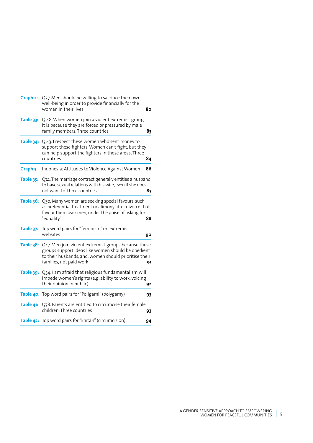| Q37. Men should be willing to sacrifice their own<br>Graph 2:<br>well-being in order to provide financially for the<br>women in their lives. |                                                                                                                                                                                                |    |  |  |  |  |  |
|----------------------------------------------------------------------------------------------------------------------------------------------|------------------------------------------------------------------------------------------------------------------------------------------------------------------------------------------------|----|--|--|--|--|--|
| Table 33:                                                                                                                                    | Q 48. When women join a violent extremist group,<br>it is because they are forced or pressured by male<br>family members. Three countries                                                      | 83 |  |  |  |  |  |
| Table 34:                                                                                                                                    | Q 43. I respect these women who sent money to<br>support these fighters. Women can't fight, but they<br>can help support the fighters in these areas: Three<br>countries                       | 84 |  |  |  |  |  |
| Graph 3.                                                                                                                                     | Indonesia: Attitudes to Violence Against Women                                                                                                                                                 | 86 |  |  |  |  |  |
| Table 35:                                                                                                                                    | Q74. The marriage contract generally entitles a husband<br>to have sexual relations with his wife, even if she does<br>not want to Three countries                                             | 87 |  |  |  |  |  |
| Table 36:                                                                                                                                    | Q30. Many women are seeking special favours, such<br>as preferential treatment or alimony after divorce that<br>favour them over men, under the guise of asking for<br>"equality"              | 88 |  |  |  |  |  |
| Table 37.                                                                                                                                    | Top word pairs for "feminism" on extremist<br>websites                                                                                                                                         | 90 |  |  |  |  |  |
| Table 38:                                                                                                                                    | Q47. Men join violent extremist groups because these<br>groups support ideas like women should be obedient<br>to their husbands, and, women should prioritise their<br>families, not paid work | 91 |  |  |  |  |  |
| Table 39:                                                                                                                                    | Q54.1 am afraid that religious fundamentalism will<br>impede women's rights (e.g. ability to work, voicing<br>their opinion in public)                                                         | 92 |  |  |  |  |  |
|                                                                                                                                              | Table 40: Top word pairs for "Poligami" (polygamy)                                                                                                                                             | 93 |  |  |  |  |  |
| Table 41:                                                                                                                                    | Q78. Parents are entitled to circumcise their female<br>children: Three countries                                                                                                              | 93 |  |  |  |  |  |
|                                                                                                                                              | Table 42: Top word pairs for "khitan" (circumcision)                                                                                                                                           | 94 |  |  |  |  |  |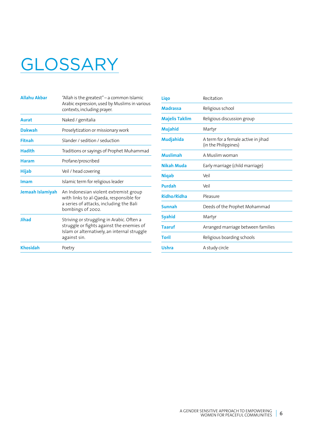# **GLOSSARY**

| <b>Allahu Akbar</b> | "Allah is the greatest" - a common Islamic<br>Arabic expression, used by Muslims in various<br>contexts, including prayer.                             |
|---------------------|--------------------------------------------------------------------------------------------------------------------------------------------------------|
| Aurat               | Naked / genitalia                                                                                                                                      |
| <b>Dakwah</b>       | Proselytization or missionary work                                                                                                                     |
| Fitnah              | Slander / sedition / seduction                                                                                                                         |
| <b>Hadith</b>       | Traditions or sayings of Prophet Muhammad                                                                                                              |
| <b>Haram</b>        | Profane/proscribed                                                                                                                                     |
| Hijab               | Veil / head covering                                                                                                                                   |
| Imam                | Islamic term for religious leader                                                                                                                      |
| Jemaah Islamiyah    | An Indonesian violent extremist group<br>with links to al-Qaeda, responsible for<br>a series of attacks, including the Bali<br>bombings of 2002.       |
| Jihad               | Striving or struggling in Arabic. Often a<br>struggle or fights against the enemies of<br>Islam or alternatively, an internal struggle<br>against sin. |
| <b>Khosidah</b>     | Poetry                                                                                                                                                 |

| Recitation                                                  |
|-------------------------------------------------------------|
| Religious school                                            |
| Religious discussion group                                  |
| Martyr                                                      |
| A term for a female active in jihad<br>(in the Philippines) |
| A Muslim woman                                              |
| Early marriage (child marriage)                             |
| Veil                                                        |
| Veil                                                        |
| Pleasure                                                    |
| Deeds of the Prophet Mohammad                               |
| Martyr                                                      |
| Arranged marriage between families                          |
| Religious boarding schools                                  |
| A study circle                                              |
|                                                             |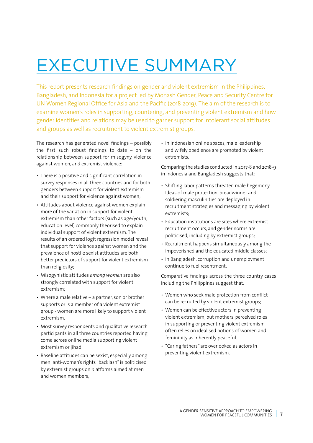# EXECUTIVE SUMMARY

This report presents research findings on gender and violent extremism in the Philippines, Bangladesh, and Indonesia for a project led by Monash Gender, Peace and Security Centre for UN Women Regional Office for Asia and the Pacific (2018-2019). The aim of the research is to examine women's roles in supporting, countering, and preventing violent extremism and how gender identities and relations may be used to garner support for intolerant social attitudes and groups as well as recruitment to violent extremist groups.

The research has generated novel findings – possibly the first such robust findings to date – on the relationship between support for misogyny, violence against women, and extremist violence:

- There is a positive and significant correlation in survey responses in all three countries and for both genders between support for violent extremism and their support for violence against women;
- Attitudes about violence against women explain more of the variation in support for violent extremism than other factors (such as age/youth, education level) commonly theorised to explain individual support of violent extremism. The results of an ordered logit regression model reveal that support for violence against women and the prevalence of hostile sexist attitudes are both better predictors of support for violent extremism than religiosity;
- Misogynistic attitudes *among women* are also strongly correlated with support for violent extremism;
- Where a male relative a partner, son or brother supports or is a member of a violent extremist group - women are more likely to support violent extremism.
- Most survey respondents and qualitative research participants in all three countries reported having come across online media supporting violent extremism or *iihad*:
- Baseline attitudes can be sexist, especially among men; anti-women's rights "backlash" is politicised by extremist groups on platforms aimed at men and women members;

• In Indonesian online spaces, male leadership and wifely obedience are promoted by violent extremists.

Comparing the studies conducted in 2017-8 and 2018-9 in Indonesia and Bangladesh suggests that:

- Shifting labor patterns threaten male hegemony. Ideas of male protection, breadwinner and soldiering masculinities are deployed in recruitment strategies and messaging by violent extremists;
- Education institutions are sites where extremist recruitment occurs, and gender norms are politicised, including by extremist groups;
- Recruitment happens simultaneously among the impoverished and the educated middle classes;
- In Bangladesh, corruption and unemployment continue to fuel resentment.

Comparative findings across the three country cases including the Philippines suggest that:

- Women who seek male protection from conflict can be recruited by violent extremist groups;
- Women can be effective actors in preventing violent extremism, but mothers' perceived roles in supporting or preventing violent extremism often relies on idealised notions of women and femininity as inherently peaceful.
- "Caring fathers" are overlooked as actors in preventing violent extremism.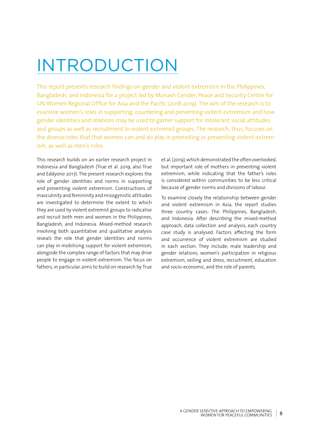# INTRODUCTION

This report presents research findings on gender and violent extremism in the Philippines, Bangladesh, and Indonesia for a project led by Monash Gender, Peace and Security Centre for UN Women Regional Office for Asia and the Pacific (2018-2019). The aim of the research is to examine women's roles in supporting, countering and preventing violent extremism and how gender identities and relations may be used to garner support for intolerant social attitudes and groups as well as recruitment to violent extremist groups. The research, thus, focuses on the diverse roles that that women can and do play in promoting or preventing violent extremism, as well as men's roles.

This research builds on an earlier research project in Indonesia and Bangladesh (True et al. 2019; also True and Eddyono 2017). The present research explores the role of gender identities and norms in supporting and preventing violent extremism. Constructions of masculinity and femininity and misogynistic attitudes are investigated to determine the extent to which they are used by violent extremist groups to radicalise and recruit both men and women in the Philippines, Bangladesh, and Indonesia. Mixed-method research involving both quantitative and qualitative analysis reveals the role that gender identities and norms can play in mobilising support for violent extremism, alongside the complex range of factors that may drive people to engage in violent extremism. The focus on fathers, in particular, aims to build on research by True et al. (2019), which demonstrated the often overlooked, but important role of mothers in preventing violent extremism, while indicating that the father's roles is considered within communities to be less critical because of gender norms and divisions of labour.

To examine closely the relationship between gender and violent extremism in Asia, the report studies three country cases: The Philippines, Bangladesh, and Indonesia. After describing the mixed-method approach, data collection and analysis, each country case study is analysed. Factors affecting the form and occurrence of violent extremism are studied in each section. They include; male leadership and gender relations, women's participation in religious extremism, veiling and dress, recruitment, education and socio-economic, and the role of parents.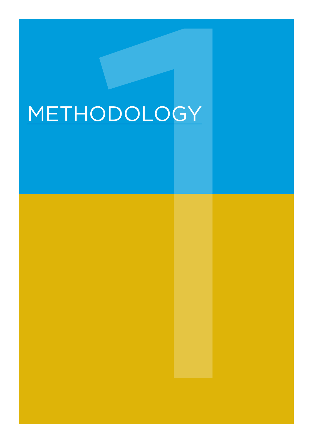# **IODOLOGY** METHODOLOGY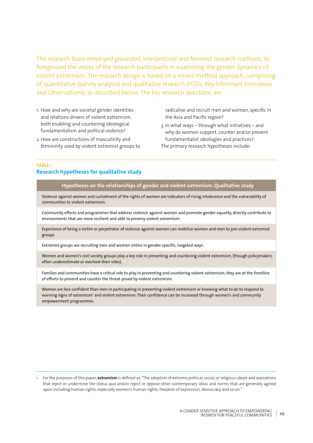The research team employed grounded, interpretivist and feminist research methods, to foreground the voices of the research participants in examining the gender dynamics of violent extremism. The research design is based on a mixed-method approach, comprising of quantitative (survey analysis) and qualitative research (FGDs, Key Informant Interviews and Observations), as described below. The key research questions are:

- 1. How and why are societal gender identities and relations drivers of violent extremism, both enabling and countering ideological fundamentalism and political violence?
- 2. How are constructions of masculinity and femininity used by violent extremist groups to

radicalise and recruit men and women, specific in the Asia and Pacific region?

3. In what ways – through what initiatives – and why do women support, counter and/or prevent fundamentalist ideologies and practices? The primary research hypotheses include:

### **TABLE 1 Research hypotheses for qualitative study**

### **Hypotheses on the relationships of gender and violent extremism: Qualitative study**

Violence against women and curtailment of the rights of women are indicators of rising intolerance and the vulnerability of communities to violent extremism.

Community efforts and programmes that address violence against women and promote gender equality, directly contribute to environments that are more resilient and able to preveny violent extremism.

Experience of being a victim or perpetrator of violence against women can mobilise women and men to join violent extremist groups

Extremist groups are recruiting men and women online in gender-specific, targeted ways.

Women and women's civil society groups play a key role in preventing and countering violent extremism, (though policymakers often underestimate or overlook their roles).

Families and communities have a critical role to play in preventing and countering violent extremism; they are at the frontline of efforts to prevent and counter the threat posed by violent extremism.

Women are less confident than men in participating in preventing violent extremism or knowing what to do to respond to warning signs of extremism' and violent extremism: Their confidence can be increased through women's and community empowerment programmes.

<sup>1</sup> For the purposes of this paper, **extremism** is defined as, "The adoption of extreme political, social, or religious ideals and aspirations that reject or undermine the status quo and/or reject or oppose other contemporary ideas and norms that are generally agreed upon including human rights, especially women's human rights, freedom of expression, democracy and so on."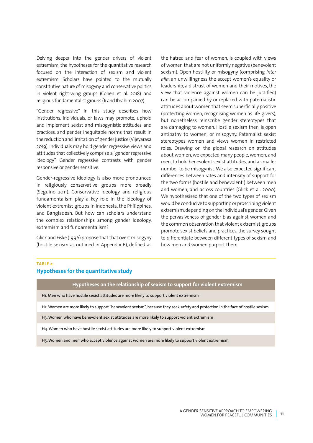Delving deeper into the gender drivers of violent extremism, the hypotheses for the quantitative research focused on the interaction of sexism and violent extremism. Scholars have pointed to the mutually constitutive nature of misogyny and conservative politics in violent right-wing groups (Cohen et al. 2018) and religious fundamentalist groups (Ji and Ibrahim 2007).

"Gender regressive" in this study describes how institutions, individuals, or laws may promote, uphold and implement sexist and misogynistic attitudes and practices, and gender inequitable norms that result in the reduction and limitation of gender justice (Vijeyarasa 2019). Individuals may hold gender regressive views and attitudes that collectively comprise a "gender regressive ideology". Gender regressive contrasts with gender responsive or gender sensitive.

Gender-regressive ideology is also more pronounced in religiously conservative groups more broadly (Seguino 2011). Conservative ideology and religious fundamentalism play a key role in the ideology of violent extremist groups in Indonesia, the Philippines, and Bangladesh. But how can scholars understand the complex relationships among gender ideology, extremism and fundamentalism?

Glick and Fiske (1996) propose that that overt misogyny (hostile sexism as outlined in Appendix B), defined as the hatred and fear of women, is coupled with views of women that are not uniformly negative (benevolent sexism). Open hostility or misogyny (comprising *inter alia*: an unwillingness the accept women's equality or leadership, a distrust of women and their motives, the view that violence against women can be justified) can be accompanied by or replaced with paternalistic attitudes about women that seem superficially positive (protecting women, recognising women as life-givers), but nonetheless reinscribe gender stereotypes that are damaging to women. Hostile sexism then, is open antipathy to women, or misogyny. Paternalist sexist stereotypes women and views women in restricted roles. Drawing on the global research on attitudes about women, we expected many people, women, and men, to hold benevolent sexist attitudes, and a smaller number to be misogynist. We also expected significant differences between rates and intensity of support for the two forms (hostile and benevolent ) between men and women, and across countries (Glick et al. 2000). We hypothesised that one of the two types of sexism would be conducive to supporting or proscribing violent extremism, depending on the individual's gender. Given the pervasiveness of gender bias against women and the common observation that violent extremist groups promote sexist beliefs and practices, the survey sought to differentiate between different types of sexism and how men and women purport them.

### **TABLE 2:**

### **Hypotheses for the quantitative study**

**Hypotheses on the relationship of sexism to support for violent extremism**

H1. Men who have hostile sexist attitudes are more likely to support violent extremism

H2. Women are more likely to support "benevolent sexism", because they seek safety and protection in the face of hostile sexism

H3. Women who have benevolent sexist attitudes are more likely to support violent extremism

H4. Women who have hostile sexist attitudes are more likely to support violent extremism

H5. Women and men who accept violence against women are more likely to support violent extremism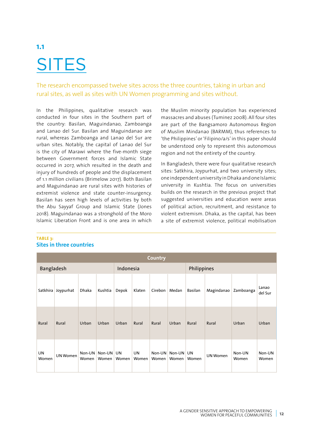# **1.1 SITES**

The research encompassed twelve sites across the three countries, taking in urban and rural sites, as well as sites with UN Women programming and sites without.

In the Philippines, qualitative research was conducted in four sites in the Southern part of the country: Basilan, Maguindanao, Zamboanga and Lanao del Sur. Basilan and Maguindanao are rural, whereas Zamboanga and Lanao del Sur are urban sites. Notably, the capital of Lanao del Sur is the city of Marawi where the five-month siege between Government forces and Islamic State occurred in 2017, which resulted in the death and injury of hundreds of people and the displacement of 1.1 million civilians (Brimelow 2017). Both Basilan and Maguindanao are rural sites with histories of extremist violence and state counter-insurgency. Basilan has seen high levels of activities by both the Abu Sayyaf Group and Islamic State (Jones 2018). Maguindanao was a stronghold of the Moro Islamic Liberation Front and is one area in which the Muslim minority population has experienced massacres and abuses (Tuminez 2008). All four sites are part of the Bangsamoro Autonomous Region of Muslim Mindanao (BARMM), thus references to 'the Philippines' or 'Filipino/a/s' in this paper should be understood only to represent this autonomous region and not the entirety of the country.

In Bangladesh, there were four qualitative research sites: Satkhira, Joypurhat, and two university sites; one independent university in Dhaka and one Islamic university in Kushtia. The focus on universities builds on the research in the previous project that suggested universities and education were areas of political action, recruitment, and resistance to violent extremism. Dhaka, as the capital, has been a site of extremist violence, political mobilisation

| <b>Country</b>    |                 |                 |                 |             |             |                   |                 |             |                 |                 |                  |  |  |
|-------------------|-----------------|-----------------|-----------------|-------------|-------------|-------------------|-----------------|-------------|-----------------|-----------------|------------------|--|--|
| <b>Bangladesh</b> |                 |                 |                 | Indonesia   |             |                   |                 | Philippines |                 |                 |                  |  |  |
| Satkhira          | Joypurhat       | Dhaka           | Kushtia         | Depok       | Klaten      | Cirebon           | Medan           | Basilan     | Magindanao      | Zamboanga       | Lanao<br>del Sur |  |  |
| Rural             | Rural           | Urban           | Urban           | Urban       | Rural       | Rural             | Urban           | Rural       | Rural           | Urban           | Urban            |  |  |
| UN<br>Women       | <b>UN Women</b> | Non-UN<br>Women | Non-UN<br>Women | UN<br>Women | UN<br>Women | $Non-UN$<br>Women | Non-UN<br>Women | UN<br>Women | <b>UN Women</b> | Non-UN<br>Women | Non-UN<br>Women  |  |  |

### **TABLE 3: Sites in three countries**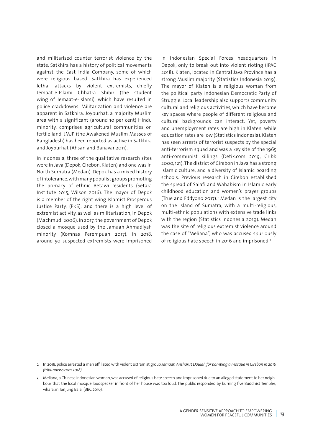and militarised counter terrorist violence by the state. Satkhira has a history of political movements against the East India Company, some of which were religious based. Satkhira has experienced lethal attacks by violent extremists, chiefly Jemaat-e-Islami Chhatra Shibir (the student wing of Jemaat-e-Islami), which have resulted in police crackdowns. Militarization and violence are apparent in Satkhira. Joypurhat, a majority Muslim area with a significant (around 10 per cent) Hindu minority, comprises agricultural communities on fertile land. JMJP (the Awakened Muslim Masses of Bangladesh) has been reported as active in Satkhira and Joypurhat (Ahsan and Banavar 2011).

In Indonesia, three of the qualitative research sites were in Java (Depok, Cirebon, Klaten) and one was in North Sumatra (Medan). Depok has a mixed history of intolerance, with many populist groups promoting the primacy of ethnic Betawi residents (Setara Institute 2015, Wilson 2016). The mayor of Depok is a member of the right-wing Islamist Prosperous Justice Party, (PKS), and there is a high level of extremist activity, as well as militarisation, in Depok (Machmudi 2006). In 2017, the government of Depok closed a mosque used by the Jamaah Ahmadiyah minority (Komnas Perempuan 2017). In 2018, around 50 suspected extremists were imprisoned

in Indonesian Special Forces headquarters in Depok, only to break out into violent rioting (IPAC 2018). Klaten, located in Central Java Province has a strong Muslim majority (Statistics Indonesia 2019). The mayor of Klaten is a religious woman from the political party Indonesian Democratic Party of Struggle. Local leadership also supports community cultural and religious activities, which have become key spaces where people of different religious and cultural backgrounds can interact. Yet, poverty and unemployment rates are high in Klaten, while education rates are low (Statistics Indonesia). Klaten has seen arrests of terrorist suspects by the special anti-terrorism squad and was a key site of the 1965 anti-communist killings (Detik.com 2019, Cribb 2000, 121). The district of Cirebon in Java has a strong Islamic culture, and a diversity of Islamic boarding schools. Previous research in Cirebon established the spread of Salafi and Wahabism in Islamic early childhood education and women's prayer groups (True and Eddyono 2017).2 Medan is the largest city on the island of Sumatra, with a multi-religious, multi-ethnic populations with extensive trade links with the region (Statistics Indonesia 2019). Medan was the site of religious extremist violence around the case of "Meliana", who was accused spuriously of religious hate speech in 2016 and imprisoned.3

<sup>2</sup> In 2018, police arrested a man affiliated with violent extremist group *Jamaah Ansharut Daulah for bombing a mosque in Cirebon in 2016 (tribunnews.com 2018).*

<sup>3</sup> Meliana, a Chinese Indonesian woman, was accused of religious hate speech and imprisoned due to an alleged statement to her neighbour that the local mosque loudspeaker in front of her house was too loud. The public responded by burning five Buddhist Temples, vihara, in Tanjung Balai (BBC 2016).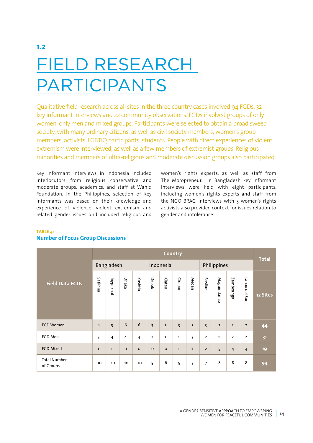# **1.2** FIELD RESEARCH PARTICIPANTS

Qualitative field research across all sites in the three country cases involved 94 FGDs, 32 key informant interviews and 22 community observations. FGDs involved groups of only women, only men and mixed groups. Participants were selected to obtain a broad sweep society, with many ordinary citizens, as well as civil society members, women's group members, activists, LGBTIQ participants, students. People with direct experiences of violent extremism were interviewed, as well as a few members of extremist groups. Religious minorities and members of ultra-religious and moderate discussion groups also participated.

Key informant interviews in Indonesia included interlocutors from religious conservative and moderate groups, academics, and staff at Wahid Foundation. In the Philippines, selection of key informants was based on their knowledge and experience of violence, violent extremism and related gender issues and included religious and women's rights experts, as well as staff from The Moropreneur. In Bangladesh key informant interviews were held with eight participants, including women's rights experts and staff from the NGO BRAC. Interviews with 5 women's rights activists also provided context for issues relation to gender and intolerance.

### **TABLE 4:**

|                                  | <b>Country</b> |                |         |                 |                         |                |                |                |                         |                |                         |                |              |  |
|----------------------------------|----------------|----------------|---------|-----------------|-------------------------|----------------|----------------|----------------|-------------------------|----------------|-------------------------|----------------|--------------|--|
|                                  |                | Bangladesh     |         |                 |                         | Indonesia      |                |                | Philippines             |                |                         |                | <b>Total</b> |  |
| <b>Field Data FGDs</b>           | Satkhira       | Joypurhat      | Dhaka   | Kushtia         | Depok                   | Klaten         | Cirebon        | Medan          | Basilan                 | Maguindanao    | Zamboanga               | Lanao del Sur  | 12 Sites     |  |
| <b>FGD Women</b>                 | $\overline{4}$ | 5              | 6       | 6               | $\overline{3}$          | $\overline{5}$ | $\overline{3}$ | $\overline{3}$ | $\overline{3}$          | $\overline{2}$ | $\overline{2}$          | $\overline{2}$ | 44           |  |
| FGD Men                          | 5              | $\overline{4}$ | 4       | $\overline{4}$  | $\overline{\mathbf{2}}$ | $\mathbf{1}$   | $\mathbf{1}$   | $\overline{3}$ | $\overline{\mathbf{c}}$ | $\mathbf{1}$   | $\overline{\mathbf{c}}$ | $\overline{2}$ | 31           |  |
| <b>FGD Mixed</b>                 | $\mathbf{1}$   | $\mathbf{1}$   | $\circ$ | $\circ$         | $\circ$                 | $\circ$        | $\mathbf{1}$   | $\mathbf{1}$   | $\overline{2}$          | 5              | $\overline{4}$          | $\overline{4}$ | 19           |  |
| <b>Total Number</b><br>of Groups | 10             | 10             | 10      | 10 <sub>o</sub> | 5                       | 6              | 5              | $\overline{7}$ | 7                       | 8              | 8                       | 8              | 94           |  |

### **Number of Focus Group Discussions**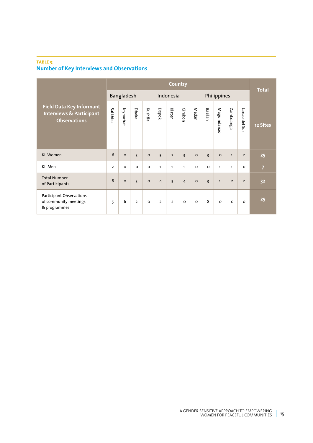### **TABLE 5: Number of Key Interviews and Observations**

|                                                                                               | <b>Country</b> |                  |                |          |                |                |                |         |                         |              |                |                | <b>Total</b>   |  |
|-----------------------------------------------------------------------------------------------|----------------|------------------|----------------|----------|----------------|----------------|----------------|---------|-------------------------|--------------|----------------|----------------|----------------|--|
|                                                                                               |                | Bangladesh       |                |          | Indonesia      |                |                |         | Philippines             |              |                |                |                |  |
| <b>Field Data Key Informant</b><br><b>Interviews &amp; Participant</b><br><b>Observations</b> | Satkhira       | <b>Joypurhat</b> | Dhaka          | Kushtia  | Depok          | Klaten         | Cirebon        | Medan   | Basilan                 | Maguindanac  | Zamboanga      | Lanao del Sur  | 12 Sites       |  |
| <b>KII Women</b>                                                                              | 6              | $\circ$          | 5              | $\circ$  | $\overline{3}$ | $\overline{2}$ | $\overline{3}$ | $\circ$ | $\overline{3}$          | $\circ$      | $\mathbf{1}$   | $\overline{2}$ | 25             |  |
| KII Men                                                                                       | $\overline{2}$ | $\circ$          | $\circ$        | $\circ$  | 1              | $\mathbf{1}$   | 1              | $\circ$ | $\circ$                 | $\mathbf{1}$ | $\mathbf{1}$   | $\Omega$       | $\overline{7}$ |  |
| <b>Total Number</b><br>of Participants                                                        | $\mathbf{8}$   | $\Omega$         | 5              | $\circ$  | $\overline{4}$ | $\overline{3}$ | $\overline{4}$ | $\circ$ | $\overline{\mathbf{3}}$ | $\mathbf{1}$ | $\overline{2}$ | $\overline{2}$ | 32             |  |
| Participant Observations<br>of community meetings<br>& programmes                             | 5              | 6                | $\overline{2}$ | $\Omega$ | $\overline{2}$ | $\overline{2}$ | o              | $\circ$ | 8                       | $\Omega$     | $\Omega$       | $\Omega$       | 25             |  |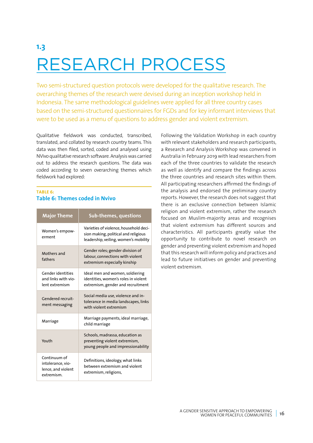## **1.3** RESEARCH PROCESS

Two semi-structured question protocols were developed for the qualitative research. The overarching themes of the research were devised during an inception workshop held in Indonesia. The same methodological guidelines were applied for all three country cases based on the semi-structured questionnaires for FGDs and for key informant interviews that were to be used as a menu of questions to address gender and violent extremism.

Qualitative fieldwork was conducted, transcribed, translated, and collated by research country teams. This data was then filed, sorted, coded and analysed using NVivo qualitative research software. Analysis was carried out to address the research questions. The data was coded according to seven overarching themes which fieldwork had explored:

### **TABLE 6: Table 6: Themes coded in Nvivo**

| <b>Major Theme</b>                                                    | <b>Sub-themes, questions</b>                                                                                            |
|-----------------------------------------------------------------------|-------------------------------------------------------------------------------------------------------------------------|
| Women's empow-<br>erment                                              | Varieties of violence, household deci-<br>sion making, political and religious<br>leadership, veiling, women's mobility |
| Mothers and<br>fathers                                                | Gender roles; gender division of<br>labour, connections with violent<br>extremism especially kinship                    |
| <b>Gender identities</b><br>and links with vio-<br>lent extremism     | Ideal men and women, soldiering<br>identities, women's roles in violent<br>extremism, gender and recruitment            |
| Gendered recruit-<br>ment messaging                                   | Social media use, violence and in-<br>tolerance in media landscapes, links<br>with violent extremism                    |
| Marriage                                                              | Marriage payments, ideal marriage,<br>child marriage                                                                    |
| Youth                                                                 | Schools, madrassa, education as<br>preventing violent extremism,<br>young people and impressionability                  |
| Continuum of<br>intolerance, vio-<br>lence, and violent<br>extremism. | Definitions, ideology, what links<br>between extremism and violent<br>extremism, religions,                             |

Following the Validation Workshop in each country with relevant stakeholders and research participants, a Research and Analysis Workshop was convened in Australia in February 2019 with lead researchers from each of the three countries to validate the research as well as identify and compare the findings across the three countries and research sites within them. All participating researchers affirmed the findings of the analysis and endorsed the preliminary country reports. However, the research does not suggest that there is an exclusive connection between Islamic religion and violent extremism, rather the research focused on Muslim-majority areas and recognises that violent extremism has different sources and characteristics. All participants greatly value the opportunity to contribute to novel research on gender and preventing violent extremism and hoped that this research will inform policy and practices and lead to future initiatives on gender and preventing violent extremism.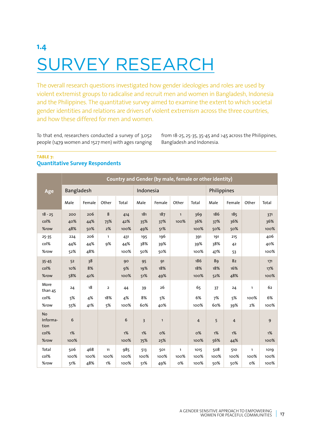# **1.4** SURVEY RESEARCH

The overall research questions investigated how gender ideologies and roles are used by violent extremist groups to radicalise and recruit men and women in Bangladesh, Indonesia and the Philippines. The quantitative survey aimed to examine the extent to which societal gender identities and relations are drivers of violent extremism across the three countries, and how these differed for men and women.

To that end, researchers conducted a survey of 3,052 people (1479 women and 1527 men) with ages ranging from 18-25, 25-35, 35-45 and >45 across the Philippines, Bangladesh and Indonesia.

### **TABLE 7: Quantitative Survey Respondents**

|                                               | <b>Country and Gender (by male, female or other identity)</b> |                    |                             |                     |                             |                           |                            |                              |                    |                             |                            |                      |
|-----------------------------------------------|---------------------------------------------------------------|--------------------|-----------------------------|---------------------|-----------------------------|---------------------------|----------------------------|------------------------------|--------------------|-----------------------------|----------------------------|----------------------|
| Age                                           | Bangladesh                                                    |                    |                             |                     | Indonesia                   |                           |                            |                              | Philippines        |                             |                            |                      |
|                                               | Male                                                          | Female             | Other                       | Total               | Male                        | Female                    | Other                      | Total                        | Male               | Female                      | Other                      | Total                |
| $18 - 25$<br>col%<br>%row                     | 200<br>40%<br>48%                                             | 206<br>44%<br>50%  | 8<br>73%<br>2%              | 414<br>42%<br>100%  | 181<br>35%<br>49%           | 187<br>37%<br>51%         | $\mathbf{1}$<br>100%       | 369<br>36%<br>100%           | 186<br>37%<br>50%  | 185<br>36%<br>50%           |                            | 371<br>36%<br>100%   |
| $25 - 35$<br>col%<br>%row                     | 224<br>44%<br>52%                                             | 206<br>44%<br>48%  | $\mathbf{1}$<br><b>9%</b>   | 431<br>44%<br>100%  | 195<br>38%<br>50%           | 196<br>39%<br>50%         |                            | 391<br>39%<br>100%           | 191<br>38%<br>47%  | 215<br>42<br>53             |                            | 406<br>40%<br>100%   |
| $35 - 45$<br>col%<br>%row                     | 52<br>10%<br>58%                                              | 38<br>8%<br>42%    |                             | 90<br>9%<br>100%    | 95<br>19%<br>51%            | 91<br>18%<br>49%          |                            | 186<br>18%<br>100%           | 89<br>18%<br>52%   | 82<br>16%<br>48%            |                            | 171<br>17%<br>100%   |
| More<br>than 45<br>col%<br>%row               | 24<br>5%<br>55%                                               | 18<br>4%<br>41%    | $\overline{2}$<br>18%<br>5% | 44<br>4%<br>100%    | 39<br>8%<br>60%             | 26<br>5%<br>40%           |                            | 65<br>6%<br>100%             | 37<br>7%<br>60%    | 24<br>5%<br>39%             | $\mathbf{1}$<br>100%<br>2% | 62<br>6%<br>100%     |
| <b>No</b><br>Informa-<br>tion<br>col%<br>%row | 6<br>1%<br>100%                                               |                    |                             | 6<br>1%<br>100%     | $\overline{3}$<br>1%<br>75% | $\mathbf{1}$<br>O%<br>25% |                            | $\overline{4}$<br>о%<br>100% | 5<br>1%<br>56%     | $\overline{4}$<br>1%<br>44% |                            | 9<br>1%<br>100%      |
| Total<br>col%<br>%row                         | 506<br>100%<br>51%                                            | 468<br>100%<br>48% | 11<br>100%<br>1%            | 985<br>100%<br>100% | 513<br>100%<br>51%          | 501<br>100%<br>49%        | $\mathbf{1}$<br>100%<br>о% | 1015<br>100%<br>100%         | 508<br>100%<br>50% | 510<br>100%<br>50%          | $\mathbf{1}$<br>100%<br>о% | 1019<br>100%<br>100% |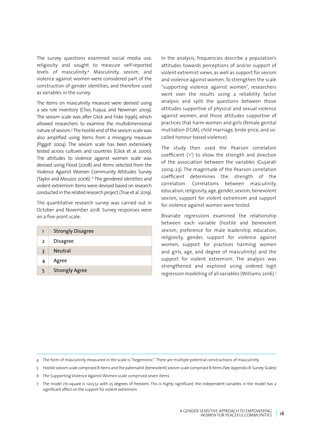The survey questions examined social media use, religiosity and sought to measure self-reported levels of masculinity.4 Masculinity, sexism, and violence against women were considered part of the construction of gender identities, and therefore used as variables in the survey.

The items on masculinity measure were devised using a sex role inventory (Choi, Fuqua, and Newman 2009). The sexism scale was after Glick and Fiske (1996), which allowed researchers to examine the multidimensional nature of sexism.5 The hostile end of the sexism scale was also amplified using items from a misogyny measure (Piggot 2004). The sexism scale has been extensively tested across cultures and countries (Glick et al. 2000). The attitudes to violence against women scale was devised using Flood (2008) and items selected from the Violence Against Women Community Attitudes Survey (Taylor and Mouzos 2006). <sup>6</sup> The gendered identities and violent extremism items were devised based on research conducted in the related research project (True et al. 2019).

The quantitative research survey was carried out in October and November 2018. Survey responses were on a five-point scale:

|   | <b>Strongly Disagree</b> |
|---|--------------------------|
| 2 | <b>Disagree</b>          |
| २ | <b>Neutral</b>           |
| 4 | Agree                    |
|   | <b>Strongly Agree</b>    |

In the analysis, frequencies describe a population's attitudes towards perceptions of and/or support of violent extremist views, as well as support for sexism and violence against women. To strengthen the scale "supporting violence against women", researchers went over the results using a reliability factor analysis and split the questions between those attitudes supportive of physical and sexual violence against women, and those attitudes supportive of practices that harm women and girls (female genital mutilation (FGM), child marriage, bride-price, and socalled honour-based violence).

The study then used the Pearson correlation coefficient ('r') to show the strength and direction of the association between the variables (Gujarati 2009, 23). The magnitude of the Pearson correlation coefficient determines the strength of the correlation. Correlations between masculinity, education, religiosity, age, gender, sexism, benevolent sexism, support for violent extremism and support for violence against women were tested.

Bivariate regressions examined the relationship between each variable (hostile and benevolent sexism, preference for male leadership, education, religiosity, gender, support for violence against women, support for practices harming women and girls, age, and degree of masculinity) and the support for violent extremism. The analysis was strengthened and explored using ordered logit regression modelling of all variables (Williams 2016).7

<sup>4</sup> The form of masculinity measured in the scale is "hegemonic". There are multiple potential constructions of masculinity.

<sup>5</sup> Hostile sexism scale comprised 8 items and the paternalist (benevolent) sexism scale comprised 8 items (See Appendix B: Survey Scales) 6 The Supporting Violence Against Women scale comprised seven items

<sup>7</sup> The model chi-square is 1203.52 with 25 degrees of freedom. This is highly significant; the independent variables in the model has a significant effect on the support for violent extremism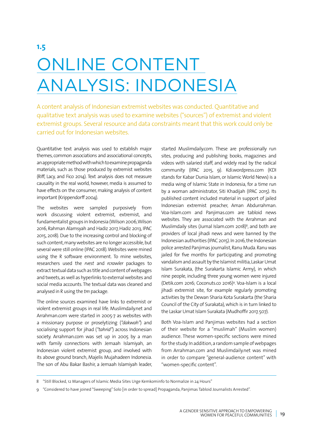# **1.5** ONLINE CONTENT ANALYSIS: INDONESIA

A content analysis of Indonesian extremist websites was conducted. Quantitative and qualitative text analysis was used to examine websites ("sources") of extremist and violent extremist groups. Several resource and data constraints meant that this work could only be carried out for Indonesian websites.

Quantitative text analysis was used to establish major themes, common associations and associational concepts, an appropriate method with which to examine propaganda materials, such as those produced by extremist websites (Riff, Lacy, and Fico 2014). Text analysis does not measure causality in the real world, however, media is assumed to have effects on the consumer, making analysis of content important (Krippendorff 2004).

The websites were sampled purposively from work discussing violent extremist, extremist, and fundamentalist groups in Indonesia (Wilson 2006, Wilson 2016, Rahman Alamsyah and Hadiz 2017, Hadiz 2013, IPAC 2015, 2018). Due to the increasing control and blocking of such content, many websites are no longer accessible, but several were still online (IPAC 2018). Websites were mined using the R software environment. To mine websites, researchers used the *rvest* and *rcrawler* packages to extract textual data such as title and content of webpages and tweets, as well as hyperlinks to external websites and social media accounts. The textual data was cleaned and analysed in R using the *tm* package.

The online sources examined have links to extremist or violent extremist groups in real life. Muslimdaily.net and Arrahman.com were started in 2005-7 as websites with a missionary purpose or proselytizing (*"dakwah"*) and socialising support for jihad (*"tahrid"*) across Indonesian society. Arrahman.com was set up in 2005 by a man with family connections with Jemaah Islamiyah, an Indonesian violent extremist group, and involved with its above ground branch, Majelis Mujahadeen Indonesia. The son of Abu Bakar Bashir, a Jemaah Islamiyah leader,

started Muslimdaily.com. These are professionally run sites, producing and publishing books, magazines and videos with salaried staff, and widely read by the radical community (IPAC 2015, 9). Kdi.wordpress.com (KDI stands for Kabar Dunia Islam, or Islamic World News) is a media wing of Islamic State in Indonesia, for a time run by a woman administrator, Siti Khadijah (IPAC 2015). Its published content included material in support of jailed Indonesian extremist preacher, Aman Abdurrahman. Voa-Islam.com and Panjimas.com are tabloid news websites. They are associated with the Arrahman and Muslimdaily sites (Jurnal Islam.com 2018)<sup>8</sup>, and both are providers of local jihadi news and were banned by the Indonesian authorities (IPAC 2015). In 2016, the Indonesian police arrested Panjimas journalist, Ranu Muda. Ranu was jailed for five months for participating and promoting vandalism and assault by the Islamist militia, Laskar Umat Islam Surakata, (the Surakarta Islamic Army), in which nine people, including three young women were injured (Detik.com 2016; Coconuts.co 2016)9 . Voa-Islam is a local jihadi extremist site, for example regularly promoting activities by the Dewan Sharia Kota Surakarta (the Sharia Council of the City of Surakata), which is in turn linked to the Laskar Umat Islam Surakata (Mudhoffir 2017, 507).

Both Voa-Islam and Panjimas websites had a section of their website for a "muslimah" (Muslim women) audience. These women-specific sections were mined for the study. In addition, a random sample of webpages from Arrahman.com and Muslimdaily.net was mined in order to compare "general-audience content" with "women-specific content".

<sup>8</sup> "Still Blocked, 12 Managers of Islamic Media Sites Urge Kemkominfo to Normalize in 24 Hours"

<sup>9</sup> "Considered to have joined "Sweeping" Solo [in order to spread] Propaganda, Panjimas Tabloid Journalists Arrested".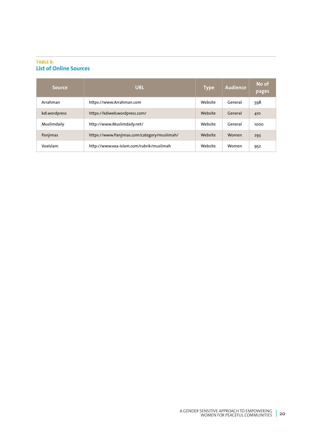### **TABLE 8: List of Online Sources**

| <b>Source</b> | <b>URL</b>                                  | <b>Type</b> | Audience | No of<br>pages |
|---------------|---------------------------------------------|-------------|----------|----------------|
| Arrahman      | https://www.Arrahman.com                    | Website     | General  | 598            |
| kdi.wordpress | https://kdiweb.wordpress.com/               | Website     | General  | 410            |
| Muslimdaily   | http://www.Muslimdaily.net/                 | Website     | General  | 1000           |
| Panjimas      | https://www.Panjimas.com/category/muslimah/ | Website     | Women    | 293            |
| Voalslam      | http://www.voa-islam.com/rubrik/muslimah    | Website     | Women    | 952            |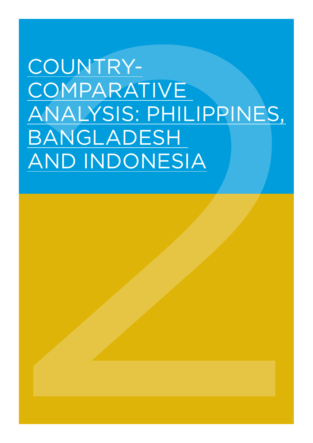# COUNTRY-<br>
COMPARATIVE<br>
ANALYSIS: PHILIPPINES,<br>
<u>BANGLADESH</u><br>
AND INDONESIA COUNTRY-**COMPARATIVE** ANALYSIS: PHILIPPINES, BANGLADESH AND INDONESIA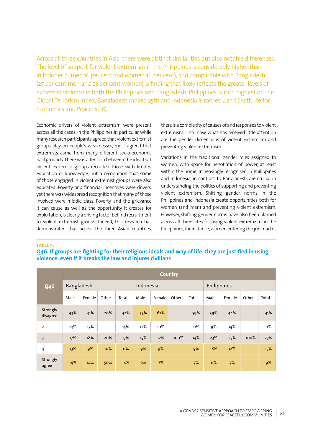Across all three countries in Asia, there were distinct similarities but also notable differences. The level of support for violent extremism in the Philippines is considerably higher than in Indonesia (men 16 per cent and women 16 per cent), and comparable with Bangladesh (27 per cent men and 23 per cent women), a finding that likely reflects the greater levels of extremist violence in both the Philippines and Bangladesh. Philippines is 10th highest on the Global Terrorism Index, Bangladesh ranked 25th and Indonesia is ranked 42nd (Institute for Economics and Peace 2018).

Economic drivers of violent extremism were present across all the cases. In the Philippines in particular, while many research participants agreed that violent extremist groups play on people's weaknesses, most agreed that extremists came from many different socio-economic backgrounds. There was a tension between the idea that violent extremist groups recruited those with limited education or knowledge, but a recognition that some of those engaged in violent extremist groups were also educated. Poverty and financial incentives were drivers, yet there was widespread recognition that many of those involved were middle class. Poverty, and the grievance it can cause as well as the opportunity it creates for exploitation, is clearly a driving factor behind recruitment to violent extremist groups. Indeed, this research has demonstrated that across the three Asian countries,

there is a complexity of causes of and responses to violent extremism. Until now, what has received little attention are the gender dimensions of violent extremism and preventing violent extremism.

Variations in the traditional gender roles assigned to women, with space for negotiation of power, at least within the home, increasingly recognised in Philippines and Indonesia, in contrast to Bangladesh, are crucial in understanding the politics of supporting and preventing violent extremism. Shifting gender norms in the Philippines and Indonesia create opportunities both for women (and men) and preventing violent extremism. However, shifting gender norms have also been blamed across all three sites for rising violent extremism; in the Philippines, for instance, women entering the job market

**TABLE 9:** 

**Q46. If groups are fighting for their religious ideals and way of life, they are justified in using violence, even if it breaks the law and injures civilians**

|                      |            | <b>Country</b> |       |           |      |        |       |             |      |        |       |       |  |
|----------------------|------------|----------------|-------|-----------|------|--------|-------|-------------|------|--------|-------|-------|--|
| <b>Q46</b>           | Bangladesh |                |       | Indonesia |      |        |       | Philippines |      |        |       |       |  |
|                      | Male       | Female         | Other | Total     | Male | Female | Other | Total       | Male | Female | Other | Total |  |
| Strongly<br>disagree | 43%        | 41%            | 20%   | 42%       | 57%  | 62%    |       | 59%         | 39%  | 44%    |       | 41%   |  |
| $\overline{2}$       | 14%        | 17%            |       | 15%       | 12%  | 10%    |       | 11%         | 9%   | 14%    |       | 11%   |  |
| $\overline{3}$       | 17%        | 18%            | 20%   | 17%       | 15%  | 12%    | 100%  | 14%         | 23%  | 23%    | 100%  | 23%   |  |
| 4                    | 13%        | 9%             | 10%   | 11%       | 9%   | 9%     |       | 9%          | 18%  | 12%    |       | 15%   |  |
| Strongly<br>agree    | 14%        | 14%            | 50%   | 14%       | 6%   | 7%     |       | 7%          | 11%  | 7%     |       | 9%    |  |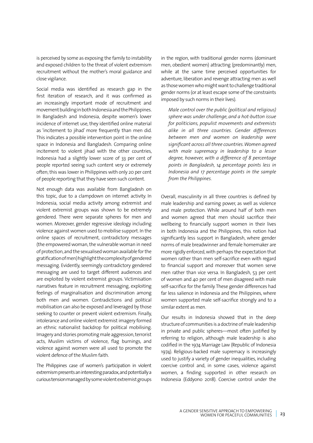is perceived by some as exposing the family to instability and exposed children to the threat of violent extremism recruitment without the mother's moral guidance and close vigilance.

Social media was identified as research gap in the first iteration of research, and it was confirmed as an increasingly important mode of recruitment and movement building in both Indonesia and the Philippines. In Bangladesh and Indonesia, despite women's lower incidence of internet use, they identified online material as 'incitement to jihad' more frequently than men did. This indicates a possible intervention point in the online space in Indonesia and Bangladesh. Comparing online incitement to violent jihad with the other countries, Indonesia had a slightly lower score of 33 per cent of people reported seeing such content very or extremely often; this was lower in Philippines with only 20 per cent of people reporting that they have seen such content.

Not enough data was available from Bangladesh on this topic, due to a clampdown on internet activity. In Indonesia, social media activity among extremist and violent extremist groups was shown to be extremely gendered. There were separate spheres for men and women. Moreover, gender regressive ideology including violence against women used to mobilise support. In the online spaces of recruitment, contradictory messages (the empowered woman, the vulnerable woman in need of protection, and the sexualised woman available for the gratification of men) highlight the complexity of gendered messaging. Evidently, seemingly contradictory gendered messaging are used to target different audiences and are exploited by violent extremist groups. Victimisation narratives feature in recruitment messaging, exploiting feelings of marginalisation and discrimination among both men and women. Contradictions and political mobilisation can also be exposed and leveraged by those seeking to counter or prevent violent extremism. Finally, intolerance and online violent extremist imagery formed an ethnic nationalist backdrop for political mobilising. Imagery and stories promoting male aggression, terrorist acts, Muslim victims of violence, flag burnings, and violence against women were all used to promote the violent defence of the Muslim faith.

The Philippines case of women's participation in violent extremism presents an interesting paradox, and potentially a curious tension managed by some violent extremist groups

in the region, with traditional gender norms (dominant men, obedient women) attracting (predominantly) men, while at the same time perceived opportunities for adventure, liberation and revenge attracting men as well as those women who might want to challenge traditional gender norms (or at least escape some of the constraints imposed by such norms in their lives).

*Male control over the public (political and religious) sphere was under challenge, and a hot-button issue for politicians, populist movements and extremists alike in all three countries. Gender differences between men and women on leadership were significant across all three countries. Women agreed with male supremacy in leadership to a lesser degree, however, with a difference of 8 percentage points in Bangladesh, 14 percentage points less in Indonesia and 17 percentage points in the sample from the Philippines.* 

Overall, masculinity in all three countries is defined by male leadership and earning power, as well as violence and male protection. While around half of both men and women agreed that men should sacrifice their wellbeing to financially support women in their lives in both Indonesia and the Philippines, this notion had significantly less support in Bangladesh, where gender norms of male breadwinner and female homemaker are more rigidly enforced, with perhaps the expectation that women rather than men self-sacrifice even with regard to financial support and moreover that women serve men rather than vice versa. In Bangladesh, 53 per cent of women and 40 per cent of men disagreed with male self-sacrifice for the family. These gender differences had far less salience in Indonesia and the Philippines, where women supported male self-sacrifice strongly and to a similar extent as men.

Our results in Indonesia showed that in the deep structure of communities is a doctrine of male leadership in private and public spheres—most often justified by referring to religion, although male leadership is also codified in the 1974 Marriage Law (Republic of Indonesia 1974). Religious-backed male supremacy is increasingly used to justify a variety of gender inequalities, including coercive control and, in some cases, violence against women, a finding supported in other research on Indonesia (Eddyono 2018). Coercive control under the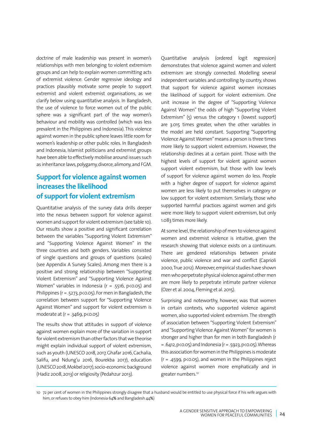doctrine of male leadership was present in women's relationships with men belonging to violent extremism groups and can help to explain women committing acts of extremist violence. Gender regressive ideology and practices plausibly motivate some people to support extremist and violent extremist organisations, as we clarify below using quantitative analysis. In Bangladesh, the use of violence to force women out of the public sphere was a significant part of the way women's behaviour and mobility was controlled (which was less prevalent in the Philippines and Indonesia). This violence against women in the public sphere leaves little room for women's leadership or other public roles. In Bangladesh and Indonesia, Islamist politicians and extremist groups have been able to effectively mobilise around issues such as inheritance laws, polygamy, divorce, alimony, and FGM.

### **Support for violence against women increases the likelihood of support for violent extremism**

Quantitative analysis of the survey data drills deeper into the nexus between support for violence against women and support for violent extremism (see table 10). Our results show a positive and significant correlation between the variables "Supporting Violent Extremism" and "Supporting Violence Against Women" in the three countries and both genders. Variables consisted of single questions and groups of questions (scales) (see Appendix A Survey Scales). Among men there is a positive and strong relationship between "Supporting Violent Extremism" and "Supporting Violence Against Women" variables in Indonesia ( $r = .5516$ ,  $p \lt 0.05$ ) and Philippines ( $r = 0.5273$ ,  $p < 0.05$ ). For men in Bangladesh, the correlation between support for "Supporting Violence Against Women" and support for violent extremism is moderate at  $(r = .3469, p < 0.05)$ 

The results show that attitudes in support of violence against women explain more of the variation in support for violent extremism than other factors that we theorise might explain individual support of violent extremism, such as youth (UNESCO 2018, 2017, Ghafar 2016, Cachalia, Salifu, and Ndung'u 2016, Bourekba 2017), education (UNESCO 2018, Mokbel 2017), socio-economic background (Hadiz 2008, 2013) or religiosity (Pedahzur 2013).

Quantitative analysis (ordered logit regression) demonstrates that violence against women and violent extremism are strongly connected. Modelling several independent variables and controlling by country, shows that support for violence against women increases the likelihood of support for violent extremism. One unit increase in the degree of "Supporting Violence Against Women" the odds of high "Supporting Violent Extremism" (5) versus the category 1 (lowest support) are 3.015 times greater, when the other variables in the model are held constant. Supporting "Supporting Violence Against Women" means a person is three times more likely to support violent extremism. However, the relationship declines at a certain point. Those with the highest levels of support for violent against women support violent extremism, but those with low levels of support for violence against women do less. People with a higher degree of support for violence against women are less likely to put themselves in category or low support for violent extremism. Similarly, those who supported harmful practices against women and girls were more likely to support violent extremism, but only 1.083 times more likely.

At some level, the relationship of men to violence against women and extremist violence is intuitive, given the research showing that violence exists on a continuum. There are gendered relationships between private violence, public violence and war and conflict (Caprioli 2000, True 2012). Moreover, empirical studies have shown men who perpetrate physical violence against other men are more likely to perpetrate intimate partner violence (Ozer et al. 2004, Fleming et al. 2015).

Surprising and noteworthy, however, was that women in certain contexts, who supported violence against women, also supported violent extremism. The strength of association between "Supporting Violent Extremism" and "Supporting Violence Against Women" for women is stronger and higher than for men in both Bangladesh (r  $= .6412, p<0.05$ ) and Indonesia (r = .5923, p $<$  0.05). Whereas this association for women in the Philippines is moderate  $(r = .4599, p < 0.05)$ , and women in the Philippines reject violence against women more emphatically and in greater numbers.<sup>10</sup>

<sup>10</sup> 72 per cent of women in the Philippines strongly disagree that a husband would be entitled to use physical force if his wife argues with him, or refuses to obey him (Indonesia 64% and Bangladesh 44%)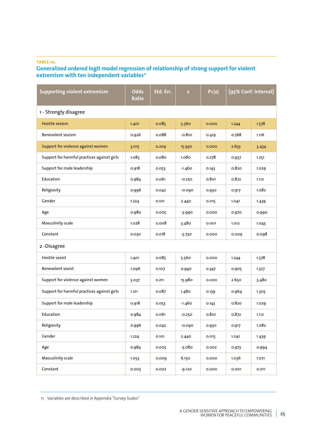### **TABLE 10:**

### **Generalized ordered logit model regression of relationship of strong support for violent extremism with ten independent variables11**

| <b>Supporting violent extremism</b>         | Odds<br>Ratio | Std. Err.         | $\mathbf{z}$ | P >  z | [95% Conf. Interval] |       |  |
|---------------------------------------------|---------------|-------------------|--------------|--------|----------------------|-------|--|
| 1 - Strongly disagree                       |               |                   |              |        |                      |       |  |
| Hostile sexism                              | 1.401         | 0.085             | 5.560        | 0.000  | 1.244                | 1.578 |  |
| Benevolent sexism                           | 0.926         | 0.088             | $-0.810$     | 0.419  | 0.768                | 1.116 |  |
| Support for violence against women          | 3.015         | 0.209             | 15.930       | 0.000  | 2.633                | 3.454 |  |
| Support for harmful practices against girls | 1.083         | 0.08 <sub>0</sub> | 1.080        | 0.278  | 0.937                | 1.251 |  |
| Support for male leadership                 | 0.918         | 0.053             | -1.460       | 0.143  | 0.820                | 1.029 |  |
| Education                                   | 0.984         | 0.061             | $-0.250$     | 0.801  | 0.872                | 1.112 |  |
| Religiosity                                 | 0.996         | 0.042             | $-0.090$     | 0.930  | 0.917                | 1.082 |  |
| Gender                                      | 1.224         | 0.101             | 2.440        | 0.015  | 1.041                | 1.439 |  |
| Age                                         | 0.980         | 0.005             | $-3.990$     | 0.000  | 0.970                | 0.990 |  |
| Masculinity scale                           | 1.028         | 0.008             | 3.480        | 0.001  | 1.012                | 1.045 |  |
| Constant                                    | 0.030         | 0.018             | $-5.730$     | 0.000  | 0.009                | 0.098 |  |
| 2-Disagree                                  |               |                   |              |        |                      |       |  |
| Hostile sexist                              | 1.401         | 0.085             | 5.560        | 0.000  | 1.244                | 1.578 |  |
| Benevolent sexist                           | 1.096         | 0.107             | 0.940        | 0.347  | 0.905                | 1.327 |  |
| Support for violence against women          | 3.037         | 0.211             | 15.980       | 0.000  | 2.650                | 3.480 |  |
| Support for harmful practices against girls | 1.121         | 0.087             | 1.480        | 0.139  | 0.964                | 1.305 |  |
| Support for male leadership                 | 0.918         | 0.053             | $-1.460$     | 0.143  | 0.820                | 1.029 |  |
| Education                                   | 0.984         | 0.061             | $-0.250$     | 0.801  | 0.872                | 1.112 |  |
| Religiosity                                 | 0.996         | 0.042             | $-0.090$     | 0.930  | 0.917                | 1.082 |  |
| Gender                                      | 1.224         | 0.101             | 2.440        | 0.015  | 1.041                | 1.439 |  |
| Age                                         | 0.984         | 0.005             | -3.080       | 0.002  | 0.973                | 0.994 |  |
| Masculinity scale                           | 1.053         | 0.009             | 6.150        | 0.000  | 1.036                | 1.071 |  |
| Constant                                    | 0.003         | 0.002             | $-9.120$     | 0.000  | 0.001                | 0.011 |  |

11 Variables are described in Appendix "Survey Scales"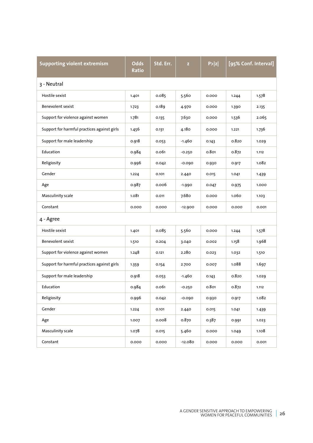| <b>Supporting violent extremism</b>         | <b>Odds</b><br>Ratio | Std. Err. | $\mathbf{z}$ | P >  z | [95% Conf. Interval] |       |  |
|---------------------------------------------|----------------------|-----------|--------------|--------|----------------------|-------|--|
| 3 - Neutral                                 |                      |           |              |        |                      |       |  |
| Hostile sexist                              | 1.401                | 0.085     | 5.560        | 0.000  | 1.244                | 1.578 |  |
| <b>Benevolent sexist</b>                    | 1.723                | 0.189     | 4.970        | 0.000  | 1.390                | 2.135 |  |
| Support for violence against women          | 1.781                | 0.135     | 7.630        | 0.000  | 1.536                | 2.065 |  |
| Support for harmful practices against girls | 1.456                | 0.131     | 4.180        | 0.000  | 1.221                | 1.736 |  |
| Support for male leadership                 | 0.918                | 0.053     | $-1.460$     | 0.143  | 0.820                | 1.029 |  |
| Education                                   | 0.984                | 0.061     | $-0.250$     | 0.801  | 0.872                | 1.112 |  |
| Religiosity                                 | 0.996                | 0.042     | $-0.090$     | 0.930  | 0.917                | 1.082 |  |
| Gender                                      | 1.224                | 0.101     | 2.440        | 0.015  | 1.041                | 1.439 |  |
| Age                                         | 0.987                | 0.006     | $-1.990$     | 0.047  | 0.975                | 1.000 |  |
| Masculinity scale                           | 1.081                | 0.011     | 7.68o        | 0.000  | 1.060                | 1.103 |  |
| Constant                                    | 0.000                | 0.000     | $-12.900$    | 0.000  | 0.000                | 0.001 |  |
| 4 - Agree                                   |                      |           |              |        |                      |       |  |
| Hostile sexist                              | 1.401                | 0.085     | 5.560        | 0.000  | 1.244                | 1.578 |  |
| <b>Benevolent sexist</b>                    | 1.510                | 0.204     | 3.040        | 0.002  | 1.158                | 1.968 |  |
| Support for violence against women          | 1.248                | 0.121     | 2.280        | 0.023  | 1.032                | 1.510 |  |
| Support for harmful practices against girls | 1.359                | 0.154     | 2.700        | 0.007  | 1.088                | 1.697 |  |
| Support for male leadership                 | 0.918                | 0.053     | -1.460       | 0.143  | 0.820                | 1.029 |  |
| Education                                   | 0.984                | 0.061     | $-0.250$     | 0.801  | 0.872                | 1.112 |  |
| Religiosity                                 | 0.996                | 0.042     | $-0.090$     | 0.930  | 0.917                | 1.082 |  |
| Gender                                      | 1.224                | 0.101     | 2.440        | 0.015  | 1.041                | 1.439 |  |
| Age                                         | 1.007                | 0.008     | 0.870        | 0.387  | 0.991                | 1.023 |  |
| Masculinity scale                           | 1.078                | 0.015     | 5.460        | 0.000  | 1.049                | 1.108 |  |
| Constant                                    | 0.000                | 0.000     | $-12.080$    | 0.000  | 0.000                | 0.001 |  |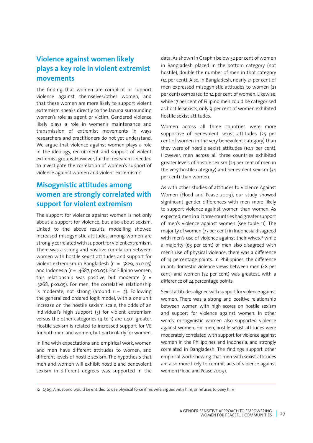### **Violence against women likely plays a key role in violent extremist movements**

The finding that women are complicit or support violence against themselves/other women, and that these women are more likely to support violent extremism speaks directly to the lacuna surrounding women's role as agent or victim. Gendered violence likely plays a role in women's maintenance and transmission of extremist movements in ways researchers and practitioners do not yet understand. We argue that violence against women plays a role in the ideology, recruitment and support of violent extremist groups. However, further research is needed to investigate the correlation of women's support of violence against women and violent extremism?

### **Misogynistic attitudes among women are strongly correlated with support for violent extremism**

The support for violence against women is not only about a support for violence, but also about sexism. Linked to the above results, modelling showed increased misogynistic attitudes among women are strongly correlated with support for violent extremism. There was a strong and positive correlation between women with hostile sexist attitudes and support for violent extremism in Bangladesh (r -= .5829, p<0.05) and Indonesia ( $r = .4687$ ,  $p \lt 0.05$ ). For Filipino women, this relationship was positive, but moderate ( $r =$ .3268, p<0.05). For men, the correlative relationship is moderate, not strong (around  $r = .3$ ). Following the generalized ordered logit model, with a one unit increase on the hostile sexism scale, the odds of an individual's high support (5) for violent extremism versus the other categories (4 to 1) are 1.401 greater. Hostile sexism is related to increased support for VE for both men and women, but particularly for women.

In line with expectations and empirical work, women and men have different attitudes to women, and different levels of hostile sexism. The hypothesis that men and women will exhibit hostile and benevolent sexism in different degrees was supported in the data. As shown in Graph 1 below 32 per cent of women in Bangladesh placed in the bottom category (not hostile), double the number of men in that category (14 per cent). Also, in Bangladesh, nearly 21 per cent of men expressed misogynistic attitudes to women (21 per cent) compared to 14 per cent of women. Likewise, while 17 per cent of Filipino men could be categorised as hostile sexists, only 9 per cent of women exhibited hostile sexist attitudes.

Women across all three countries were more supportive of benevolent sexist attitudes (25 per cent of women in the very benevolent category) than they were of hostile sexist attitudes (10.7 per cent). However, men across all three countries exhibited greater levels of hostile sexism (24 per cent of men in the very hostile category) and benevolent sexism (34 per cent) than women.

As with other studies of attitudes to Violence Against Women (Flood and Pease 2009), our study showed significant gender differences with men more likely to support violence against women than women. As expected, men in all three countries had greater support of men's violence against women (see table 11). The majority of women (77 per cent) in Indonesia disagreed with men's use of violence against their wives,<sup>12</sup> while a majority (63 per cent) of men also disagreed with men's use of physical violence, there was a difference of 14 percentage points. In Philippines, the difference in anti-domestic violence views between men (48 per cent) and women (72 per cent) was greatest, with a difference of 24 percentage points.

Sexist attitudes aligned with support for violence against women. There was a strong and positive relationship between women with high scores on hostile sexism and support for violence against women. In other words, misogynistic women also supported violence against women. For men, hostile sexist attitudes were moderately correlated with support for violence against women in the Philippines and Indonesia, and strongly correlated in Bangladesh. The findings support other empirical work showing that men with sexist attitudes are also more likely to commit acts of violence against women (Flood and Pease 2009).

12 Q 69. A husband would be entitled to use physical force if his wife argues with him, or refuses to obey him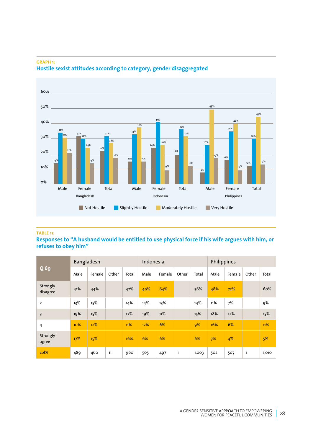

### **GRAPH 1: Hostile sexist attitudes according to category, gender disaggregated**

### **TABLE 11:**

### **Responses to "A husband would be entitled to use physical force if his wife argues with him, or refuses to obey him"**

|                         | Bangladesh |        |       |       | Indonesia |        |              |       | Philippines |        |       |       |
|-------------------------|------------|--------|-------|-------|-----------|--------|--------------|-------|-------------|--------|-------|-------|
| $Q$ 69                  | Male       | Female | Other | Total | Male      | Female | Other        | Total | Male        | Female | Other | Total |
| Strongly<br>disagree    | 41%        | 44%    |       | 42%   | 49%       | 64%    |              | 56%   | 48%         | 72%    |       | 60%   |
| $\overline{2}$          | 13%        | 15%    |       | 14%   | 14%       | 13%    |              | 14%   | 11%         | 7%     |       | 9%    |
| $\overline{\mathbf{3}}$ | 19%        | 15%    |       | 17%   | 19%       | 11%    |              | 15%   | 18%         | 12%    |       | 15%   |
| 4                       | 10%        | 12%    |       | 11%   | 12%       | 6%     |              | 9%    | 16%         | 6%     |       | 11%   |
| Strongly<br>agree       | 17%        | 15%    |       | 16%   | 6%        | 6%     |              | 6%    | 7%          | 4%     |       | 5%    |
| col%                    | 489        | 460    | 11    | 960   | 505       | 497    | $\mathbf{1}$ | 1,003 | 502         | 507    | 1     | 1,010 |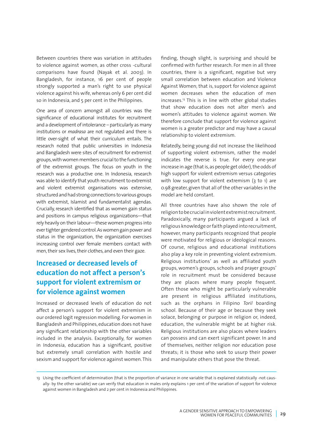Between countries there was variation in attitudes to violence against women, as other cross -cultural comparisons have found (Nayak et al. 2003). In Bangladesh, for instance, 16 per cent of people strongly supported a man's right to use physical violence against his wife, whereas only 6 per cent did so in Indonesia, and 5 per cent in the Philippines.

One area of concern amongst all countries was the significance of educational institutes for recruitment and a development of intolerance – particularly as many institutions or *madrasa* are not regulated and there is little over-sight of what their curriculum entails. The research noted that public universities in Indonesia and Bangladesh were sites of recruitment for extremist groups, with women members crucial to the functioning of the extremist groups. The focus on youth in the research was a productive one. In Indonesia, research was able to identify that youth recruitment to extremist and violent extremist organisations was extensive, structured and had strong connections to various groups with extremist, Islamist and fundamentalist agendas. Crucially, research identified that as women gain status and positions in campus religious organizations—that rely heavily on their labour—these women progress into ever tighter gendered control. As women gain power and status in the organization, the organization exercises increasing control over female members contact with men, their sex lives, their clothes, and even their gaze.

### **Increased or decreased levels of education do not affect a person's support for violent extremism or for violence against women**

Increased or decreased levels of education do not affect a person's support for violent extremism in our ordered logit regression modelling. For women in Bangladesh and Philippines, education does not have any significant relationship with the other variables included in the analysis. Exceptionally, for women in Indonesia, education has a significant, positive but extremely small correlation with hostile and sexism and support for violence against women. This finding, though slight, is surprising and should be confirmed with further research. For men in all three countries, there is a significant, negative but very small correlation between education and Violence Against Women; that is, support for violence against women decreases when the education of men increases.<sup>13</sup> This is in line with other global studies that show education does not alter men's and women's attitudes to violence against women. We therefore conclude that support for violence against women is a greater predictor and may have a causal relationship to violent extremism.

Relatedly, being young did not increase the likelihood of supporting violent extremism, rather the model indicates the reverse is true. For every one-year increase in age (that is, as people get older), the odds of high support for violent extremism versus categories with low support for violent extremism (3 to 1) are 0.98 greater, given that all of the other variables in the model are held constant.

All three countries have also shown the role of religion to be crucial in violent extremist recruitment. Paradoxically, many participants argued a lack of religious knowledge or faith played into recruitment, however, many participants recognized that people were motivated for religious or ideological reasons. Of course, religious and educational institutions also play a key role in preventing violent extremism. Religious institutions' as well as affiliated youth groups, women's groups, schools and prayer groups' role in recruitment must be considered because they are places where many people frequent. Often those who might be particularly vulnerable are present in religious affiliated institutions, such as the orphans in Filipino *Toril* boarding school. Because of their age or because they seek solace, belonging or purpose in religion or, indeed, education, the vulnerable might be at higher risk. Religious institutions are also places where leaders can possess and can exert significant power. In and of themselves, neither religion nor education pose threats; it is those who seek to usurp their power and manipulate others that pose the threat.

<sup>13</sup> Using the coefficient of determination (that is the proportion of variance in one variable that is explained statistically -not causally- by the other variable) we can verify that education in males only explains 1 per cent of the variation of support for violence against women in Bangladesh and 2 per cent in Indonesia and Philippines.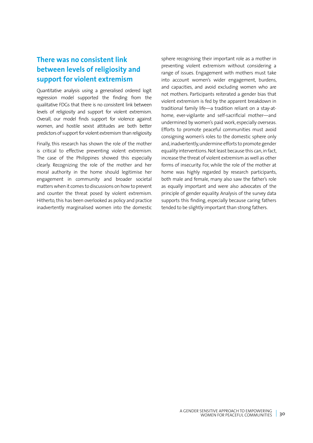### **There was no consistent link between levels of religiosity and support for violent extremism**

Quantitative analysis using a generalised ordered logit regression model supported the finding from the qualitative FDGs that there is no consistent link between levels of religiosity and support for violent extremism. Overall, our model finds support for violence against women, and hostile sexist attitudes are both better predictors of support for violent extremism than religiosity.

Finally, this research has shown the role of the mother is critical to effective preventing violent extremism. The case of the Philippines showed this especially clearly. Recognizing the role of the mother and her moral authority in the home should legitimise her engagement in community and broader societal matters when it comes to discussions on how to prevent and counter the threat posed by violent extremism. Hitherto, this has been overlooked as policy and practice inadvertently marginalised women into the domestic

sphere recognising their important role as a mother in preventing violent extremism without considering a range of issues. Engagement with mothers must take into account women's wider engagement, burdens, and capacities, and avoid excluding women who are not mothers. Participants reiterated a gender bias that violent extremism is fed by the apparent breakdown in traditional family life—a tradition reliant on a stay-athome, ever-vigilante and self-sacrificial mother—and undermined by women's paid work, especially overseas. Efforts to promote peaceful communities must avoid consigning women's roles to the domestic sphere only and, inadvertently, undermine efforts to promote gender equality interventions. Not least because this can, in fact, increase the threat of violent extremism as well as other forms of insecurity. For, while the role of the mother at home was highly regarded by research participants, both male and female, many also saw the father's role as equally important and were also advocates of the principle of gender equality. Analysis of the survey data supports this finding, especially because caring fathers tended to be slightly important than strong fathers.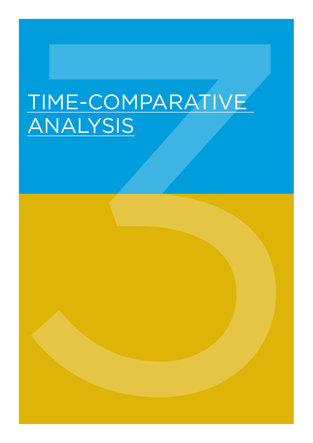# TIME-COMPARATIVE TIME-COMPARATIVE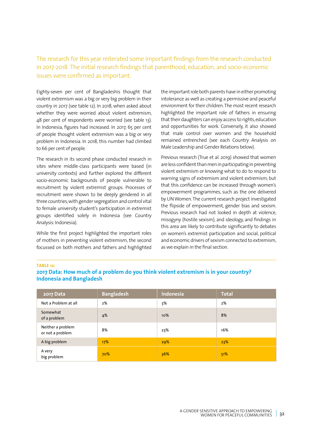### The research for this year reiterated some important findings from the research conducted in 2017-2018. The initial research findings that parenthood, education, and socio-economic issues were confirmed as important.

Eighty-seven per cent of Bangladeshis thought that violent extremism was a big or very big problem in their country in 2017 (see table 12). In 2018, when asked about whether they were worried about violent extremism, 48 per cent of respondents were worried (see table 13). In Indonesia, figures had increased. In 2017, 65 per cent of people thought violent extremism was a big or very problem in Indonesia. In 2018, this number had climbed to 66 per cent of people.

The research in its second phase conducted research in sites where middle-class participants were based (in university contexts) and further explored the different socio-economic backgrounds of people vulnerable to recruitment by violent extremist groups. Processes of recruitment were shown to be deeply gendered in all three countries, with gender segregation and control vital to female university student's participation in extremist groups identified solely in Indonesia (see Country Analysis: Indonesia).

While the first project highlighted the important roles of mothers in preventing violent extremism, the second focussed on both mothers and fathers and highlighted

the important role both parents have in either promoting intolerance as well as creating a permissive and peaceful environment for their children. The most recent research highlighted the important role of fathers in ensuring that their daughters can enjoy access to rights, education and opportunities for work. Conversely, it also showed that male control over women and the household remained entrenched (see each Country Analysis on Male Leadership and Gender Relations below).

Previous research (True et al. 2019) showed that women are less confident than men in participating in preventing violent extremism or knowing what to do to respond to warning signs of extremism and violent extremism, but that this confidence can be increased through women's empowerment programmes, such as the one delivered by UN Women. The current research project investigated the flipside of empowerment, gender bias and sexism. Previous research had not looked in depth at violence, misogyny (hostile sexism), and ideology, and findings in this area are likely to contribute significantly to debates on women's extremist participation and social, political and economic drivers of sexism connected to extremism, as we explain in the final section.

### **TABLE 12:**

**2017 Data: How much of a problem do you think violent extremism is in your country? Indonesia and Bangladesh**

| 2017 Data                             | <b>Bangladesh</b> | Indonesia | <b>Total</b> |
|---------------------------------------|-------------------|-----------|--------------|
| Not a Problem at all                  | 2%                | 3%        | 2%           |
| Somewhat<br>of a problem              | 4%                | 10%       | 8%           |
| Neither a problem<br>or not a problem | 8%                | 23%       | 16%          |
| A big problem                         | 17%               | 29%       | 23%          |
| A very<br>big problem                 | 70%               | 36%       | 51%          |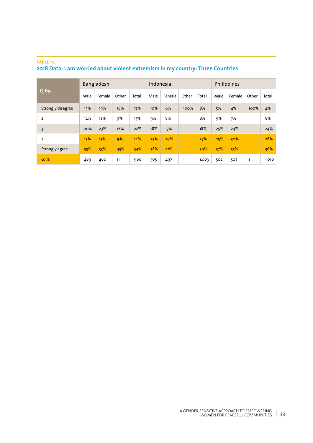### **TABLE 13: 2018 Data: I am worried about violent extremism in my country: Three Countries**

|                   |      | Bangladesh |       |       | Indonesia |        |       |       | Philippines |        |       |       |
|-------------------|------|------------|-------|-------|-----------|--------|-------|-------|-------------|--------|-------|-------|
| $Q$ 69            | Male | Female     | Other | Total | Male      | Female | Other | Total | Male        | Female | Other | Total |
| Strongly disagree | 15%  | 19%        | 18%   | 17%   | 10%       | 6%     | 100%  | 8%    | 5%          | 4%     | 100%  | 4%    |
| $\overline{2}$    | 14%  | 12%        | 9%    | 13%   | 9%        | 8%     |       | 8%    | 9%          | 7%     |       | 8%    |
| 3                 | 20%  | 23%        | 18%   | 22%   | 18%       | 17%    |       | 18%   | 25%         | 24%    |       | 24%   |
| 4                 | 15%  | 13%        | 9%    | 14%   | 25%       | 29%    |       | 27%   | 25%         | 30%    |       | 28%   |
| Strongly agree    | 35%  | 33%        | 45%   | 34%   | 38%       | 41%    |       | 39%   | 37%         | 35%    |       | 36%   |
| col%              | 489  | 460        | 11    | 960   | 505       | 497    | 1     | 1,003 | 502         | 507    | 1     | 1,010 |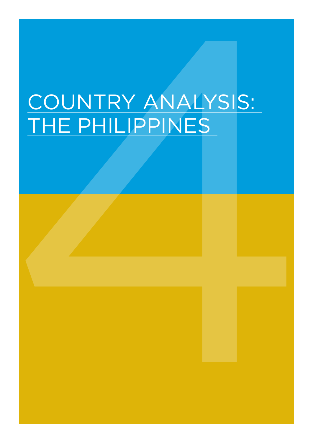# COUNTRY ANALYSIS: COUNTRY ANALYSIS:<br>THE PHILIPPINES<br>4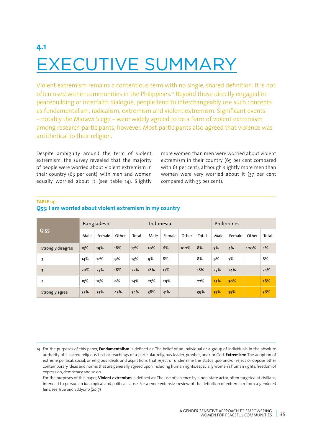# **4.1** EXECUTIVE SUMMARY

#### **TABLE 14:**

| <b>EXECUTIVE SUMMARY</b>                                                                                                                                                                                                                                                                                                                                                                                                                                                                                                                                                                       |                 |  |
|------------------------------------------------------------------------------------------------------------------------------------------------------------------------------------------------------------------------------------------------------------------------------------------------------------------------------------------------------------------------------------------------------------------------------------------------------------------------------------------------------------------------------------------------------------------------------------------------|-----------------|--|
|                                                                                                                                                                                                                                                                                                                                                                                                                                                                                                                                                                                                |                 |  |
|                                                                                                                                                                                                                                                                                                                                                                                                                                                                                                                                                                                                |                 |  |
| Violent extremism remains a contentious term with no single, shared definition. It is not<br>often used within communities in the Philippines. <sup>14</sup> Beyond those directly engaged in<br>peacebuilding or interfaith dialogue, people tend to interchangeably use such concepts<br>as fundamentalism, radicalism, extremism and violent extremism. Significant events<br>- notably the Marawi Siege - were widely agreed to be a form of violent extremism<br>among research participants, however. Most participants also agreed that violence was<br>antithetical to their religion. |                 |  |
| Despite ambiguity around the term of violent<br>more women than men were worried about violent<br>extremism, the survey revealed that the majority<br>extremism in their country (65 per cent compared<br>of people were worried about violent extremism in<br>with 61 per cent), although slightly more men than<br>their country (63 per cent), with men and women<br>women were very worried about it (37 per cent<br>compared with 35 per cent).<br>equally worried about it (see table 14). Slightly<br><b>TABLE 14:</b>                                                                  |                 |  |
| O55: I am worried about violent extremism in my country                                                                                                                                                                                                                                                                                                                                                                                                                                                                                                                                        |                 |  |
| Bangladesh<br>Philippines<br>Indonesia                                                                                                                                                                                                                                                                                                                                                                                                                                                                                                                                                         | Q <sub>55</sub> |  |
| Male<br>Female Other<br>Male   Female   Other<br>Male<br>Female Other Total<br>Total<br>Total<br>18%                                                                                                                                                                                                                                                                                                                                                                                                                                                                                           |                 |  |
| 4%<br>6%<br>8%<br>5%<br>$100\%$ 4%<br>15%<br>10%<br>100%<br>Strongly disagree<br>19%<br>8%<br>14%<br>12%<br>8%<br>9%<br>7%<br>9%<br>13%<br>9%                                                                                                                                                                                                                                                                                                                                                                                                                                                  |                 |  |
| 18%<br>18%<br>25%<br>20%<br>23%<br>22%<br>18%<br>17%<br>24%                                                                                                                                                                                                                                                                                                                                                                                                                                                                                                                                    |                 |  |
| 15%<br>25%<br>13%<br>9%<br>14%<br>25%<br>29%<br>27%<br>$ 30\%$                                                                                                                                                                                                                                                                                                                                                                                                                                                                                                                                 |                 |  |
| 35%<br>38%<br>41%<br> 35%<br>33%<br>45%<br>39%<br>37%<br>Strongly agree                                                                                                                                                                                                                                                                                                                                                                                                                                                                                                                        |                 |  |

## **Q55: I am worried about violent extremism in my country**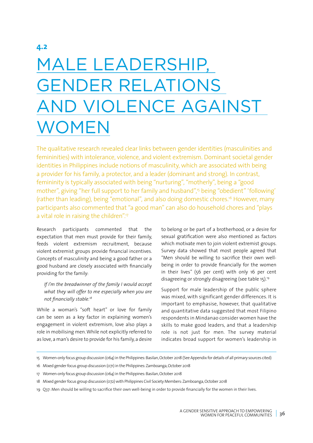# MALE LEADERSHIP, GENDER RELATIONS AND VIOLENCE AGAINST WOMEN

The qualitative research revealed clear links between gender identities (masculinities and femininities) with intolerance, violence, and violent extremism. Dominant societal gender identities in Philippines include notions of masculinity, which are associated with being a provider for his family, a protector, and a leader (dominant and strong). In contrast, femininity is typically associated with being "nurturing", "motherly", being a "good mother", giving "her full support to her family and husband",<sup>15</sup> being "obedient" 'following' (rather than leading), being "emotional", and also doing domestic chores.16 However, many participants also commented that "a good man" can also do household chores and "plays a vital role in raising the children".17

Research participants commented that the expectation that men must provide for their family, feeds violent extremism recruitment, because violent extremist groups provide financial incentives. Concepts of masculinity and being a good father or a good husband are closely associated with financially providing for the family:

## *If I'm the breadwinner of the family I would accept what they will offer to me especially when you are not financially stable.<sup>18</sup>*

While a woman's "soft heart" or love for family can be seen as a key factor in explaining women's engagement in violent extremism, love also plays a role in mobilising men. While not explicitly referred to as love, a man's desire to provide for his family, a desire

to belong or be part of a brotherhood, or a desire for sexual gratification were also mentioned as factors which motivate men to join violent extremist groups. Survey data showed that most people agreed that "Men should be willing to sacrifice their own wellbeing in order to provide financially for the women in their lives" (56 per cent) with only 16 per cent disagreeing or strongly disagreeing (see table 15).19

Support for male leadership of the public sphere was mixed, with significant gender differences. It is important to emphasise, however, that qualitative and quantitative data suggested that most Filipino respondents in Mindanao consider women have the skills to make good leaders, and that a leadership role is not just for men. The survey material indicates broad support for women's leadership in

<sup>15</sup> Women-only focus group discussion (064) in the Philippines: Basilan, October 2018 (See Appendix for details of all primary sources cited)

<sup>16</sup> Mixed gender focus group discussion (071) in the Philippines: Zamboanga, October 2018

<sup>17</sup> Women-only focus group discussion (064) in the Philippines: Basilan, October 2018

<sup>18</sup> Mixed gender focus group discussion (072) with Philippines Civil Society Members: Zamboanga, October 2018

<sup>19</sup> Q37: Men should be willing to sacrifice their own well-being in order to provide financially for the women in their lives.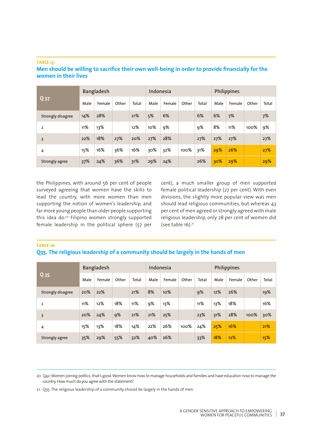#### **TABLE 15:**

## **Men should be willing to sacrifice their own well-being in order to provide financially for the women in their lives**

|                   |      | Bangladesh |       |       | Indonesia |        |       |       |      | Philippines |       |       |
|-------------------|------|------------|-------|-------|-----------|--------|-------|-------|------|-------------|-------|-------|
| Q <sub>37</sub>   | Male | Female     | Other | Total | Male      | Female | Other | Total | Male | Female      | Other | Total |
| Strongly disagree | 14%  | 28%        |       | 21%   | 5%        | 6%     |       | 6%    | 6%   | 7%          |       | 7%    |
| $\overline{2}$    | 11%  | 13%        |       | 12%   | 10%       | 9%     |       | 9%    | 8%   | 11%         | 100%  | 9%    |
| 3                 | 22%  | 18%        | 27%   | 20%   | 27%       | 28%    |       | 27%   | 27%  | 27%         |       | 27%   |
| 4                 | 15%  | 16%        | 36%   | 16%   | 30%       | 32%    | 100%  | 31%   | 29%  | 26%         |       | 27%   |
| Strongly agree    | 37%  | 24%        | 36%   | 31%   | 29%       | 24%    |       | 26%   | 30%  | 29%         |       | 29%   |

the Philippines, with around 56 per cent of people surveyed agreeing that women have the skills to lead the country, with more women than men supporting the notion of women's leadership, and far more young people than older people supporting this idea do.20 Filipino women strongly supported female leadership in the political sphere (57 per cent), a much smaller group of men supported female political leadership (27 per cent). With even divisions, the slightly more popular view was men should lead religious communities, but whereas 43 per cent of men agreed or strongly agreed with male religious leadership, only 28 per cent of women did (see table  $16$ ).<sup>21</sup>

#### **TABLE 16:**

## **Q35. The religious leadership of a community should be largely in the hands of men**

|                         |      | Bangladesh |       |       | Indonesia |        |       |       |      | Philippines |       |       |
|-------------------------|------|------------|-------|-------|-----------|--------|-------|-------|------|-------------|-------|-------|
| Q <sub>35</sub>         | Male | Female     | Other | Total | Male      | Female | Other | Total | Male | Female      | Other | Total |
| Strongly disagree       | 20%  | 22%        |       | 21%   | 8%        | 10%    |       | 9%    | 12%  | 26%         |       | 19%   |
| $\overline{\mathbf{2}}$ | 11%  | 12%        | 18%   | 11%   | 9%        | 13%    |       | 11%   | 13%  | 18%         |       | 16%   |
| 3                       | 20%  | 24%        | 9%    | 21%   | 21%       | 25%    |       | 23%   | 31%  | 28%         | 100%  | 30%   |
| 4                       | 15%  | 13%        | 18%   | 14%   | 22%       | 26%    | 100%  | 24%   | 25%  | 16%         |       | 21%   |
| Strongly agree          | 35%  | 29%        | 55%   | 32%   | 40%       | 26%    |       | 33%   | 18%  | 12%         |       | 15%   |

20 Q42: Women joining politics: that's good. Women know how to manage households and families and have education now to manage the country. How much do you agree with the statement?

21 Q35. The religious leadership of a community should be largely in the hands of men.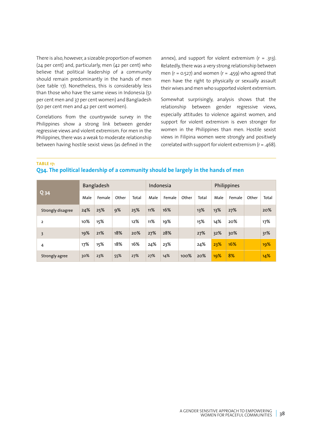There is also, however, a sizeable proportion of women (24 per cent) and, particularly, men (42 per cent) who believe that political leadership of a community should remain predominantly in the hands of men (see table 17). Nonetheless, this is considerably less than those who have the same views in Indonesia (51 per cent men and 37 per cent women) and Bangladesh (50 per cent men and 42 per cent women).

Correlations from the countrywide survey in the Philippines show a strong link between gender regressive views and violent extremism. For men in the Philippines, there was a weak to moderate relationship between having hostile sexist views (as defined in the annex), and support for violent extremism  $(r = .313)$ . Relatedly, there was a very strong relationship between men ( $r = 0.527$ ) and women ( $r = .459$ ) who agreed that men have the right to physically or sexually assault their wives and men who supported violent extremism.

Somewhat surprisingly, analysis shows that the relationship between gender regressive views, especially attitudes to violence against women, and support for violent extremism is even stronger for women in the Philippines than men. Hostile sexist views in Filipina women were strongly and positively correlated with support for violent extremism ( $r = .468$ ).

**TABLE 17:**

**Q34. The political leadership of a community should be largely in the hands of men**

|                   |      | Bangladesh |       |       | Indonesia |        |       |       |      | Philippines |       |       |
|-------------------|------|------------|-------|-------|-----------|--------|-------|-------|------|-------------|-------|-------|
| $Q_34$            | Male | Female     | Other | Total | Male      | Female | Other | Total | Male | Female      | Other | Total |
| Strongly disagree | 24%  | 25%        | 9%    | 25%   | 11%       | 16%    |       | 13%   | 13%  | 27%         |       | 20%   |
| $\overline{2}$    | 10%  | 15%        |       | 12%   | 11%       | 19%    |       | 15%   | 14%  | 20%         |       | 17%   |
| 3                 | 19%  | 21%        | 18%   | 20%   | 27%       | 28%    |       | 27%   | 32%  | 30%         |       | 31%   |
| 4                 | 17%  | 15%        | 18%   | 16%   | 24%       | 23%    |       | 24%   | 23%  | 16%         |       | 19%   |
| Strongly agree    | 30%  | 23%        | 55%   | 27%   | 27%       | 14%    | 100%  | 20%   | 19%  | 8%          |       | 14%   |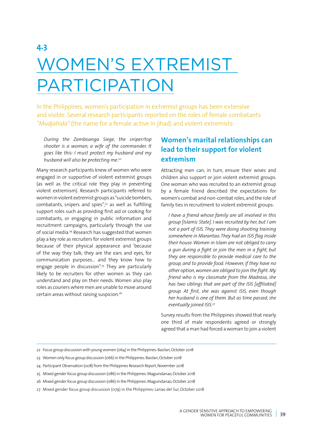# **4.3** WOMEN'S EXTREMIST PARTICIPATION

In the Philippines, women's participation in extremist groups has been extensive and visible. Several research participants reported on the roles of female combatants *"Mudjahida"* (the name for a female active in jihad) and violent extremists:

*During the Zamboanga Siege, the sniper/top shooter is a woman, a wife of the commander. It goes like this: I must protect my husband and my husband will also be protecting me.22*

Many research participants knew of women who were engaged in or supportive of violent extremist groups (as well as the critical role they play in preventing violent extremism). Research participants referred to women in violent extremist groups as "suicide bombers, combatants, snipers and spies", $23$  as well as fulfilling support roles such as providing first aid or cooking for combatants, or engaging in public information and recruitment campaigns, particularly through the use of social media.24 Research has suggested that women play a key role as recruiters for violent extremist groups because of their physical appearance and 'because of the way they talk; they are the ears and eyes, for communication purposes… and they know how to engage people in discussion".25 They are particularly likely to be recruiters for other women as they can understand and play on their needs. Women also play roles as couriers where men are unable to move around certain areas without raising suspicion.26

# **Women's marital relationships can lead to their support for violent extremism**

Attracting men can, in turn, ensure their wives and children also support or join violent extremist groups. One woman who was recruited to an extremist group by a female friend described the expectations for women's combat and non-combat roles, and the role of family ties in recruitment to violent extremist groups:

*I have a friend whose family are all involved in this group [Islamic State]. I was recruited by her, but I am not a part of ISIS. They were doing shooting training somewhere in Marantao. They had an ISIS flag inside their house. Women in Islam are not obliged to carry a gun during a fight or join the men in a fight, but they are responsible to provide medical care to the group, and to provide food. However, if they have no other option, women are obliged to join the fight. My friend who is my classmate from the Madrasa, she has two siblings that are part of the ISIS [affiliated] group. At first, she was against ISIS, even though her husband is one of them. But as time passed, she eventually joined ISIS.27*

Survey results from the Philippines showed that nearly one third of male respondents agreed or strongly agreed that a man had forced a woman to join a violent

- 22 Focus group discussion with young women (064) in the Philippines: Basilan, October 2018
- 23 Women only focus group discussion (066) in the Philippines: Basilan, October 2018
- 24 Participant Observation (008) from the Philippines Research Report, November 2018
- 25 Mixed gender focus group discussion (086) in the Philippines: Maguindanao, October 2018
- 26 Mixed gender focus group discussion (086) in the Philippines: Maguindanao, October 2018
- 27 Mixed gender focus group discussion (079) in the Philippines: Lanao del Sur, October 2018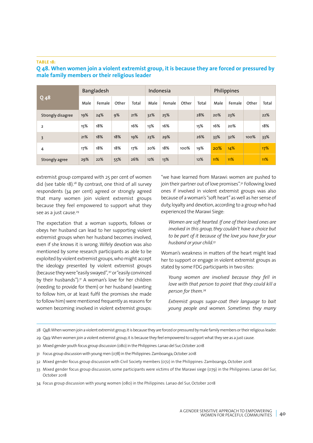#### **TABLE 18:**

| $Q$ <sub>48</sub> |      | Bangladesh |       |       | Indonesia |        |       |       |      | Philippines |       |       |
|-------------------|------|------------|-------|-------|-----------|--------|-------|-------|------|-------------|-------|-------|
|                   | Male | Female     | Other | Total | Male      | Female | Other | Total | Male | Female      | Other | Total |
| Strongly disagree | 19%  | 24%        | 9%    | 21%   | 32%       | 25%    |       | 28%   | 20%  | 23%         |       | 22%   |
| $\overline{2}$    | 15%  | 18%        |       | 16%   | 13%       | 16%    |       | 15%   | 16%  | 20%         |       | 18%   |
| $\overline{3}$    | 21%  | 18%        | 18%   | 19%   | 23%       | 29%    |       | 26%   | 33%  | 32%         | 100%  | 33%   |
| 4                 | 17%  | 18%        | 18%   | 17%   | 20%       | 18%    | 100%  | 19%   | 20%  | 14%         |       | 17%   |
| Strongly agree    | 29%  | 22%        | 55%   | 26%   | 12%       | 13%    |       | 12%   | 11%  | 11%         |       | 11%   |

## **Q 48. When women join a violent extremist group, it is because they are forced or pressured by male family members or their religious leader**

extremist group compared with 25 per cent of women did (see table 18).28 By contrast, one third of all survey respondents (34 per cent) agreed or strongly agreed that many women join violent extremist groups because they feel empowered to support what they see as a just cause.<sup>29</sup>

The expectation that a woman supports, follows or obeys her husband can lead to her supporting violent extremist groups when her husband becomes involved, even if she knows it is wrong. Wifely devotion was also mentioned by some research participants as able to be exploited by violent extremist groups, who might accept the ideology presented by violent extremist groups (because they were "easily swayed",<sup>30</sup> or "easily convinced by their husbands").31 A woman's love for her children (needing to provide for them) or her husband (wanting to follow him, or at least fulfil the promises she made to follow him) were mentioned frequently as reasons for women becoming involved in violent extremist groups:

"we have learned from Marawi: women are pushed to join their partner out of love promises".<sup>32</sup> Following loved ones if involved in violent extremist groups was also because of a woman's "soft heart" as well as her sense of duty, loyalty and devotion, according to a group who had experienced the Marawi Siege:

*Women are soft hearted. If one of their loved ones are involved in this group, they couldn't have a choice but to be part of it because of the love you have for your husband or your child.33*

Woman's weakness in matters of the heart might lead her to support or engage in violent extremist groups as stated by some FDG participants in two sites:

*Young women are involved because they fell in love with that person to point that they could kill a person for them.34*

*Extremist groups sugar-coat their language to bait young people and women. Sometimes they marry* 

28 Q48: When women join a violent extremist group, it is because they are forced or pressured by male family members or their religious leader.

- 29 Q49: When women join a violent extremist group, it is because they feel empowered to support what they see as a just cause.
- 30 Mixed gender youth focus group discussion (080) in the Philippines: Lanao del Sur, October 2018
- 31 Focus group discussion with young men (078) in the Philippines: Zamboanga, October 2018
- 32 Mixed gender focus group discussion with Civil Society members (072) in the Philippines: Zamboanga, October 2018
- 33 Mixed gender focus group discussion, some participants were victims of the Marawi siege (079) in the Philippines: Lanao del Sur, October 2018

34 Focus group discussion with young women (080) in the Philippines: Lanao del Sur, October 2018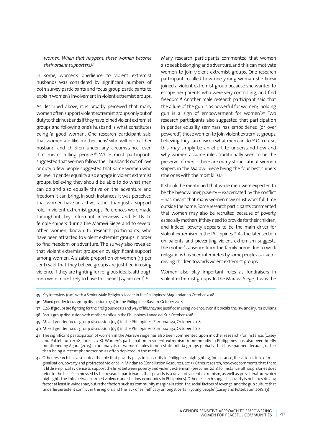#### *women. When that happens, these women become their ardent supporters.35*

In some, women's obedience to violent extremist husbands was considered by significant numbers of both survey participants and focus group participants to explain women's involvement in violent extremist groups.

As described above, it is broadly perceived that many women often support violent extremist groups only out of duty to their husbands if they have joined violent extremist groups and following one's husband is what constitutes being 'a good woman'. One research participant said that women are like 'mother hens' who will protect her husband and children under any circumstance, even if it means killing people. $36$  While most participants suggested that women follow their husbands out of love or duty, a few people suggested that some women who believe in gender equality also engage in violent extremist groups, believing they should be able to do what men can do and also equally thrive on the adventure and freedom it can bring. In such instances, it was perceived that women have an active, rather than just a support role, in violent extremist groups. References were made throughout key informant interviews and FGDs to female snipers during the Marawi Siege and to several other women, known to research participants, who have been attracted to violent extremist groups in order to find freedom or adventure. The survey also revealed that violent extremist groups enjoy significant support among women. A sizable proportion of women (19 per cent) said that they believe groups are justified in using violence if they are fighting for religious ideals, although men were more likely to have this belief (29 per cent).<sup>37</sup>

Many research participants commented that women also seek belonging and adventure, and this can motivate women to join violent extremist groups. One research participant recalled how one young woman she knew joined a violent extremist group because she wanted to escape her parents who were very controlling, and find freedom.38 Another male research participant said that the allure of the gun is as powerful for women; "holding gun is a sign of empowerment for women".39 Two research participants also suggested that participation in gender equality seminars has emboldened (or 'over powered') those women to join violent extremist groups, believing they can now do what men can do.<sup>40</sup> Of course, this may simply be an effort to understand how and why women assume roles traditionally seen to be the preserve of men – there are many stories about women snipers in the Marawi Siege being the four best snipers (the ones with the most kills).41

It should be mentioned that while men were expected to be the breadwinner, poverty – exacerbated by the conflict – has meant that many women now must work full-time outside the home. Some research participants commented that women may also be recruited because of poverty, especially mothers, if they need to provide for their children, and indeed, poverty appears to be the main driver for violent extremism in the Philippines.42 As the later section on parents and preventing violent extremism suggests, the mother's absence from the family home due to work obligations has been interpreted by some people as a factor driving children towards violent extremist groups.

Women also play important roles as fundraisers in violent extremist groups. In the Marawi Siege, it was the

- 36 Mixed gender focus group discussion (070) in the Philippines: Basilan, October 2018
- 37 Q46: If groups are fighting for their religious ideals and way of life, they are justified in using violence, even if it breaks the law and injures civilians
- 38 Focus group discussion with mothers (080) in the Philippines: Lanao del Sur, October 2018
- 39 Mixed gender focus group discussion (071) in the Philippines: Zamboanga, October 2018
- 40 Mixed gender focus group discussion (071) in the Philippines: Zamboanga, October 2018
- 41 The significant participation of women in the Marawi siege has also been commented upon in other research (for instance, (Casey and Pottebaum 2018, Jones 2018). Women's participation in violent extremism more broadly in Philippines has also been briefly mentioned by Agara (2015) in an analysis of women's roles in non-state militia groups globally that has spanned decades, rather than being a recent phenomenon as often depicted in the media.
- 42 Other research has also noted the role that poverty plays in insecurity in Philippines highlighting, for instance, the vicious circle of marginalisation, poverty and protracted violence in Mindanao (Conciliation Resources, 2015). Other research, however, comments that there is little empirical evidence to support the links between poverty and violent extremism (see Jones, 2018, for instance, although Jones does refer to the beliefs expressed by her research participants that poverty is a driver of violent extremism, as well as grey literature which highlights the links between armed violence and shadow economies in Philippines). Other research suggests poverty is not a key driving factor, at least in Mindanao, but rather factors such as 'community marginalization, the social factors of revenge, and the gun culture that underlie persistent conflict in the region, and the lack of self-efficacy amongst certain young people' (Casey and Pottebaum 2018, 13)

<sup>35</sup> Key interview (010) with a Senior Male Religious Leader in the Philippines: Maguindanao, October 2018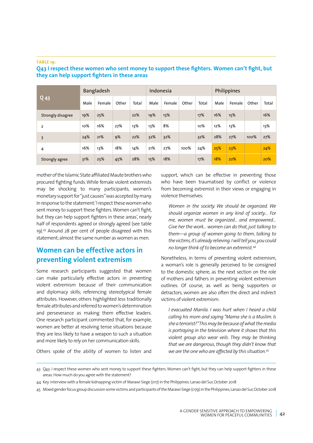#### **TABLE 19:**

|                   |      | Bangladesh |       |       | Indonesia |        |       |       |      | Philippines |       |       |
|-------------------|------|------------|-------|-------|-----------|--------|-------|-------|------|-------------|-------|-------|
| $Q$ 43            | Male | Female     | Other | Total | Male      | Female | Other | Total | Male | Female      | Other | Total |
| Strongly disagree | 19%  | 25%        |       | 22%   | 19%       | 15%    |       | 17%   | 16%  | 15%         |       | 16%   |
| $\overline{2}$    | 10%  | 16%        | 27%   | 13%   | 13%       | 8%     |       | 10%   | 12%  | 13%         |       | 13%   |
| 3                 | 24%  | 21%        | 9%    | 22%   | 32%       | 32%    |       | 32%   | 28%  | 27%         | 100%  | 27%   |
| 4                 | 16%  | 13%        | 18%   | 14%   | 21%       | 27%    | 100%  | 24%   | 25%  | 23%         |       | 24%   |
| Strongly agree    | 31%  | 25%        | 45%   | 28%   | 15%       | 18%    |       | 17%   | 18%  | 22%         |       | 20%   |

## **Q43 I respect these women who sent money to support these fighters. Women can't fight, but they can help support fighters in these areas**

mother of the Islamic State affiliated Maute brothers who procured fighting funds. While female violent extremists may be shocking to many participants, women's monetary support for "just causes" was accepted by many. In response to the statement: 'I respect these women who sent money to support these fighters. Women can't fight, but they can help support fighters in these areas', nearly half of respondents agreed or strongly agreed (see table 19).43 Around 28 per cent of people disagreed with this statement; almost the same number as women as men.

# **Women can be effective actors in preventing violent extremism**

Some research participants suggested that women can make particularly effective actors in preventing violent extremism because of their communication and diplomacy skills; referencing stereotypical female attributes. However, others highlighted less traditionally female attributes and referred to women's determination and perseverance as making them effective leaders. One research participant commented that, for example, women are better at resolving tense situations because they are less likely to have a weapon to such a situation and more likely to rely on her communication skills.

Others spoke of the ability of women to listen and

support, which can be effective in preventing those who have been traumatised by conflict or violence from becoming extremist in their views or engaging in violence themselves:

*Women in the society. We should be organized. We should organize women in any kind of society… For me, women must be organized... and empowered… Give her the work… women can do that, just talking to them—a group of women going to them, talking to the victims, it's already relieving. I will tell you, you could no longer think of to become an extremist.44*

Nonetheless, in terms of preventing violent extremism, a woman's role is generally perceived to be consigned to the domestic sphere, as the next section on the role of mothers and fathers in preventing violent extremism outlines. Of course, as well as being supporters or detractors, women are also often the direct and indirect victims of violent extremism:

*I evacuated Manila. I was hurt when I heard a child calling his mom and saying "Mama she is a Muslim. Is she a terrorist?" This may be because of what the media is portraying in the television where it shows that this violent group also wear veils. They may be thinking that we are dangerous, though they didn't know that we are the one who are affected by this situation.45*

<sup>43</sup> Q43: I respect these women who sent money to support these fighters. Women can't fight, but they can help support fighters in these areas. How much do you agree with the statement?

<sup>44</sup> Key interview with a female kidnapping victim of Marawi Siege (017) in the Philippines: Lanao del Sur, October 2018

<sup>45</sup> Mixed gender focus group discussion some victims and participants of the Marawi Siege (079) in the Philippines, Lanao del Sur, October 2018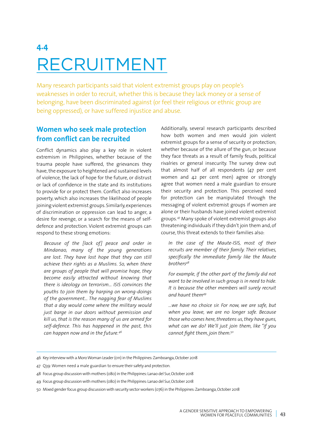# **4.4** RECRUITMENT

Many research participants said that violent extremist groups play on people's weaknesses in order to recruit, whether this is because they lack money or a sense of belonging, have been discriminated against (or feel their religious or ethnic group are being oppressed), or have suffered injustice and abuse.

# **Women who seek male protection from conflict can be recruited**

Conflict dynamics also play a key role in violent extremism in Philippines, whether because of the trauma people have suffered, the grievances they have, the exposure to heightened and sustained levels of violence, the lack of hope for the future, or distrust or lack of confidence in the state and its institutions to provide for or protect them. Conflict also increases poverty, which also increases the likelihood of people joining violent extremist groups. Similarly, experiences of discrimination or oppression can lead to anger, a desire for revenge, or a search for the means of selfdefence and protection. Violent extremist groups can respond to these strong emotions:

*Because of the [lack of] peace and order in Mindanao, many of the young generations are lost. They have lost hope that they can still achieve their rights as a Muslims. So, when there are groups of people that will promise hope, they become easily attracted without knowing that there is ideology on terrorism… ISIS convinces the youths to join them by harping on wrong-doings of the government… The nagging fear of Muslims that a day would come where the military would just barge in our doors without permission and kill us, that is the reason many of us are armed for self-defence. This has happened in the past, this can happen now and in the future.46*

Additionally, several research participants described how both women and men would join violent extremist groups for a sense of security or protection; whether because of the allure of the gun, or because they face threats as a result of family feuds, political rivalries or general insecurity. The survey drew out that almost half of all respondents (47 per cent women and 42 per cent men) agree or strongly agree that women need a male guardian to ensure their security and protection. This perceived need for protection can be manipulated through the messaging of violent extremist groups if women are alone or their husbands have joined violent extremist groups.47 Many spoke of violent extremist groups also threatening individuals if they didn't join them and, of course, this threat extends to their families also:

*In the case of the Maute-ISIS, most of their recruits are member of their family. Their relatives, specifically the immediate family like the Maute brothers48*

*For example, if the other part of the family did not want to be involved in such group is in need to hide. It is because the other members will surely recruit and haunt them49*

*…we have no choice sir. For now, we are safe, but when you leave, we are no longer safe. Because those who comes here, threatens us, they have guns, what can we do? We'll just join them, like "if you cannot fight them, join them.<sup>50</sup>*

- 46 Key interview with a Moro Woman Leader (011) in the Philippines: Zamboanga, October 2018
- 47 Q39: Women need a male guardian to ensure their safety and protection.
- 48 Focus group discussion with mothers (080) in the Philippines: Lanao del Sur, October 2018
- 49 Focus group discussion with mothers (080) in the Philippines: Lanao del Sur, October 2018
- 50 Mixed gender focus group discussion with security sector workers (076) in the Philippines: Zamboanga, October 2018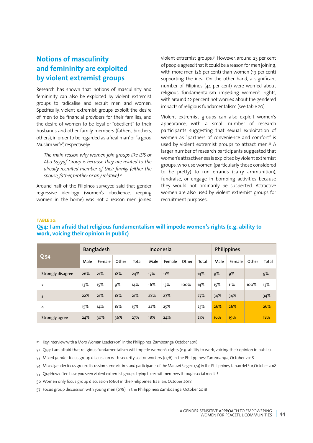# **Notions of masculinity and femininity are exploited by violent extremist groups**

Research has shown that notions of masculinity and femininity can also be exploited by violent extremist groups to radicalise and recruit men and women. Specifically, violent extremist groups exploit the desire of men to be financial providers for their families, and the desire of women to be loyal or "obedient" to their husbands and other family members (fathers, brothers, others), in order to be regarded as a 'real man' or "a good Muslim wife", respectively:

*The main reason why women join groups like ISIS or Abu Sayyaf Group is because they are related to the already recruited member of their family (either the spouse, father, brother or any relative).51*

Around half of the Filipinos surveyed said that gender regressive ideology (women's obedience, keeping women in the home) was not a reason men joined

violent extremist groups.<sup>52</sup> However, around 23 per cent of people agreed that it could be a reason for men joining, with more men (26 per cent) than women (19 per cent) supporting the idea. On the other hand, a significant number of Filipinos (44 per cent) were worried about religious fundamentalism impeding women's rights, with around 22 per cent not worried about the gendered impacts of religious fundamentalism (see table 20).

Violent extremist groups can also exploit women's appearance, with a small number of research participants suggesting that sexual exploitation of women as "partners of convenience and comfort" is used by violent extremist groups to attract men.<sup>53</sup> A larger number of research participants suggested that women's attractiveness is exploited by violent extremist groups, who use women (particularly those considered to be pretty) to run errands (carry ammunition), fundraise, or engage in bombing activities because they would not ordinarily be suspected. Attractive women are also used by violent extremist groups for recruitment purposes.

#### **TABLE 20:**

### **Q54: I am afraid that religious fundamentalism will impede women's rights (e.g. ability to work, voicing their opinion in public)**

|                   |      | Bangladesh |       |       | Indonesia |        |       |       |      | Philippines |       |       |
|-------------------|------|------------|-------|-------|-----------|--------|-------|-------|------|-------------|-------|-------|
| Q <sub>54</sub>   | Male | Female     | Other | Total | Male      | Female | Other | Total | Male | Female      | Other | Total |
| Strongly disagree | 26%  | 21%        | 18%   | 24%   | 17%       | 11%    |       | 14%   | 9%   | 9%          |       | 9%    |
| $\overline{2}$    | 13%  | 15%        | 9%    | 14%   | 16%       | 13%    | 100%  | 14%   | 15%  | 11%         | 100%  | 13%   |
| 3                 | 22%  | 21%        | 18%   | 21%   | 28%       | 27%    |       | 27%   | 34%  | 34%         |       | 34%   |
| 4                 | 15%  | 14%        | 18%   | 15%   | 22%       | 25%    |       | 23%   | 26%  | 26%         |       | 26%   |
| Strongly agree    | 24%  | 30%        | 36%   | 27%   | 18%       | 24%    |       | 21%   | 16%  | 19%         |       | 18%   |

51 Key interview with a Moro Woman Leader (011) in the Philippines: Zamboanga, October 2018

- 52 Q54: I am afraid that religious fundamentalism will impede women's rights (e.g. ability to work, voicing their opinion in public).
- 53 Mixed gender focus group discussion with security sector workers (076) in the Philippines: Zamboanga, October 2018
- 54 Mixed gender focus group discussion some victims and participants of the Marawi Siege (079) in the Philippines, Lanao del Sur, October 2018
- 55 Q13: How often have you seen violent extremist groups trying to recruit members through social media?
- 56 Women only focus group discussion (066) in the Philippines: Basilan, October 2018
- 57 Focus group discussion with young men (078) in the Philippines: Zamboanga, October 2018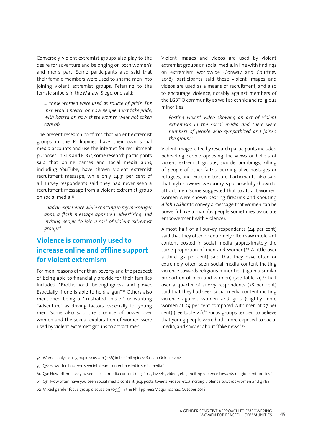Conversely, violent extremist groups also play to the desire for adventure and belonging on both women's and men's part. Some participants also said that their female members were used to shame men into joining violent extremist groups. Referring to the female snipers in the Marawi Siege, one said:

*… these women were used as source of pride. The men would preach on how people don't take pride, with hatred on how these women were not taken care of.51*

The present research confirms that violent extremist groups in the Philippines have their own social media accounts and use the internet for recruitment purposes. In KIIs and FDGs, some research participants said that online games and social media apps, including YouTube, have shown violent extremist recruitment message, while only 24.31 per cent of all survey respondents said they had never seen a recruitment message from a violent extremist group on social media:55

*I had an experience while chatting in my messenger apps, a flash message appeared advertising and inviting people to join a sort of violent extremist group.56*

# **Violence is commonly used to increase online and offline support for violent extremism**

For men, reasons other than poverty and the prospect of being able to financially provide for their families included: "Brotherhood, belongingness and power. Especially if one is able to hold a gun".57 Others also mentioned being a "frustrated soldier" or wanting "adventure" as driving factors, especially for young men. Some also said the promise of power over women and the sexual exploitation of women were used by violent extremist groups to attract men.

Violent images and videos are used by violent extremist groups on social media. In line with findings on extremism worldwide (Conway and Courtney 2018), participants said these violent images and videos are used as a means of recruitment, and also to encourage violence, notably against members of the LGBTIQ community as well as ethnic and religious minorities:

*Posting violent video showing an act of violent extremism in the social media and there were numbers of people who sympathized and joined the group.58*

Violent images cited by research participants included beheading people opposing the views or beliefs of violent extremist groups, suicide bombings, killing of people of other faiths, burning alive hostages or refugees, and extreme torture. Participants also said that high-powered weaponry is purposefully shown to attract men. Some suggested that to attract women, women were shown bearing firearms and shouting *Allahu Akbar* to convey a message that women can be powerful like a man (as people sometimes associate empowerment with violence).

Almost half of all survey respondents (44 per cent) said that they often or extremely often saw intolerant content posted in social media (approximately the same proportion of men and women).<sup>59</sup> A little over a third (32 per cent) said that they have often or extremely often seen social media content inciting violence towards religious minorities (again a similar proportion of men and women) (see table 21).<sup>60</sup> Just over a quarter of survey respondents (28 per cent) said that they had seen social media content inciting violence against women and girls (slightly more women at 29 per cent compared with men at 27 per cent) (see table 22). $61$  Focus groups tended to believe that young people were both more exposed to social media, and sayvier about "fake news" $62$ 

- 58 Women only focus group discussion (066) in the Philippines: Basilan, October 2018
- 59 Q8: How often have you seen intolerant content posted in social media?

61 Q11: How often have you seen social media content (e.g. posts, tweets, videos, etc.) inciting violence towards women and girls?

<sup>60</sup> Q9: How often have you seen social media content (e.g. Post, tweets, videos, etc.) inciting violence towards religious minorities?

<sup>62</sup> Mixed gender focus group discussion (093) in the Philippines: Maguindanao, October 2018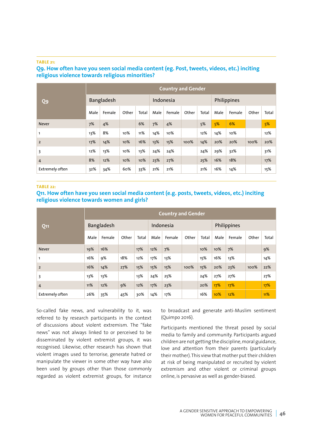#### **TABLE 21:**

# **Q9. How often have you seen social media content (eg. Post, tweets, videos, etc.) inciting religious violence towards religious minorities?**

|                        |      |            |       |       |      | <b>Country and Gender</b> |       |       |      |             |       |       |
|------------------------|------|------------|-------|-------|------|---------------------------|-------|-------|------|-------------|-------|-------|
| Q9                     |      | Bangladesh |       |       |      | Indonesia                 |       |       |      | Philippines |       |       |
| <b>Never</b>           | Male | Female     | Other | Total | Male | Female                    | Other | Total | Male | Female      | Other | Total |
|                        | 7%   | 4%         |       | 6%    | 7%   | 4%                        |       | 5%    | 5%   | 6%          |       | 5%    |
| 1                      | 13%  | 8%         | 10%   | 11%   | 14%  | 10%                       |       | 12%   | 14%  | 10%         |       | 12%   |
| $\overline{2}$         | 17%  | 14%        | 10%   | 16%   | 13%  | 15%                       | 100%  | 14%   | 20%  | 20%         | 100%  | 20%   |
| 3                      | 12%  | 13%        | 10%   | 13%   | 24%  | 24%                       |       | 24%   | 29%  | 32%         |       | 31%   |
| 4                      | 8%   | 12%        | 10%   | 10%   | 23%  | 27%                       |       | 25%   | 16%  | 18%         |       | 17%   |
| <b>Extremely often</b> | 32%  | 34%        | 60%   | 33%   | 21%  | 21%                       |       | 21%   | 16%  | 14%         |       | 15%   |

#### **TABLE 22:**

### **Q11. How often have you seen social media content (e.g. posts, tweets, videos, etc.) inciting religious violence towards women and girls?**

|                        | <b>Country and Gender</b> |            |       |       |      |           |       |       |      |             |       |       |  |  |
|------------------------|---------------------------|------------|-------|-------|------|-----------|-------|-------|------|-------------|-------|-------|--|--|
| Q11                    |                           | Bangladesh |       |       |      | Indonesia |       |       |      | Philippines |       |       |  |  |
| <b>Never</b>           | Male                      | Female     | Other | Total | Male | Female    | Other | Total | Male | Female      | Other | Total |  |  |
|                        | 19%                       | 16%        |       | 17%   | 12%  | 7%        |       | 10%   | 10%  | 7%          |       | 9%    |  |  |
| 1                      | 16%                       | <b>9%</b>  | 18%   | 12%   | 17%  | 13%       |       | 15%   | 16%  | 13%         |       | 14%   |  |  |
| $\overline{2}$         | 16%                       | 14%        | 27%   | 15%   | 15%  | 15%       | 100%  | 15%   | 20%  | 23%         | 100%  | 22%   |  |  |
| 3                      | 13%                       | 13%        |       | 13%   | 24%  | 25%       |       | 24%   | 27%  | 27%         |       | 27%   |  |  |
| 4                      | 11%                       | 12%        | 9%    | 12%   | 17%  | 23%       |       | 20%   | 17%  | 17%         |       | 17%   |  |  |
| <b>Extremely often</b> | 26%                       | 35%        | 45%   | 30%   | 14%  | 17%       |       | 16%   | 10%  | 12%         |       | 11%   |  |  |

So-called fake news, and vulnerability to it, was referred to by research participants in the context of discussions about violent extremism. The "fake news" was not always linked to or perceived to be disseminated by violent extremist groups, it was recognised. Likewise, other research has shown that violent images used to terrorise, generate hatred or manipulate the viewer in some other way have also been used by groups other than those commonly regarded as violent extremist groups, for instance

to broadcast and generate anti-Muslim sentiment (Quimpo 2016).

Participants mentioned the threat posed by social media to family and community. Participants argued children are not getting the discipline, moral guidance, love and attention from their parents (particularly their mother). This view that mother put their children at risk of being manipulated or recruited by violent extremism and other violent or criminal groups online, is pervasive as well as gender-biased.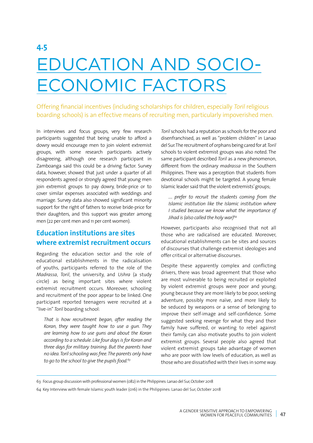# **4.5** EDUCATION AND SOCIO-ECONOMIC FACTORS

Offering financial incentives (including scholarships for children, especially *Toril* religious boarding schools) is an effective means of recruiting men, particularly impoverished men.

In interviews and focus groups, very few research participants suggested that being unable to afford a dowry would encourage men to join violent extremist groups, with some research participants actively disagreeing, although one research participant in Zamboanga said this could be a driving factor. Survey data, however, showed that just under a quarter of all respondents agreed or strongly agreed that young men join extremist groups to pay dowry, bride-price or to cover similar expenses associated with weddings and marriage. Survey data also showed significant minority support for the right of fathers to receive bride-price for their daughters, and this support was greater among men (22 per cent men and 11 per cent women).

# **Education institutions are sites where extremist recruitment occurs**

Regarding the education sector and the role of educational establishments in the radicalisation of youths, participants referred to the role of the *Madrassa*, *Toril*, the university, and *Ushra* (a study circle) as being important sites where violent extremist recruitment occurs. Moreover, schooling and recruitment of the poor appear to be linked. One participant reported teenagers were recruited at a "live-in" *Toril* boarding school:

*That is how recruitment began, after reading the Koran, they were taught how to use a gun. They are learning how to use guns and about the Koran according to a schedule. Like four days is for Koran and three days for military training. But the parents have no idea. Toril schooling was free. The parents only have to go to the school to give the pupils food.63*

*Toril* schools had a reputation as schools for the poor and disenfranchised, as well as "problem children" in Lanao del Sur. The recruitment of orphans being cared for at *Toril* schools to violent extremist groups was also noted. The same participant described *Toril* as a new phenomenon, different from the ordinary *madrassa* in the Southern Philippines. There was a perception that students from devotional schools might be targeted. A young female Islamic leader said that the violent extremists' groups;

*…. prefer to recruit the students coming from the Islamic institution like the Islamic institution where I studied because we know what the importance of Jihad is (also called the holy war)64*

However, participants also recognised that not all those who are radicalised are educated. Moreover, educational establishments can be sites and sources of discourses that challenge extremist ideologies and offer critical or alternative discourses.

Despite these apparently complex and conflicting drivers, there was broad agreement that those who are most vulnerable to being recruited or exploited by violent extremist groups were poor and young; young because they are more likely to be poor, seeking adventure, possibly more naïve, and more likely to be seduced by weapons or a sense of belonging to improve their self-image and self-confidence. Some suggested seeking revenge for what they and their family have suffered, or wanting to rebel against their family, can also motivate youths to join violent extremist groups. Several people also agreed that violent extremist groups take advantage of women who are poor with low levels of education, as well as those who are dissatisfied with their lives in some way.

<sup>63</sup> Focus group discussion with professional women (082) in the Philippines: Lanao del Sur, October 2018

<sup>64</sup> Key Interview with female Islamic youth leader (016) in the Philippines: Lanao del Sur, October 2018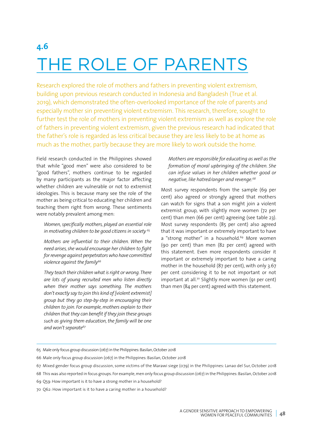# **4.6** THE ROLE OF PARENTS

Research explored the role of mothers and fathers in preventing violent extremism, building upon previous research conducted in Indonesia and Bangladesh (True et al. 2019), which demonstrated the often-overlooked importance of the role of parents and especially mother sin preventing violent extremism. This research, therefore, sought to further test the role of mothers in preventing violent extremism as well as explore the role of fathers in preventing violent extremism, given the previous research had indicated that the father's role is regarded as less critical because they are less likely to be at home as much as the mother, partly because they are more likely to work outside the home.

Field research conducted in the Philippines showed that while "good men" were also considered to be "good fathers", mothers continue to be regarded by many participants as the major factor affecting whether children are vulnerable or not to extremist ideologies. This is because many see the role of the mother as being critical to educating her children and teaching them right from wrong. These sentiments were notably prevalent among men:

*Women, specifically mothers, played an essential role in motivating children to be good citizens in society <sup>65</sup>*

*Mothers are influential to their children. When the need arises, she would encourage her children to fight for revenge against perpetrators who have committed violence against the family66*

*They teach their children what is right or wrong. There are lots of young recruited men who listen directly when their mother says something. The mothers don't exactly say to join this kind of [violent extremist] group but they go step-by-step in encouraging their children to join. For example, mothers explain to their children that they can benefit if they join these groups such as giving them education, the family will be one and won't separate67*

*Mothers are responsible for educating as well as the formation of moral upbringing of the children. She can infuse values in her children whether good or negative, like hatred/anger and revenge.68*

Most survey respondents from the sample (69 per cent) also agreed or strongly agreed that mothers can watch for signs that a son might join a violent extremist group, with slightly more women (72 per cent) than men (66 per cent) agreeing (see table 23). Most survey respondents (85 per cent) also agreed that it was important or extremely important to have a "strong mother" in a household.<sup>69</sup> More women (90 per cent) than men (82 per cent) agreed with this statement. Even more respondents consider it important or extremely important to have a caring mother in the household (87 per cent), with only 3.67 per cent considering it to be not important or not important at all.<sup>70</sup> Slightly more women (91 per cent) than men (84 per cent) agreed with this statement.

67 Mixed gender focus group discussion, some victims of the Marawi siege (079) in the Philippines: Lanao del Sur, October 2018

<sup>65</sup> Male only focus group discussion (067) in the Philippines: Basilan, October 2018

<sup>66</sup> Male only focus group discussion (067) in the Philippines: Basilan, October 2018

<sup>68</sup> This was also reported in focus groups. For example, men only focus group discussion (067) in the Philippines: Basilan, October 2018

<sup>69</sup> Q59: How important is it to have a strong mother in a household?

<sup>70</sup> Q62: How important is it to have a caring mother in a household?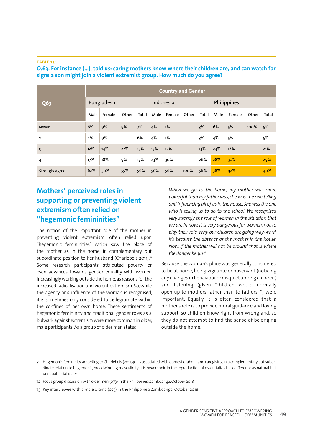#### **TABLE 23:**

|                | <b>Country and Gender</b> |            |       |       |      |           |       |       |      |             |       |       |  |  |
|----------------|---------------------------|------------|-------|-------|------|-----------|-------|-------|------|-------------|-------|-------|--|--|
| Q63            |                           | Bangladesh |       |       |      | Indonesia |       |       |      | Philippines |       |       |  |  |
| <b>Never</b>   | Male                      | Female     | Other | Total | Male | Female    | Other | Total | Male | Female      | Other | Total |  |  |
|                | 6%                        | 9%         | 9%    | 7%    | 4%   | 1%        |       | 3%    | 6%   | 5%          | 100%  | 5%    |  |  |
| $\overline{2}$ | 4%                        | 9%         |       | 6%    | 4%   | 1%        |       | 3%    | 4%   | 5%          |       | 5%    |  |  |
| $\overline{3}$ | 12%                       | 14%        | 27%   | 13%   | 13%  | 12%       |       | 13%   | 24%  | 18%         |       | 21%   |  |  |
| 4              | 17%                       | 18%        | 9%    | 17%   | 23%  | 30%       |       | 26%   | 28%  | 30%         |       | 29%   |  |  |
| Strongly agree | 62%                       | 50%        | 55%   | 56%   | 56%  | 56%       | 100%  | 56%   | 38%  | 42%         |       | 40%   |  |  |

**Q.63. For instance (…), told us: caring mothers know where their children are, and can watch for signs a son might join a violent extremist group. How much do you agree?** 

# **Mothers' perceived roles in supporting or preventing violent extremism often relied on "hegemonic femininities"**

The notion of the important role of the mother in preventing violent extremism often relied upon "hegemonic femininities" which saw the place of the mother as in the home, in complementary but subordinate position to her husband (Charlebois 2011).<sup>71</sup> Some research participants attributed poverty or even advances towards gender equality with women increasingly working outside the home, as reasons for the increased radicalisation and violent extremism. So, while the agency and influence of the woman is recognised, it is sometimes only considered to be legitimate within the confines of her own home. These sentiments of hegemonic femininity and traditional gender roles as a bulwark against extremism were more common in older, male participants. As a group of older men stated:

*When we go to the home, my mother was more powerful than my father was, she was the one telling and influencing all of us in the house. She was the one who is telling us to go to the school. We recognized very strongly the role of women in the situation that we are in now. It is very dangerous for women, not to play their role. Why our children are going way-ward, it's because the absence of the mother in the house. Now, if the mother will not be around that is where the danger begins72*

Because the woman's place was generally considered to be at home, being vigilante or observant (noticing any changes in behaviour or disquiet among children) and listening (given "children would normally open up to mothers rather than to fathers"73) were important. Equally, it is often considered that a mother's role is to provide moral guidance and loving support, so children know right from wrong and, so they do not attempt to find the sense of belonging outside the home.

<sup>71</sup> Hegemonic femininity, according to Charlebois (2011, 30) is associated with domestic labour and caregiving in a complementary but subordinate relation to hegemonic, breadwinning masculinity. It is hegemonic in the reproduction of essentialized sex difference as natural but unequal social order

<sup>72</sup> Focus group discussion with older men (073) in the Philippines: Zamboanga, October 2018

<sup>73</sup> Key interviewee with a male Ulama (073) in the Philippines: Zamboanga, October 2018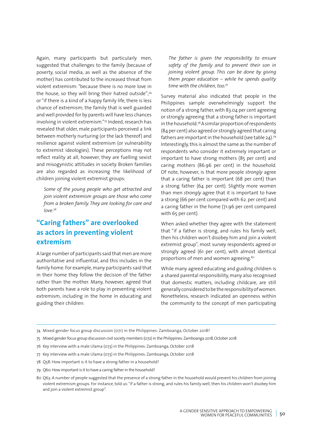Again, many participants but particularly men, suggested that challenges to the family (because of poverty, social media, as well as the absence of the mother) has contributed to the increased threat from violent extremism: "because there is no more love in the house, so they will bring their hatred outside";74 or "if there is a kind of a happy family life, there is less chance of extremism; the family that is well guarded and well provided for by parents will have less chances involving in violent extremism."75 Indeed, research has revealed that older, male participants perceived a link between motherly nurturing (or the lack thereof) and resilience against violent extremism (or vulnerability to extremist ideologies). These perceptions may not reflect reality at all, however, they are fuelling sexist and misogynistic attitudes in society. Broken families are also regarded as increasing the likelihood of children joining violent extremist groups:

*Some of the young people who get attracted and join violent extremism groups are those who come from a broken family. They are looking for care and love.76*

# **"Caring fathers" are overlooked as actors in preventing violent extremism**

A large number of participants said that men are more authoritative and influential, and this includes in the family home. For example, many participants said that in their home they follow the decision of the father rather than the mother. Many, however, agreed that both parents have a role to play in preventing violent extremism, including in the home in educating and guiding their children:

*The father is given the responsibility to ensure safety of the family and to prevent their son in joining violent group. This can be done by giving them proper education – while he spends quality time with the children, too.77*

Survey material also indicated that people in the Philippines sample overwhelmingly support the notion of a strong father, with 83.04 per cent agreeing or strongly agreeing that a strong father is important in the household.78 A similar proportion of respondents (84 per cent) also agreed or strongly agreed that caring fathers are important in the household (see table 24).79 Interestingly, this is almost the same as the number of respondents who consider it extremely important or important to have strong mothers (85 per cent) and caring mothers (86.96 per cent) in the household. Of note, however, is that more people *strongly* agree that a caring father is important (68 per cent) than a strong father (64 per cent). Slightly more women than men *strongly* agree that it is important to have a strong (66 per cent compared with 62. per cent) and a caring father in the home (71.96 per cent compared with 65 per cent).

When asked whether they agree with the statement that "if a father is strong, and rules his family well, then his children won't disobey him and join a violent extremist group", most survey respondents agreed or strongly agreed (61 per cent), with almost identical proportions of men and women agreeing.<sup>80</sup>

While many agreed educating and guiding children is a shared parental responsibility, many also recognised that domestic matters, including childcare, are still generally considered to be the responsibility of women. Nonetheless, research indicated an openness within the community to the concept of men participating

- 74 Mixed gender focus group discussion (071) in the Philippines: Zamboanga, October 2018?
- 75 Mixed gender focus group discussion civil society members (072) in the Philippines: Zamboanga 2018, October 2018
- 76 Key interview with a male Ulama (073) in the Philippines: Zamboanga, October 2018
- 77 Key interview with a male Ulama (073) in the Philippines: Zamboanga, October 2018
- 78 Q58: How important is it to have a strong father in a household?
- 79 Q60: How important is it to have a caring father in the household?
- 80 Q63: A number of people suggested that the presence of a strong father in the household would prevent his children from joining violent extremism groups. For instance, told us: "if a father is strong, and rules his family well, then his children won't disobey him and join a violent extremist group".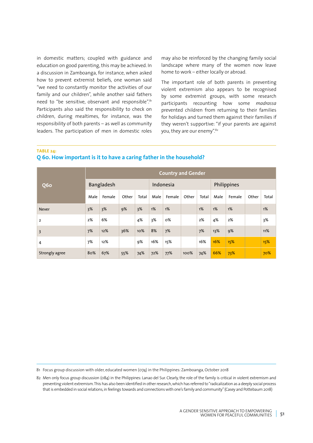in domestic matters; coupled with guidance and education on good parenting, this may be achieved. In a discussion in Zamboanga, for instance, when asked how to prevent extremist beliefs, one woman said "we need to constantly monitor the activities of our family and our children", while another said fathers need to "be sensitive, observant and responsible".<sup>81</sup> Participants also said the responsibility to check on children, during mealtimes, for instance, was the responsibility of both parents – as well as community leaders. The participation of men in domestic roles

may also be reinforced by the changing family social landscape where many of the women now leave home to work – either locally or abroad.

The important role of both parents in preventing violent extremism also appears to be recognised by some extremist groups, with some research participants recounting how some *madrassa* prevented children from returning to their families for holidays and turned them against their families if they weren't supportive: "if your parents are against you, they are our enemy".<sup>82</sup>

**TABLE 24:** 

## **Q 60. How important is it to have a caring father in the household?**

|                |      |            |       |       |      | <b>Country and Gender</b> |       |       |      |             |       |       |
|----------------|------|------------|-------|-------|------|---------------------------|-------|-------|------|-------------|-------|-------|
| <b>Q6o</b>     |      | Bangladesh |       |       |      | Indonesia                 |       |       |      | Philippines |       |       |
| <b>Never</b>   | Male | Female     | Other | Total | Male | Female                    | Other | Total | Male | Female      | Other | Total |
|                | 3%   | 3%         | 9%    | 3%    | 1%   | 1%                        |       | 1%    | 1%   | 1%          |       | 1%    |
| $\overline{2}$ | 2%   | 6%         |       | 4%    | 3%   | 0%                        |       | 2%    | 4%   | 2%          |       | 3%    |
| $\overline{3}$ | 7%   | 12%        | 36%   | 10%   | 8%   | 7%                        |       | 7%    | 13%  | 9%          |       | 11%   |
| 4              | 7%   | 12%        |       | 9%    | 16%  | 15%                       |       | 16%   | 16%  | 15%         |       | 15%   |
| Strongly agree | 80%  | 67%        | 55%   | 74%   | 72%  | 77%                       | 100%  | 74%   | 66%  | 73%         |       | 70%   |

81 Focus group discussion with older, educated women (074) in the Philippines: Zamboanga, October 2018

<sup>82</sup> Men only focus group discussion (084) in the Philippines: Lanao del Sur. Clearly, the role of the family is critical in violent extremism and preventing violent extremism. This has also been identified in other research, which has referred to "radicalization as a deeply social process that is embedded in social relations, in feelings towards and connections with one's family and community" (Casey and Pottebaum 2018)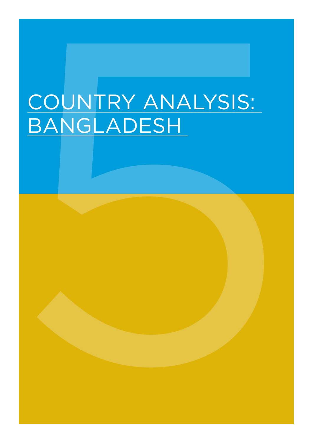# COUNTRY ANALYSIS:<br>BANGLADESH COUNTRY ANALYSIS: BANGLADESH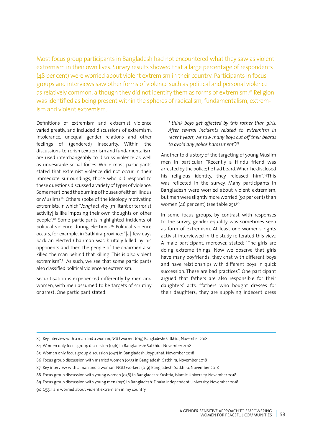Most focus group participants in Bangladesh had not encountered what they saw as violent extremism in their own lives. Survey results showed that a large percentage of respondents (48 per cent) were worried about violent extremism in their country. Participants in focus groups and interviews saw other forms of violence such as political and personal violence as relatively common, although they did not identify them as forms of extremism.<sup>83</sup> Religion was identified as being present within the spheres of radicalism, fundamentalism, extremism and violent extremism.

Definitions of extremism and extremist violence varied greatly, and included discussions of extremism, intolerance, unequal gender relations and other feelings of (gendered) insecurity. Within the discussions, terrorism, extremism and fundamentalism are used interchangeably to discuss violence as well as undesirable social forces. While most participants stated that extremist violence did not occur in their immediate surroundings, those who did respond to these questions discussed a variety of types of violence. Some mentioned the burning of houses of either Hindus or Muslims.84 Others spoke of the ideology motivating extremists, in which "*Jongi* activity [militant or terrorist activity] is like imposing their own thoughts on other people".85 Some participants highlighted incidents of political violence during elections.<sup>86</sup> Political violence occurs, for example, in Satkhira province: "[a] few days back an elected Chairman was brutally killed by his opponents and then the people of the chairmen also killed the man behind that killing. This is also violent extremism".<sup>87</sup> As such, we see that some participants also classified political violence as extremism.

Securitisation is experienced differently by men and women, with men assumed to be targets of scrutiny or arrest. One participant stated:

*I think boys get affected by this rather than girls. After several incidents related to extremism in recent years, we saw many boys cut off their beards to avoid any police harassment".88*

Another told a story of the targeting of young Muslim men in particular: "Recently a Hindu friend was arrested by the police; he had beard. When he disclosed his religious identity, they released him".<sup>89</sup>This was reflected in the survey. Many participants in Bangladesh were worried about violent extremism, but men were slightly more worried (50 per cent) than women (46 per cent) (see table 25).90

In some focus groups, by contrast with responses to the survey, gender equality was sometimes seen as form of extremism. At least one women's rights activist interviewed in the study reiterated this view. A male participant, moreover, stated: "The girls are doing extreme things. Now we observe that girls have many boyfriends; they chat with different boys and have relationships with different boys in quick succession. These are bad practices". One participant argued that fathers are also responsible for their daughters' acts, "fathers who bought dresses for their daughters; they are supplying indecent dress

- 84 Women only focus group discussion (036) in Bangladesh: Satkhira, November 2018
- 85 Women only focus group discussion (047) in Bangladesh: Joypurhat, November 2018

- 88 Focus group discussion with young women (058) in Bangladesh: Kushtia, Islamic University, November 2018
- 89 Focus group discussion with young men (052) in Bangladesh: Dhaka Independent University, November 2018
- 90 Q55. I am worried about violent extremism in my country

<sup>83</sup> Key interview with a man and a woman, NGO workers (019) Bangladesh: Satkhira, November 2018

<sup>86</sup> Focus group discussion with married women (035) in Bangladesh: Satkhira, November 2018

<sup>87</sup> Key interview with a man and a woman, NGO workers (019) Bangladesh: Satkhira, November 2018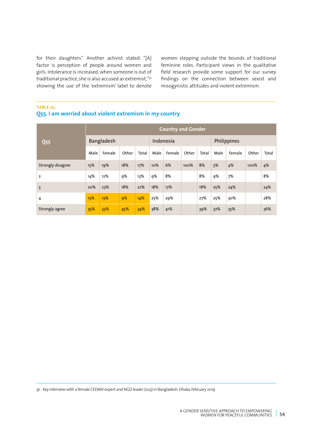for their daughters". Another activist stated: "[A] factor is perception of people around women and girls. Intolerance is increased, when someone is out of traditional practice, she is also accused as extremist,"91 showing the use of the 'extremism' label to denote women stepping outside the bounds of traditional feminine roles. Participant views in the qualitative field research provide some support for our survey findings on the connection between sexist and misogynistic attitudes and violent extremism.

# **TABLE 25:**

## **Q55. I am worried about violent extremism in my country**

|                   |      |            |       |       |      | <b>Country and Gender</b> |       |       |      |             |       |       |
|-------------------|------|------------|-------|-------|------|---------------------------|-------|-------|------|-------------|-------|-------|
| <b>Q55</b>        |      | Bangladesh |       |       |      | Indonesia                 |       |       |      | Philippines |       |       |
| Strongly disagree | Male | Female     | Other | Total | Male | Female                    | Other | Total | Male | Female      | Other | Total |
|                   | 15%  | 19%        | 18%   | 17%   | 10%  | 6%                        | 100%  | 8%    | 5%   | 4%          | 100%  | 4%    |
| $\overline{2}$    | 14%  | 12%        | 9%    | 13%   | 9%   | 8%                        |       | 8%    | 9%   | 7%          |       | 8%    |
| $\overline{3}$    | 20%  | 23%        | 18%   | 22%   | 18%  | 17%                       |       | 18%   | 25%  | 24%         |       | 24%   |
| 4                 | 15%  | 13%        | 9%    | 14%   | 25%  | 29%                       |       | 27%   | 25%  | 30%         |       | 28%   |
| Strongly agree    | 35%  | 33%        | 45%   | 34%   | 38%  | 41%                       |       | 39%   | 37%  | 35%         |       | 36%   |

91 Key interview with a female CEDAW expert and NGO leader (023) in Bangladesh: Dhaka, February 2019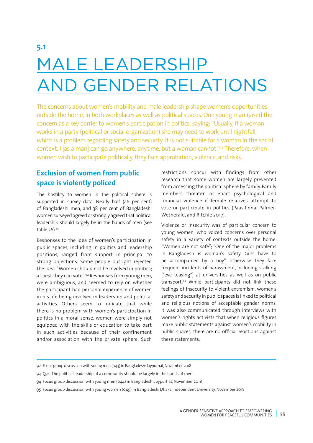# **5.1** MALE LEADERSHIP AND GENDER RELATIONS

The concerns about women's mobility and male leadership shape women's opportunities outside the home, in both workplaces as well as political spaces. One young man raised the concern as a key barrier to women's participation in politics, saying: "Usually, if a woman works in a party (political or social organization) she may need to work until nightfall, which is a problem regarding safety and security. It is not suitable for a woman in the social context. I [as a man] can go anywhere, anytime, but a woman cannot".92 Therefore, when women wish to participate politically, they face approbation, violence, and risks.

# **Exclusion of women from public space is violently policed**

The hostility to women in the political sphere is supported in survey data. Nearly half (46 per cent) of Bangladeshi men, and 38 per cent of Bangladeshi women surveyed agreed or strongly agreed that political leadership should largely be in the hands of men (see table 26).93

Responses to the idea of women's participation in public spaces, including in politics and leadership positions, ranged from support in principal to strong objections. Some people outright rejected the idea. "Women should not be involved in politics; at best they can vote".94 Responses from young men, were ambiguous, and seemed to rely on whether the participant had personal experience of women in his life being involved in leadership and political activities. Others seem to indicate that while there is no problem with women's participation in politics in a moral sense, women were simply not equipped with the skills or education to take part in such activities because of their confinement and/or association with the private sphere. Such

restrictions concur with findings from other research that some women are largely prevented from accessing the political sphere by family. Family members threaten or enact psychological and financial violence if female relatives attempt to vote or participate in politics (Paasilinna, Palmer-Wetherald, and Ritchie 2017).

Violence or insecurity was of particular concern to young women, who voiced concerns over personal safety in a variety of contexts outside the home: "Women are not safe"; "One of the major problems in Bangladesh is woman's safety. Girls have to be accompanied by a boy", otherwise they face frequent incidents of harassment, including stalking ("eve teasing") at universities as well as on public transport.95 While participants did not link these feelings of insecurity to violent extremism, women's safety and security in public spaces is linked to political and religious notions of acceptable gender norms. It was also communicated through interviews with women's rights activists that when religious figures make public statements against women's mobility in public spaces, there are no official reactions against these statements.

<sup>92</sup> Focus group discussion with young men (043) in Bangladesh: Joypurhat, November 2018

<sup>93</sup> Q34. The political leadership of a community should be largely in the hands of men

<sup>94</sup> Focus group discussion with young men (044) in Bangladesh: Joypurhat, November 2018

<sup>95</sup> Focus group discussion with young women (049) in Bangladesh: Dhaka Independent University, November 2018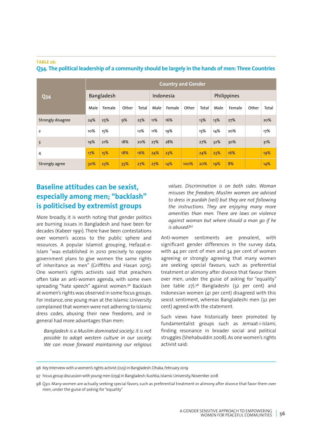| <b>Q34</b>        | <b>Country and Gender</b> |            |       |       |           |        |       |             |      |        |       |       |
|-------------------|---------------------------|------------|-------|-------|-----------|--------|-------|-------------|------|--------|-------|-------|
|                   |                           | Bangladesh |       |       | Indonesia |        |       | Philippines |      |        |       |       |
|                   | Male                      | Female     | Other | Total | Male      | Female | Other | Total       | Male | Female | Other | Total |
| Strongly disagree | 24%                       | 25%        | 9%    | 25%   | 11%       | 16%    |       | 13%         | 13%  | 27%    |       | 20%   |
| 2                 | 10%                       | 15%        |       | 12%   | 11%       | 19%    |       | 15%         | 14%  | 20%    |       | 17%   |
| 3                 | 19%                       | 21%        | 18%   | 20%   | 27%       | 28%    |       | 27%         | 32%  | 30%    |       | 31%   |
| 4                 | 17%                       | 15%        | 18%   | 16%   | 24%       | 23%    |       | 24%         | 23%  | 16%    |       | 19%   |
| Strongly agree    | 30%                       | 23%        | 55%   | 27%   | 27%       | 14%    | 100%  | 20%         | 19%  | 8%     |       | 14%   |

#### **TABLE 26: Q34. The political leadership of a community should be largely in the hands of men: Three Countries**

# **Baseline attitudes can be sexist, especially among men; "backlash" is politicised by extremist groups**

More broadly, it is worth noting that gender politics are burning issues in Bangladesh and have been for decades (Kabeer 1991). There have been contestations over women's access to the public sphere and resources. A popular Islamist grouping, Hefazat-e-Islam "was established in 2010 precisely to oppose government plans to give women the same rights of inheritance as men" (Griffiths and Hasan 2015). One women's rights activists said that preachers often take an anti-women agenda, with some even spreading "hate speech" against women.<sup>96</sup> Backlash at women's rights was observed in some focus groups. For instance, one young man at the Islamic University complained that women were not adhering to Islamic dress codes, abusing their new freedoms, and in general had more advantages than men:

*Bangladesh is a Muslim dominated society; it is not possible to adopt western culture in our society. We can move forward maintaining our religious*  *values. Discrimination is on both sides. Woman misuses the freedom; Muslim women are advised to dress in purdah (veil) but they are not following the instructions. They are enjoying many more amenities than men. There are laws on violence against woman but where should a man go if he is abused?97*

Anti-women sentiments are prevalent, with significant gender differences in the survey data, with 44 per cent of men and 34 per cent of women agreeing or strongly agreeing that many women are seeking special favours, such as preferential treatment or alimony after divorce that favour them over men, under the guise of asking for "equality" (see table 27).98 Bangladeshi (32 per cent) and Indonesian women (41 per cent) disagreed with this sexist sentiment, whereas Bangladeshi men (32 per cent) agreed with the statement.

Such views have historically been promoted by fundamentalist groups such as Jemaat-i-Islami, finding resonance in broader social and political struggles (Shehabuddin 2008). As one women's rights activist said:

<sup>96</sup> Key Interview with a women's rights activist (023) in Bangladesh: Dhaka, February 2019

<sup>97</sup> Focus group discussion with young men (059) in Bangladesh: Kushtia, Islamic University, November 2018

<sup>98</sup> Q30. Many women are actually seeking special favors, such as preferential treatment or alimony after divorce that favor them over men, under the guise of asking for "equality"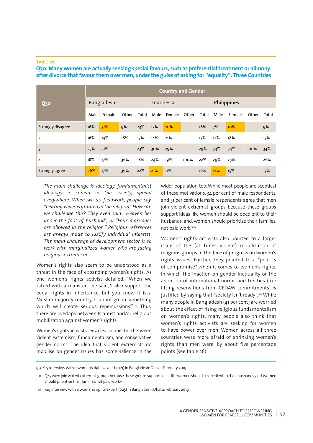#### **TABLE 27:**

**Q30 Country and Gender**  Bangladesh Indonesia Philippines Male | Female | Other | Total | Male | Female | Other | Total | Male | Female | Other | Total Strongly disagree 16% 31% 9% 23% 12% 20% 16% 7% 10% 9% 2 16% 14% 16% 17% 21% 17% 12% 18% 18% 15% 3 25% 21% 23% 30% 29% 29% 34% 34% 100% 34% 4 18% 17% 36% 18% 24% 19% 100% 22% 29% 23% 26% Strongly agree 26% 17% 36% 22% 21% 11% 16% 18% 15% 17%

## **Q30. Many women are actually seeking special favours, such as preferential treatment or alimony after divorce that favour them over men, under the guise of asking for "equality": Three Countries**

*The main challenge is ideology, fundamentalist ideology is spread in the society, spread everywhere. When we do fieldwork, people say, "beating wives is granted in the religion". How can we challenge this? They even said: "Heaven lies under the foot of husband", or "Four marriages are allowed in the religion." Religious references are always made to justify individual interests. The main challenge of development sector is to work with marginalized women who are facing religious extremism.*

Women's rights also seem to be understood as a threat in the face of expanding women's rights. As one women's rights activist detailed: "When we talked with a minister… he said, 'I also support the equal rights in inheritance, but you know it is a Muslim majority country, I cannot go on something which will create serious repercussions".99 Thus, there are overlaps between Islamist and/or religious mobilization against women's rights.

Women's rights activists see a clear connection between violent extremism, fundamentalism, and conservative gender norms. The idea that violent extremists do mobilise on gender issues has some salience in the wider population too. While most people are sceptical of these motivations, 34 per cent of male respondents, and 31 per cent of female respondents agree that men join violent extremist groups because these groups support ideas like women should be obedient to their husbands, and, women should prioritise their families, not paid work.100

Women's rights activists also pointed to a larger issue of the (at times violent) mobilization of religious groups in the face of progress on women's rights issues. Further, they pointed to a "politics of compromise" when it comes to women's rights, in which the inaction on gender inequality or the adoption of international norms and treaties (like lifting reservations from CEDAW commitments) is justified by saying that "society isn't ready".<sup>101</sup> While many people in Bangladesh (41 per cent) are worried about the effect of rising religious fundamentalism on women's rights, many people also think that women's rights activists are seeking for women to have power over men. Women across all three countries were more afraid of shrinking women's rights than men were, by about five percentage points (see table 28).

99 Key interview with a women's rights expert (021) in Bangladesh: Dhaka, February 2019

<sup>100</sup> Q47. Men join violent extremist groups because these groups support ideas like women should be obedient to their husbands, and, women should prioritise their families, not paid workv

<sup>101</sup> Key interview with a women's rights expert (025) in Bangladesh: Dhaka, February 2019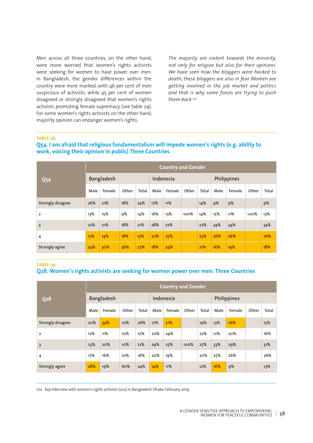Men across all three countries, on the other hand, were more worried that women's rights activists were seeking for women to have power over men. In Bangladesh, the gender differences within the country were more marked, with 46 per cent of men suspicious of activists, while 45 per cent of women disagreed or strongly disagreed that women's rights activists promoting female supremacy (see table 29). For some women's rights activists on the other hand, majority opinion can endanger women's rights:

*The majority are violent towards the minority; not only for religion but also for their opinions. We have seen how the bloggers were hacked to death; these bloggers are also in fear. Women are getting involved in the job market and politics and that is why some forces are trying to push them back.102*

#### **TABLE 28:**

### **Q54. I am afraid that religious fundamentalism will impede women's rights (e.g. ability to work, voicing their opinion in public) Three Countries**

| <b>Q54</b>        |      | <b>Country and Gender</b> |       |       |           |        |       |             |      |        |       |       |  |  |
|-------------------|------|---------------------------|-------|-------|-----------|--------|-------|-------------|------|--------|-------|-------|--|--|
|                   |      | Bangladesh                |       |       | Indonesia |        |       | Philippines |      |        |       |       |  |  |
|                   | Male | Female                    | Other | Total | Male      | Female | Other | Total       | Male | Female | Other | Total |  |  |
| Strongly disagree | 26%  | 21%                       | 18%   | 24%   | 17%       | 11%    |       | 14%         | 9%   | 9%     |       | 9%    |  |  |
| $\overline{2}$    | 13%  | 15%                       | 9%    | 14%   | 16%       | 13%    | 100%  | 14%         | 15%  | 11%    | 100%  | 13%   |  |  |
| $\overline{3}$    | 22%  | 21%                       | 18%   | 21%   | 28%       | 27%    |       | 27%         | 34%  | 34%    |       | 34%   |  |  |
| 4                 | 15%  | 14%                       | 18%   | 15%   | 22%       | 25%    |       | 23%         | 26%  | 26%    |       | 26%   |  |  |
| Strongly agree    | 24%  | 30%                       | 36%   | 27%   | 18%       | 24%    |       | 21%         | 16%  | 19%    |       | 18%   |  |  |

**TABLE 29:** 

### **Q28. Women's rights activists are seeking for women power over men: Three Countries**

| <b>Q28</b>        |      | <b>Country and Gender</b> |       |       |           |        |       |             |      |        |       |       |  |  |
|-------------------|------|---------------------------|-------|-------|-----------|--------|-------|-------------|------|--------|-------|-------|--|--|
|                   |      | Bangladesh                |       |       | Indonesia |        |       | Philippines |      |        |       |       |  |  |
|                   | Male | Female                    | Other | Total | Male      | Female | Other | Total       | Male | Female | Other | Total |  |  |
| Strongly disagree | 20%  | 34%                       | 10%   | 26%   | 17%       | 21%    |       | 19%         | 13%  | 16%    |       | 15%   |  |  |
| $\overline{2}$    | 12%  | 11%                       | 10%   | 12%   | 20%       | 24%    |       | 22%         | 12%  | 20%    |       | 16%   |  |  |
| 3                 | 23%  | 20%                       | 10%   | 21%   | 29%       | 25%    | 100%  | 27%         | 33%  | 29%    |       | 31%   |  |  |
| 4                 | 17%  | 16%                       | 10%   | 16%   | 20%       | 19%    |       | 20%         | 25%  | 26%    |       | 26%   |  |  |
| Strongly agree    | 28%  | 19%                       | 60%   | 24%   | 14%       | 11%    |       | 12%         | 16%  | 9%     |       | 13%   |  |  |

102 Key Interview with women's rights activists (022) in Bangladesh Dhaka: February, 2019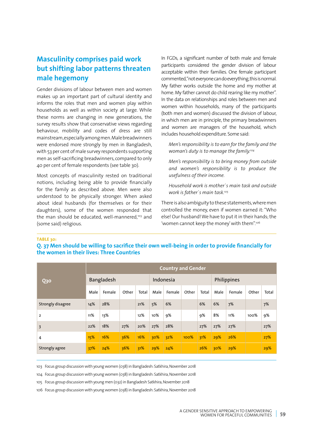# **Masculinity comprises paid work but shifting labor patterns threaten male hegemony**

Gender divisions of labour between men and women makes up an important part of cultural identity and informs the roles that men and women play within households as well as within society at large. While these norms are changing in new generations, the survey results show that conservative views regarding behaviour, mobility and codes of dress are still mainstream, especially among men. Male breadwinners were endorsed more strongly by men in Bangladesh, with 53 per cent of male survey respondents supporting men as self-sacrificing breadwinners, compared to only 40 per cent of female respondents (see table 30).

Most concepts of masculinity rested on traditional notions, including being able to provide financially for the family as described above. Men were also understood to be physically stronger. When asked about ideal husbands (for themselves or for their daughters), some of the women responded that the man should be educated, well-mannered,<sup>103</sup> and (some said) religious.

In FGDs, a significant number of both male and female participants considered the gender division of labour acceptable within their families. One female participant commented, "not everyone can do everything, this is normal. My father works outside the home and my mother at home. My father cannot do child rearing like my mother". In the data on relationships and roles between men and women within households, many of the participants (both men and women) discussed the division of labour, in which men are in principle, the primary breadwinners and women are managers of the household, which includes household expenditure. Some said:

*Men's responsibility is to earn for the family and the woman's duty is to manage the family.104*

*Men's responsibility is to bring money from outside and women's responsibility is to produce the usefulness of their income.*

*Household work is mother`s main task and outside work is father`s main task.105*

There is also ambiguity to these statements, where men controlled the money, even if women earned it: "Who else! Our husband! We have to put it in their hands; the 'women cannot keep the money' with them".106

#### **TABLE 30:**

## **Q. 37 Men should be willing to sacrifice their own well-being in order to provide financially for the women in their lives: Three Countries**

| <b>Q30</b>        |      | <b>Country and Gender</b> |       |       |           |        |       |             |      |        |       |       |  |
|-------------------|------|---------------------------|-------|-------|-----------|--------|-------|-------------|------|--------|-------|-------|--|
|                   |      | Bangladesh                |       |       | Indonesia |        |       | Philippines |      |        |       |       |  |
|                   | Male | Female                    | Other | Total | Male      | Female | Other | Total       | Male | Female | Other | Total |  |
| Strongly disagree | 14%  | 28%                       |       | 21%   | 5%        | 6%     |       | 6%          | 6%   | 7%     |       | 7%    |  |
| $\overline{2}$    | 11%  | 13%                       |       | 12%   | 10%       | 9%     |       | 9%          | 8%   | 11%    | 100%  | 9%    |  |
| 3                 | 22%  | 18%                       | 27%   | 20%   | 27%       | 28%    |       | 27%         | 27%  | 27%    |       | 27%   |  |
| 4                 | 15%  | 16%                       | 36%   | 16%   | 30%       | 32%    | 100%  | 31%         | 29%  | 26%    |       | 27%   |  |
| Strongly agree    | 37%  | 24%                       | 36%   | 31%   | 29%       | 24%    |       | 26%         | 30%  | 29%    |       | 29%   |  |

103 Focus group discussion with young women (038) in Bangladesh: Satkhira, November 2018

104 Focus group discussion with young women (038) in Bangladesh: Satkhira, November 2018

105 Focus group discussion with young men (032) in Bangladesh Satkhira, November 2018

106 Focus group discussion with young women (038) in Bangladesh: Satkhira, November 2018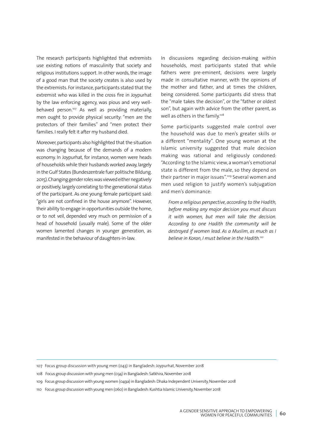The research participants highlighted that extremists use existing notions of masculinity that society and religious institutions support. In other words, the image of a good man that the society creates is also used by the extremists. For instance, participants stated that the extremist who was killed in the cross fire in Joypurhat by the law enforcing agency, was pious and very wellbehaved person.<sup>107</sup> As well as providing materially, men ought to provide physical security: "men are the protectors of their families" and "men protect their families. I really felt it after my husband died.

Moreover, participants also highlighted that the situation was changing because of the demands of a modern economy. In Joypurhat, for instance, women were heads of households while their husbands worked away, largely in the Gulf States (Bundeszentrale fuer politische Bildung. 2015). Changing gender roles was viewed either negatively or positively, largely correlating to the generational status of the participant. As one young female participant said: "girls are not confined in the house anymore". However, their ability to engage in opportunities outside the home, or to not veil, depended very much on permission of a head of household (usually male). Some of the older women lamented changes in younger generation, as manifested in the behaviour of daughters-in-law.

In discussions regarding decision-making within households, most participants stated that while fathers were pre-eminent, decisions were largely made in consultative manner, with the opinions of the mother and father, and at times the children, being considered. Some participants did stress that the "male takes the decision", or the "father or oldest son", but again with advice from the other parent, as well as others in the family.<sup>108</sup>

Some participants suggested male control over the household was due to men's greater skills or a different "mentality". One young woman at the Islamic university suggested that male decision making was rational and religiously condoned: "According to the Islamic view, a woman's emotional state is different from the male, so they depend on their partner in major issues".109 Several women and men used religion to justify women's subjugation and men's dominance:

*From a religious perspective, according to the Hadith, before making any major decision you must discuss it with women, but men will take the decision. According to one Hadith the community will be destroyed if women lead. As a Muslim, as much as I believe in Koran, I must believe in the Hadith.110*

- 108 Focus group discussion with young men (034) in Bangladesh: Satkhira, November 2018
- 109 Focus group discussion with young women (049a) in Bangladesh: Dhaka Independent University, November 2018
- 110 Focus group discussion with young men (060) in Bangladesh: Kushtia Islamic University, November 2018

<sup>107</sup> Focus group discussion with young men (043) in Bangladesh: Joypurhat, November 2018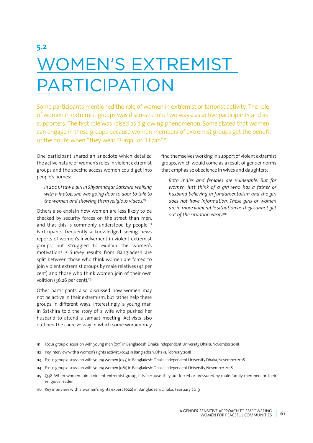# **5.2** WOMEN'S EXTREMIST PARTICIPATION

Some participants mentioned the role of women in extremist or terrorist activity. The role of women in extremist groups was discussed into two ways: as active participants and as supporters. The first role was raised as a growing phenomenon. Some stated that women can engage in these groups because women members of extremist groups get the benefit of the doubt when "they wear 'Burqa" or "Hizab".<sup>111</sup>

One participant shared an anecdote which detailed the active nature of women's roles in violent extremist groups and the specific access women could get into people's homes:

*In 2001, I saw a girl in Shyamnagar, Satkhira, walking with a laptop, she was going door to door to talk to the women and showing them religious videos.112*

Others also explain how women are less likely to be checked by security forces on the street than men, and that this is commonly understood by people.<sup>113</sup> Participants frequently acknowledged seeing news reports of women's involvement in violent extremist groups, but struggled to explain the women's motivations.114 Survey results from Bangladesh are split between those who think women are forced to join violent extremist groups by male relatives (42 per cent) and those who think women join of their own volition (36.26 per cent).<sup>115</sup>

Other participants also discussed how women may not be active in their extremism, but rather help these groups in different ways. Interestingly, a young man in Satkhira told the story of a wife who pushed her husband to attend a Jamaat meeting. Activists also outlined the coercive way in which some women may

find themselves working in support of violent extremist groups, which would come as a result of gender norms that emphasise obedience in wives and daughters:

*Both males and females are vulnerable. But for women, just think of a girl who has a father or husband believing in fundamentalism and the girl does not have information. These girls or women are in more vulnerable situation as they cannot get out of the situation easily.116*

<sup>111</sup> Focus group discussion with young men (051) in Bangladesh: Dhaka Independent University Dhaka, November 2018

<sup>112</sup> Key Interview with a women's rights activist, (024) in Bangladesh: Dhaka, February 2018

<sup>113</sup> Focus group discussion with young women (053) in Bangladesh: Dhaka Independent University Dhaka, November 2018

<sup>114</sup> Focus group discussion with young women (061) in Bangladesh: Dhaka Independent University, November 2018

<sup>115</sup> Q48. When women join a violent extremist group, it is because they are forced or pressured by male family members or their religious leader.

<sup>116</sup> Key interview with a women's rights expert (022) in Bangladesh: Dhaka, February 2019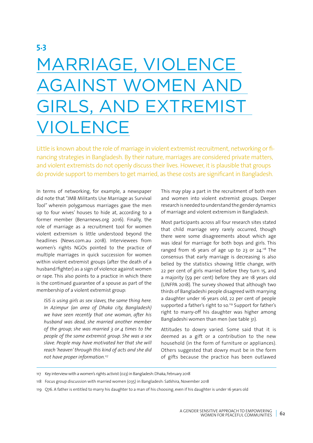# MARRIAGE, VIOLENCE AGAINST WOMEN AND GIRLS, AND EXTREMIST VIOLENCE

Little is known about the role of marriage in violent extremist recruitment, networking or financing strategies in Bangladesh. By their nature, marriages are considered private matters, and violent extremists do not openly discuss their lives. However, it is plausible that groups do provide support to members to get married, as these costs are significant in Bangladesh.

In terms of networking, for example, a newspaper did note that "JMB Militants Use Marriage as Survival Tool" wherein polygamous marriages gave the men up to four wives' houses to hide at, according to a former member (Benarnews.org 2016). Finally, the role of marriage as a recruitment tool for women violent extremism is little understood beyond the headlines (News.com.au 2018). Interviewees from women's rights NGOs pointed to the practice of multiple marriages in quick succession for women within violent extremist groups (after the death of a husband/fighter) as a sign of violence against women or rape. This also points to a practice in which there is the continued guarantee of a spouse as part of the membership of a violent extremist group:

*ISIS is using girls as sex slaves, the same thing here. In Azimpur (an area of Dhaka city, Bangladesh) we have seen recently that one woman, after his husband was dead, she married another member of the group; she was married 3 or 4 times to the people of the same extremist group. She was a sex slave. People may have motivated her that she will reach 'heaven' through this kind of acts and she did not have proper information.117*

This may play a part in the recruitment of both men and women into violent extremist groups. Deeper research is needed to understand the gender dynamics of marriage and violent extremism in Bangladesh.

Most participants across all four research sites stated that child marriage very rarely occurred, though there were some disagreements about which age was ideal for marriage for both boys and girls. This ranged from 16 years of age up to 23 or  $24.^{118}$  The consensus that early marriage is decreasing is also belied by the statistics showing little change, with 22 per cent of girls married before they turn 15, and a majority (59 per cent) before they are 18 years old (UNFPA 2018). The survey showed that although two thirds of Bangladeshi people disagreed with marrying a daughter under 16 years old, 22 per cent of people supported a father's right to so.<sup>119</sup> Support for father's right to marry-off his daughter was higher among Bangladeshi women than men (see table 31).

Attitudes to dowry varied. Some said that it is deemed as a gift or a contribution to the new household (in the form of furniture or appliances). Others suggested that dowry must be in the form of gifts because the practice has been outlawed

- 117 Key interview with a women's rights activist (023) in Bangladesh: Dhaka, February 2018
- 118 Focus group discussion with married women (035) in Bangladesh: Satkhira, November 2018
- 119 Q76. A father is entitled to marry his daughter to a man of his choosing, even if his daughter is under 16 years old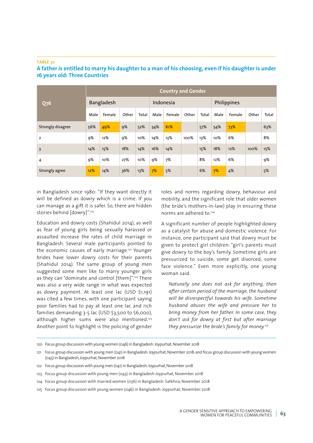#### **TABLE 31:**

| <b>Q76</b>        | <b>Country and Gender</b> |                   |       |       |           |        |       |             |      |        |       |       |
|-------------------|---------------------------|-------------------|-------|-------|-----------|--------|-------|-------------|------|--------|-------|-------|
|                   |                           | <b>Bangladesh</b> |       |       | Indonesia |        |       | Philippines |      |        |       |       |
|                   | Male                      | Female            | Other | Total | Male      | Female | Other | Total       | Male | Female | Other | Total |
| Strongly disagree | 56%                       | 49%               | 9%    | 52%   | 54%       | 61%    |       | 57%         | 54%  | 73%    |       | 63%   |
| $\overline{2}$    | 9%                        | 12%               | 9%    | 10%   | 14%       | 13%    | 100%  | 13%         | 10%  | 6%     |       | 8%    |
| $\overline{3}$    | 14%                       | 15%               | 18%   | 14%   | 16%       | 14%    |       | 15%         | 18%  | 12%    | 100%  | 15%   |
| 4                 | 9%                        | 10%               | 27%   | 10%   | 9%        | 7%     |       | 8%          | 12%  | 6%     |       | 9%    |
| Strongly agree    | 12%                       | 14%               | 36%   | 13%   | 7%        | 5%     |       | 6%          | 7%   | 4%     |       | 5%    |

## **A father is entitled to marry his daughter to a man of his choosing, even if his daughter is under 16 years old: Three Countries**

in Bangladesh since 1980: "If they want directly it will be defined as dowry which is a crime. If you can manage as a gift it is safer. So, there are hidden stories behind [dowry]".120

Education and dowry costs (Shahidul 2014), as well as fear of young girls being sexually harassed or assaulted increase the rates of child marriage in Bangladesh. Several male participants pointed to the economic causes of early marriage.121 Younger brides have lower dowry costs for their parents (Shahidul 2014). The same group of young men suggested some men like to marry younger girls as they can "dominate and control [them]".122 There was also a very wide range in what was expected as dowry payment. At least one lac (USD \$1,191) was cited a few times, with one participant saying poor families had to pay at least one lac and rich families demanding 3-5 lac (USD \$3,500 to \$6,000), although higher sums were also mentioned.<sup>123</sup> Another point to highlight is the policing of gender roles and norms regarding dowry, behaviour and mobility, and the significant role that older women (the bride's mothers-in-law) play in ensuring these norms are adhered to <sup>124</sup>

A significant number of people highlighted dowry as a catalyst for abuse and domestic violence. For instance, one participant said that dowry must be given to protect girl children: "girl's parents must give dowry to the boy's family. Sometime girls are pressurized to suicide, some get divorced, some face violence." Even more explicitly, one young woman said:

*Naturally one does not ask for anything, then after certain period of the marriage, the husband will be disrespectful towards his wife. Sometime husband abuses the wife and pressure her to bring money from her father. In some case, they don't ask for dowry at first but after marriage they pressurize the bride's family for money.<sup>125</sup>*

120 Focus group discussion with young women (046) in Bangladesh: Joypurhat, November 2018

- 122 Focus group discussion with young men (041) in Bangladesh: Joypurhat, November 2018
- 123 Focus group discussion with young men (043) in Bangladesh Joypurhat, November 2018
- 124 Focus group discussion with married women (036) in Bangladesh: Satkhira, November 2018
- 125 Focus group discussion with young women (046) in Bangladesh: Joypurhat, November 2018

<sup>121</sup> Focus group discussion with young men (041) in Bangladesh: Joypurhat, November 2018; and focus group discussion with young women (045) in Bangladesh, Joypurhat, November 2018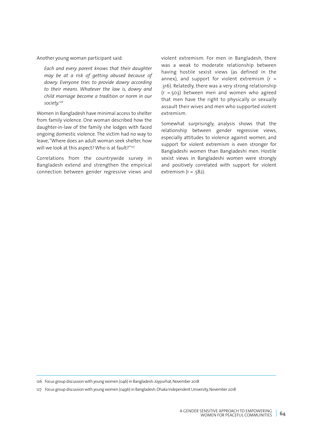Another young woman participant said:

*Each and every parent knows that their daughter may be at a risk of getting abused because of dowry. Everyone tries to provide dowry according to their means. Whatever the law is, dowry and child marriage become a tradition or norm in our society.126*

Women in Bangladesh have minimal access to shelter from family violence. One woman described how the daughter-in-law of the family she lodges with faced ongoing domestic violence. The victim had no way to leave, "Where does an adult woman seek shelter, how will we look at this aspect? Who is at fault?"<sup>127</sup>

Correlations from the countrywide survey in Bangladesh extend and strengthen the empirical connection between gender regressive views and violent extremism. For men in Bangladesh, there was a weak to moderate relationship between having hostile sexist views (as defined in the annex), and support for violent extremism ( $r =$ .316). Relatedly, there was a very strong relationship (r =.503) between men and women who agreed that men have the right to physically or sexually assault their wives and men who supported violent extremism.

Somewhat surprisingly, analysis shows that the relationship between gender regressive views, especially attitudes to violence against women, and support for violent extremism is even stronger for Bangladeshi women than Bangladeshi men. Hostile sexist views in Bangladeshi women were strongly and positively correlated with support for violent extremism  $(r = .582)$ .

126 Focus group discussion with young women (046) in Bangladesh: Joypurhat, November 2018

127 Focus group discussion with young women (049b) in Bangladesh: Dhaka Independent University, November 2018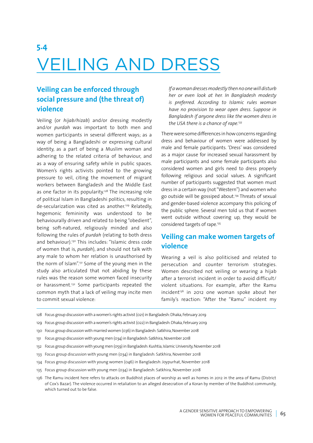# **5.4** VEILING AND DRESS

# **Veiling can be enforced through social pressure and (the threat of) violence**

Veiling (or *hijab/hizab*) and/or dressing modestly and/or *purdah* was important to both men and women participants in several different ways; as a way of being a Bangladeshi or expressing cultural identity, as a part of being a Muslim woman and adhering to the related criteria of behaviour, and as a way of ensuring safety while in public spaces. Women's rights activists pointed to the growing pressure to veil, citing the movement of migrant workers between Bangladesh and the Middle East as one factor in its popularity.<sup>128</sup> The increasing role of political Islam in Bangladeshi politics, resulting in de-secularization was cited as another.<sup>129</sup> Relatedly, hegemonic femininity was understood to be behaviourally driven and related to being "obedient", being soft-natured, religiously minded and also following the rules of *purdah* (relating to both dress and behaviour).130 This includes: "Islamic dress code of women that is, *purdah*), and should not talk with any male to whom her relation is unauthorised by the norm of Islam".131 Some of the young men in the study also articulated that not abiding by these rules was the reason some women faced insecurity or harassment.132 Some participants repeated the common myth that a lack of veiling may incite men to commit sexual violence:

*If a woman dresses modestly then no one will disturb her or even look at her. In Bangladesh modesty is preferred. According to Islamic rules woman have no provision to wear open dress. Suppose in Bangladesh if anyone dress like the women dress in the USA there is a chance of rape.133*

There were some differences in how concerns regarding dress and behaviour of women were addressed by male and female participants. 'Dress' was considered as a major cause for increased sexual harassment by male participants and some female participants also considered women and girls need to dress properly following religious and social values. A significant number of participants suggested that women must dress in a certain way (not "Western") and women who go outside will be gossiped about.134 Threats of sexual and gender-based violence accompany this policing of the public sphere. Several men told us that if women went outside without covering up, they would be considered targets of rape.<sup>135</sup>

# **Veiling can make women targets of violence**

Wearing a veil is also politicised and related to persecution and counter terrorism strategies. Women described not veiling or wearing a hijab after a terrorist incident in order to avoid difficult/ violent situations. For example, after the Ramu  $incident<sup>136</sup>$  in 2012 one woman spoke about her family's reaction: "After the "Ramu" incident my

- 128 Focus group discussion with a women's rights activist (021) in Bangladesh: Dhaka, February 2019
- 129 Focus group discussion with a women's rights activist (022) in Bangladesh: Dhaka, February 2019
- 130 Focus group discussion with married women (036) in Bangladesh: Satkhira, November 2018
- 131 Focus group discussion with young men (034) in Bangladesh: Satkhira, November 2018
- 132 Focus group discussion with young men (059) in Bangladesh: Kushtia, Islamic University, November 2018
- 133 Focus group discussion with young men (034) in Bangladesh: Satkhira, November 2018
- 134 Focus group discussion with young women (046) in Bangladesh: Joypurhat, November 2018
- 135 Focus group discussion with young men (034) in Bangladesh: Satkhira, November 2018
- 136 The Ramu incident here refers to attacks on Buddhist places of worship as well as homes in 2012 in the area of Ramu (District of Cox's Bazar). The violence occurred in retaliation to an alleged desecration of a Koran by member of the Buddhist community, which turned out to be false.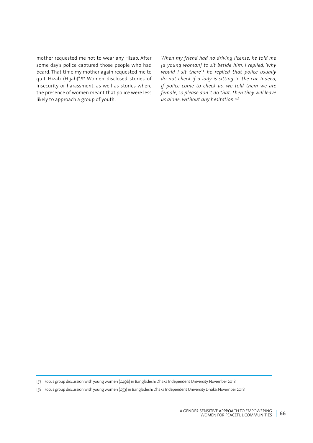mother requested me not to wear any Hizab. After some day's police captured those people who had beard. That time my mother again requested me to quit Hizab (Hijab)".137 Women disclosed stories of insecurity or harassment, as well as stories where the presence of women meant that police were less likely to approach a group of youth.

*When my friend had no driving license, he told me [a young woman] to sit beside him. I replied, 'why would I sit there'? he replied that police usually do not check if a lady is sitting in the car. Indeed, if police come to check us, we told them we are female, so please don`t do that. Then they will leave us alone, without any hesitation.138*

137 Focus group discussion with young women (049b) in Bangladesh: Dhaka Independent University, November 2018

<sup>138</sup> Focus group discussion with young women (053) in Bangladesh: Dhaka Independent University Dhaka, November 2018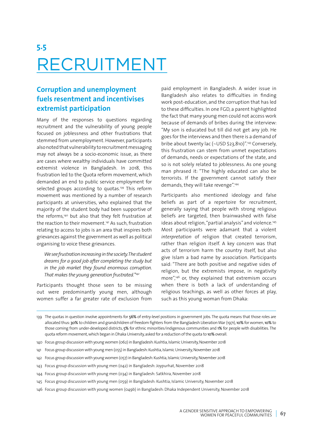# **5.5** RECRUITMENT

# **Corruption and unemployment fuels resentment and incentivises extremist participation**

Many of the responses to questions regarding recruitment and the vulnerability of young people focused on joblessness and other frustrations that stemmed from unemployment. However, participants also noted that vulnerability to recruitment messaging may not always be a socio-economic issue, as there are cases where wealthy individuals have committed extremist violence in Bangladesh. In 2018, this frustration led to the Quota reform movement, which demanded an end to public service employment for selected groups according to quotas.<sup>139</sup> This reform movement was mentioned by a number of research participants at universities, who explained that the majority of the student body had been supportive of the reforms,140 but also that they felt frustration at the reaction to their movement.141 As such, frustration relating to access to jobs is an area that inspires both grievances against the government as well as political organising to voice these grievances.

*We see frustration increasing in the society. The student dreams for a good job after completing the study but in the job market they found enormous corruption. That makes the young generation frustrated."142*

Participants thought those seen to be missing out were predominantly young men, although women suffer a far greater rate of exclusion from

paid employment in Bangladesh. A wider issue in Bangladesh also relates to difficulties in finding work post-education, and the corruption that has led to these difficulties. In one FGD, a parent highlighted the fact that many young men could not access work because of demands of bribes during the interview: "My son is educated but till did not get any job. He goes for the interviews and then there is a demand of bribe about twenty lac (~USD \$23,810)".143 Conversely, this frustration can stem from unmet expectations of demands, needs or expectations of the state, and so is not solely related to joblessness. As one young man phrased it: "The highly educated can also be terrorists. If the government cannot satisfy their demands, they will take revenge".144

Participants also mentioned ideology and false beliefs as part of a repertoire for recruitment, generally saying that people with strong religious beliefs are targeted, then brainwashed with false ideas about religion, "partial analysis" and violence.<sup>145</sup> Most participants were adamant that a violent *interpretation* of religion that created terrorism, rather than religion itself. A key concern was that acts of terrorism harm the country itself, but also give Islam a bad name by association. Participants said: "There are both positive and negative sides of religion, but the extremists impose, in negativity more",<sup>146</sup> or, they explained that extremism occurs when there is both a lack of understanding of religious teachings, as well as other forces at play, such as this young woman from Dhaka:

<sup>139</sup> The quotas in question involve appointments for 56% of entry-level positions in government jobs. The quota means that those roles are allocated thus: 30% to children and grandchildren of freedom fighters from the Bangladesh Liberation War (1971), 10% for women, 10% to those coming from under-developed districts, 5% for ethnic minorities/indigenous communities and 1% for people with disabilities. The quota reform movement, which began in Dhaka University, asked for a reduction of the quota to 10% overall.

<sup>140</sup> Focus group discussion with young women (062) in Bangladesh: Kushtia, Islamic University, November 2018

<sup>141</sup> Focus group discussion with young men (055) in Bangladesh: Kushtia, Islamic University, November 2018

<sup>142</sup> Focus group discussion with young women (057) in Bangladesh: Kushtia, Islamic University, November 2018

<sup>143</sup> Focus group discussion with young men (042) in Bangladesh: Joypurhat, November 2018

<sup>144</sup> Focus group discussion with young men (034) in Bangladesh: Satkhira, November 2018

<sup>145</sup> Focus group discussion with young men (059) in Bangladesh: Kushtia, Islamic University, November 2018

<sup>146</sup> Focus group discussion with young women (049b) in Bangladesh: Dhaka Independent University, November 2018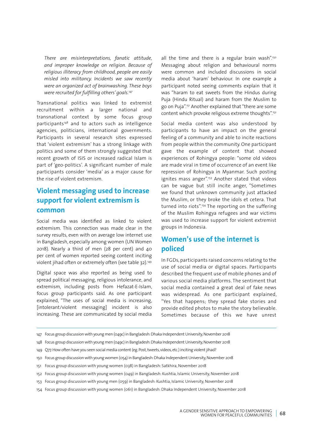*There are misinterpretations, fanatic attitude, and improper knowledge on religion. Because of religious illiteracy from childhood, people are easily misled into militancy. Incidents we saw recently were an organized act of brainwashing. These boys were recruited for fulfilling others' goals.<sup>147</sup>*

Transnational politics was linked to extremist recruitment within a larger national and transnational context by some focus group participants<sup>148</sup> and to actors such as intelligence agencies, politicians, international governments. Participants in several research sites expressed that 'violent extremism' has a strong linkage with politics and some of them strongly suggested that recent growth of ISIS or increased radical Islam is part of 'geo-politics'. A significant number of male participants consider 'media' as a major cause for the rise of violent extremism.

# **Violent messaging used to increase support for violent extremism is common**

Social media was identified as linked to violent extremism. This connection was made clear in the survey results, even with on average low internet use in Bangladesh, especially among women (UN Women 2018). Nearly a third of men (28 per cent) and 40 per cent of women reported seeing content inciting violent jihad often or extremely often (see table 32).149

Digital space was also reported as being used to spread political messaging, religious intolerance, and extremism, including posts from Hefazat-E-Islam, focus group participants said. As one participant explained, "The uses of social media is increasing, [intolerant/violent messaging] incident is also increasing. These are communicated by social media

all the time and there is a regular brain wash".<sup>150</sup> Messaging about religion and behavioural norms were common and included discussions in social media about 'haram' behaviour. In one example a participant noted seeing comments explain that it was "haram to eat sweets from the Hindus during Puja (Hindu Ritual) and haram from the Muslim to go on Puja".151 Another explained that "there are some content which provoke religious extreme thoughts".152

Social media content was also understood by participants to have an impact on the general feeling of a community and able to incite reactions from people within the community. One participant gave the example of content that showed experiences of Rohingya people: "some old videos are made viral in time of occurrence of an event like repression of Rohingya in Myanmar. Such posting ignites mass anger".<sup>153</sup> Another stated that videos can be vague but still incite anger, "Sometimes we found that unknown community just attacked the Muslim, or they broke the idols et cetera. That turned into riots".154 The reporting on the suffering of the Muslim Rohingya refugees and war victims was used to increase support for violent extremist groups in Indonesia.

# **Women's use of the internet is policed**

In FGDs, participants raised concerns relating to the use of social media or digital spaces. Participants described the frequent use of mobile phones and of various social media platforms. The sentiment that social media contained a great deal of fake news was widespread. As one participant explained, "Yes that happens; they spread fake stories and provide edited photos to make the story believable. Sometimes because of this we have unrest

148 Focus group discussion with young men (049c) in Bangladesh: Dhaka Independent University, November 2018

- 150 Focus group discussion with young women (054) in Bangladesh: Dhaka Independent University, November 2018
- 151 Focus group discussion with young women (038) in Bangladesh: Satkhira, November 2018
- 152 Focus group discussion with young women (049) in Bangladesh: Kushtia, Islamic University, November 2018
- 153 Focus group discussion with young men (059) in Bangladesh: Kushtia, Islamic University, November 2018
- 154 Focus group discussion with young women (061) in Bangladesh: Dhaka Independent University, November 2018

<sup>147</sup> Focus group discussion with young men (049c) in Bangladesh: Dhaka Independent University, November 2018

<sup>149</sup> Q77. How often have you seen social media content (eg. Post, tweets, videos, etc.) inciting violent jihad?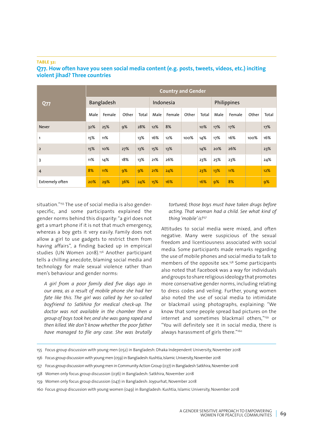#### **TABLE 32:**

| <b>Q77</b>             | <b>Country and Gender</b> |                   |       |       |           |        |       |             |      |        |       |       |
|------------------------|---------------------------|-------------------|-------|-------|-----------|--------|-------|-------------|------|--------|-------|-------|
|                        |                           | <b>Bangladesh</b> |       |       | Indonesia |        |       | Philippines |      |        |       |       |
|                        | Male                      | Female            | Other | Total | Male      | Female | Other | Total       | Male | Female | Other | Total |
| <b>Never</b>           | 32%                       | 25%               | 9%    | 28%   | 12%       | 8%     |       | 10%         | 17%  | 17%    |       | 17%   |
| 1                      | 15%                       | 11%               |       | 13%   | 16%       | 12%    | 100%  | 14%         | 17%  | 16%    | 100%  | 16%   |
| $\overline{2}$         | 15%                       | 10%               | 27%   | 13%   | 15%       | 13%    |       | 14%         | 20%  | 26%    |       | 23%   |
| 3                      | 11%                       | 14%               | 18%   | 13%   | 21%       | 26%    |       | 23%         | 25%  | 23%    |       | 24%   |
| $\overline{4}$         | 8%                        | 11%               | 9%    | 9%    | 21%       | 24%    |       | 23%         | 13%  | 11%    |       | 12%   |
| <b>Extremely often</b> | 20%                       | 29%               | 36%   | 24%   | 15%       | 16%    |       | 16%         | 9%   | 8%     |       | 9%    |

## **Q77. How often have you seen social media content (e.g. posts, tweets, videos, etc.) inciting violent jihad? Three countries**

situation."<sup>155</sup> The use of social media is also genderspecific, and some participants explained the gender norms behind this disparity: "a girl does not get a smart phone if it is not that much emergency, whereas a boy gets it very easily. Family does not allow a girl to use gadgets to restrict them from having affairs", a finding backed up in empirical studies (UN Women 2018).156 Another participant tells a chilling anecdote, blaming social media and technology for male sexual violence rather than men's behaviour and gender norms:

*A girl from a poor family died five days ago in our area, as a result of mobile phone she had her fate like this. The girl was called by her so-called boyfriend to Satkhira for medical check-up. The doctor was not available in the chamber then a group of boys took her, and she was gang raped and then killed. We don't know whether the poor father have managed to file any case. She was brutally*  *tortured; those boys must have taken drugs before acting. That woman had a child. See what kind of thing 'mobile' is!157*

Attitudes to social media were mixed, and often negative. Many were suspicious of the sexual freedom and licentiousness associated with social media. Some participants made remarks regarding the use of mobile phones and social media to talk to members of the opposite sex.<sup>158</sup> Some participants also noted that Facebook was a way for individuals and groups to share religious ideology that promotes more conservative gender norms, including relating to dress codes and veiling. Further, young women also noted the use of social media to intimidate or blackmail using photographs, explaining: "We know that some people spread bad pictures on the internet and sometimes blackmail others,"159 or "You will definitely see it in social media, there is always harassment of girls there."<sup>160</sup>

- 155 Focus group discussion with young men (052) in Bangladesh: Dhaka Independent University, November 2018
- 156 Focus group discussion with young men (059) in Bangladesh: Kushtia, Islamic University, November 2018
- 157 Focus group discussion with young men in Community Action Group (037) in Bangladesh Satkhira, November 2018
- 158 Women only focus group discussion (036) in Bangladesh: Satkhira, November 2018
- 159 Women only focus group discussion (047) in Bangladesh: Joypurhat, November 2018
- 160 Focus group discussion with young women (049) in Bangladesh: Kushtia, Islamic University, November 2018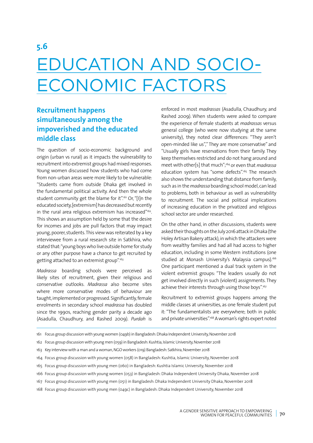# **5.6**

# EDUCATION AND SOCIO-ECONOMIC FACTORS

# **Recruitment happens simultaneously among the impoverished and the educated middle class**

The question of socio-economic background and origin (urban vs rural) as it impacts the vulnerability to recruitment into extremist groups had mixed responses. Young women discussed how students who had come from non-urban areas were more likely to be vulnerable: "Students came from outside Dhaka get involved in the fundamental political activity. And then the whole student community get the blame for it".<sup>161</sup> Or, "[I]n the educated society, [extremism] has decreased but recently in the rural area religious extremism has increased"<sup>162</sup>. This shows an assumption held by some that the desire for incomes and jobs are pull factors that may impact young, poorer, students. This view was reiterated by a key interviewee from a rural research site in Satkhira, who stated that: "young boys who live outside home for study or any other purpose have a chance to get recruited by getting attached to an extremist group".163

*Madrassa* boarding schools were perceived as likely sites of recruitment, given their religious and conservative outlooks. *Madrassa* also become sites where more conservative modes of behaviour are taught, implemented or progressed. Significantly, female enrolments in secondary school *madrassa* has doubled since the 1990s, reaching gender parity a decade ago (Asadulla, Chaudhury, and Rashed 2009). *Purdah* is enforced in most *madrassas* (Asadulla, Chaudhury, and Rashed 2009). When students were asked to compare the experience of female students at *madrassas* versus general college (who were now studying at the same university), they noted clear differences: "They aren't open-minded like us"," They are more conservative" and "Usually girls have reservations from their family. They keep themselves restricted and do not hang around and meet with other[s] that much";164 or even that *madrassa* education system has "some defects".<sup>165</sup> The research also shows the understanding that distance from family, such as in the *madrassa* boarding school model, can lead to problems, both in behaviour as well as vulnerability to recruitment. The social and political implications of increasing education in the privatized and religious school sector are under researched.

On the other hand, in other discussions, students were asked their thoughts on the July 2016 attack in Dhaka (the Holey Artisan Bakery attack), in which the attackers were from wealthy families and had all had access to higher education, including in some Western institutions (one studied at Monash University's Malaysia campus).<sup>166</sup> One participant mentioned a dual track system in the violent extremist groups: "The leaders usually do not get involved directly in such (violent) assignments. They achieve their interests through using those boys".167

Recruitment to extremist groups happens among the middle classes at universities, as one female student put it: "The fundamentalists are everywhere; both in public and private universities".<sup>168</sup> A woman's rights expert noted

- 161 Focus group discussion with young women (049b) in Bangladesh: Dhaka Independent University, November 2018
- 162 Focus group discussion with young men (059) in Bangladesh: Kushtia, Islamic University, November 2018
- 163 Key interview with a man and a woman, NGO workers (019) Bangladesh: Satkhira, November 2018
- 164 Focus group discussion with young women (058) in Bangladesh: Kushtia, Islamic University, November 2018
- 165 Focus group discussion with young men (060) in Bangladesh: Kushtia Islamic University, November 2018
- 166 Focus group discussion with young women (053) in Bangladesh: Dhaka Independent University Dhaka, November 2018
- 167 Focus group discussion with young men (051) in Bangladesh: Dhaka Independent University Dhaka, November 2018
- 168 Focus group discussion with young men (049c) in Bangladesh: Dhaka Independent University, November 2018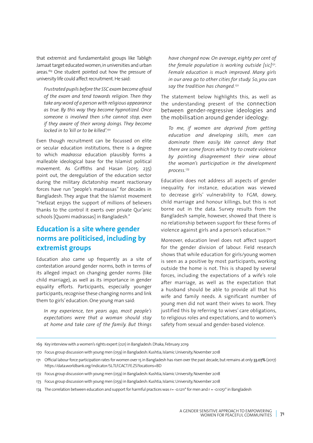that extremist and fundamentalist groups like Tabligh Jamaat target educated women, in universities and urban areas.<sup>169</sup> One student pointed out how the pressure of university life could affect recruitment. He said:

*Frustrated pupils before the SSC exam become afraid of the exam and tend towards religion. Then they take any word of a person with religious appearance as true. By this way they become hypnotized. Once someone is involved then s/he cannot stop, even if they aware of their wrong doings. They become locked in to 'kill or to be killed'.170*

Even though recruitment can be focussed on elite or secular education institutions, there is a degree to which *madrassa* education plausibly forms a malleable ideological base for the Islamist political movement. As Griffiths and Hasan (2015: 235) point out, the deregulation of the education sector during the military dictatorship meant reactionary forces have run "people's madrassas" for decades in Bangladesh. They argue that the Islamist movement "Hefazat enjoys the support of millions of believers thanks to the control it exerts over private Qur'anic schools [Quomi madrassas] in Bangladesh."

# **Education is a site where gender norms are politicised, including by extremist groups**

Education also came up frequently as a site of contestation around gender norms, both in terms of its alleged impact on changing gender norms (like child marriage), as well as its importance in gender equality efforts. Participants, especially younger participants, recognise these changing norms and link them to girls' education. One young man said:

*In my experience, ten years ago, most people's expectations were that a woman should stay at home and take care of the family. But things*  *have changed now. On average, eighty per cent of the female population is working outside [sic]171. Female education is much improved. Many girls in our area go to other cities for study. So, you can say the tradition has changed.172*

The statement below highlights this, as well as the understanding present of the connection between gender-regressive ideologies and the mobilisation around gender ideology:

*To me, if women are deprived from getting education and developing skills, men can dominate them easily. We cannot deny that there are some forces which try to create violence by pointing disagreement their view about the woman's participation in the development process.173*

Education does not address all aspects of gender inequality. For instance, education was viewed to decrease girls' vulnerability to FGM, dowry, child marriage and honour killings, but this is not borne out in the data. Survey results from the Bangladesh sample, however, showed that there is no relationship between support for these forms of violence against girls and a person's education.174

Moreover, education level does not affect support for the gender division of labour. Field research shows that while education for girls/young women is seen as a positive by most participants, working outside the home is not. This is shaped by several forces, including the expectations of a wife's role after marriage, as well as the expectation that a husband should be able to provide all that his wife and family needs. A significant number of young men did not want their wives to work. They justified this by referring to wives' care obligations, to religious roles and expectations, and to women's safety from sexual and gender-based violence.

169 Key interview with a women's rights expert (021) in Bangladesh: Dhaka, February 2019

<sup>170</sup> Focus group discussion with young men (059) in Bangladesh: Kushtia, Islamic University, November 2018

<sup>171</sup> Official labour force participation rates for women over 15 in Bangladesh has risen over the past decade, but remains at only 33.07% (2017) <https://data.worldbank.org/indicator/SL.TLF.CACT.FE.ZS?locations=BD>

<sup>172</sup> Focus group discussion with young men (059) in Bangladesh: Kushtia, Islamic University, November 2018

<sup>173</sup> Focus group discussion with young men (059) in Bangladesh: Kushtia, Islamic University, November 2018

<sup>174</sup> The correlation between education and support for harmful practices was r= -0.1211<sup>\*</sup> for men and r = -0.1051<sup>\*</sup> in Bangladesh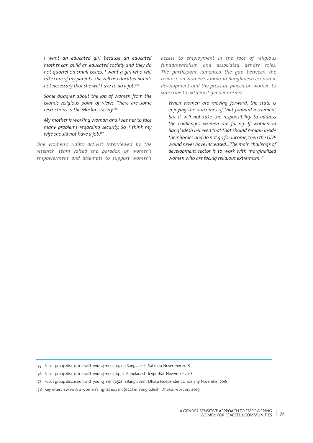*I want an educated girl because an educated mother can build an educated society and they do not quarrel on small issues. I want a girl who will take care of my parents. She will be educated but it's not necessary that she will have to do a job.175*

*Some disagree about the job of women from the Islamic religious point of views. There are some restrictions in the Muslim society.176*

*My mother is working woman and I see her to face many problems regarding security. So, I think my wife should not have a job.177*

*One women's rights activist interviewed by the research team raised the paradox of women's empowerment and attempts to support women's*  *access to employment in the face of religious fundamentalism and associated gender roles. The participant lamented the gap between the reliance on women's labour in Bangladesh economic development and the pressure placed on women to subscribe to extremist gender norms:*

*When women are moving forward, the state is enjoying the outcomes of that forward movement but it will not take the responsibility to address the challenges women are facing. If women in Bangladesh believed that that should remain inside their homes and do not go for income, then the GDP would never have increased… The main challenge of development sector is to work with marginalized women who are facing religious extremism.178*

<sup>175</sup> Focus group discussion with young men (033) in Bangladesh: Satkhira, November 2018

<sup>176</sup> Focus group discussion with young men (041) in Bangladesh: Joypurhat, November 2018

<sup>177</sup> Focus group discussion with young men (052) in Bangladesh: Dhaka Independent University, November 2018

<sup>178</sup> Key interview with a women's rights expert (022) in Bangladesh: Dhaka, February 2019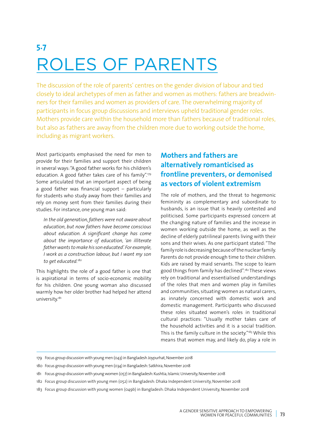# **5.7** ROLES OF PARENTS

The discussion of the role of parents' centres on the gender division of labour and tied closely to ideal archetypes of men as father and women as mothers: fathers are breadwinners for their families and women as providers of care. The overwhelming majority of participants in focus group discussions and interviews upheld traditional gender roles. Mothers provide care within the household more than fathers because of traditional roles, but also as fathers are away from the children more due to working outside the home, including as migrant workers.

Most participants emphasised the need for men to provide for their families and support their children in several ways: "A good father works for his children's education. A good father takes care of his family".179 Some articulated that an important aspect of being a good father was financial support – particularly for students who study away from their families and rely on money sent from their families during their studies. For instance, one young man said:

*In the old generation, fathers were not aware about education, but now fathers have become conscious about education. A significant change has come about the importance of education, 'an illiterate father wants to make his son educated'. For example, I work as a construction labour, but I want my son to get educated.180*

This highlights the role of a good father is one that is aspirational in terms of socio-economic mobility for his children. One young woman also discussed warmly how her older brother had helped her attend university.181

## **Mothers and fathers are alternatively romanticised as frontline preventers, or demonised as vectors of violent extremism**

The role of mothers, and the threat to hegemonic femininity as complementary and subordinate to husbands, is an issue that is heavily contested and politicised. Some participants expressed concern at the changing nature of families and the increase in women working outside the home, as well as the decline of elderly patrilineal parents living with their sons and their wives. As one participant stated: "The family role is decreasing because of the nuclear family. Parents do not provide enough time to their children. Kids are raised by maid servants. The scope to learn good things from family has declined".182 These views rely on traditional and essentialised understandings of the roles that men and women play in families and communities, situating women as natural carers, as innately concerned with domestic work and domestic management. Participants who discussed these roles situated women's roles in traditional cultural practices: "Usually mother takes care of the household activities and it is a social tradition. This is the family culture in the society."<sup>183</sup> While this means that women may, and likely do, play a role in

- 182 Focus group discussion with young men (052) in Bangladesh: Dhaka Independent University, November 2018
- 183 Focus group discussion with young women (049b) in Bangladesh: Dhaka Independent University, November 2018

<sup>179</sup> Focus group discussion with young men (043) in Bangladesh Joypurhat, November 2018

<sup>180</sup> Focus group discussion with young men (034) in Bangladesh: Satkhira, November 2018

<sup>181</sup> Focus group discussion with young women (057) in Bangladesh: Kushtia, Islamic University, November 2018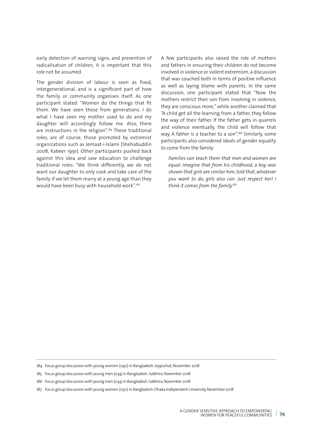early detection of warning signs, and prevention of radicalisation of children, it is important that this role not be assumed.

The gender division of labour is seen as fixed, intergenerational, and is a significant part of how the family or community organises itself. As one participant stated: "Women do the things that fit them. We have seen these from generations. I do what I have seen my mother used to do and my daughter will accordingly follow me. Also, there are instructions in the religion".<sup>184</sup> These traditional roles, are of course, those promoted by extremist organizations such as Jemaat-i-Islami (Shehabuddin 2008, Kabeer 1991). Other participants pushed back against this idea and saw education to challenge traditional roles: "We think differently, we do not want our daughter to only cook and take care of the family. If we let them marry at a young age than they would have been busy with household work".185

A few participants also raised the role of mothers and fathers in ensuring their children do not become involved in violence or violent extremism, a discussion that was couched both in terms of positive influence as well as laying blame with parents. In the same discussion, one participant stated that "Now the mothers restrict their son from involving in violence, they are conscious more," while another claimed that "A child get all the learning from a father, they follow the way of their father. If the father gets in quarrels and violence eventually, the child will follow that way. A father is a teacher to a son".<sup>186</sup> Similarly, some participants also considered ideals of gender equality to come from the family:

*Families can teach them that men and women are equal. Imagine that from his childhood, a boy was shown that girls are similar him, told that, whatever you want to do, girls also can. Just respect her! I think it comes from the family.187*

- 185 Focus group discussion with young men (034) in Bangladesh: Satkhira, November 2018
- 186 Focus group discussion with young men (034) in Bangladesh: Satkhira, November 2018
- 187 Focus group discussion with young women (050) in Bangladesh: Dhaka Independent University, November 2018

<sup>184</sup> Focus group discussion with young women (040) in Bangladesh: Joypurhat, November 2018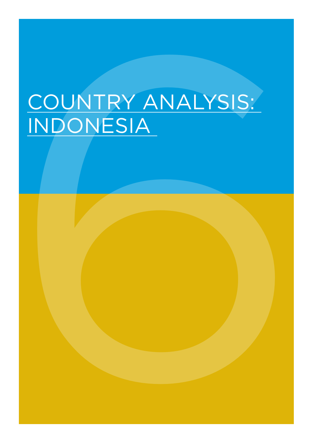# COUNTRY ANALYSIS:<br>INDONESIA COUNTRY ANALYSIS: INDONESIA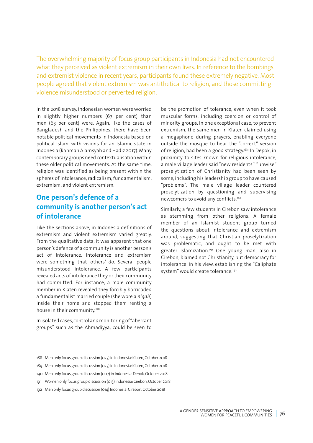The overwhelming majority of focus group participants in Indonesia had not encountered what they perceived as violent extremism in their own lives. In reference to the bombings and extremist violence in recent years, participants found these extremely negative. Most people agreed that violent extremism was antithetical to religion, and those committing violence misunderstood or perverted religion.

In the 2018 survey, Indonesian women were worried in slightly higher numbers (67 per cent) than men (63 per cent) were. Again, like the cases of Bangladesh and the Philippines, there have been notable political movements in Indonesia based on political Islam, with visions for an Islamic state in Indonesia (Rahman Alamsyah and Hadiz 2017). Many contemporary groups need contextualisation within these older political movements. At the same time, religion was identified as being present within the spheres of intolerance, radicalism, fundamentalism, extremism, and violent extremism.

# **One person's defence of a community is another person's act of intolerance**

Like the sections above, in Indonesia definitions of extremism and violent extremism varied greatly. From the qualitative data, it was apparent that one person's defence of a community is another person's act of intolerance. Intolerance and extremism were something that 'others' do. Several people misunderstood intolerance. A few participants revealed acts of intolerance they or their community had committed. For instance, a male community member in Klaten revealed they forcibly barricaded a fundamentalist married couple (she wore a *niqab*) inside their home and stopped them renting a house in their community.<sup>188</sup>

In isolated cases, control and monitoring of "aberrant groups" such as the Ahmadiyya, could be seen to be the promotion of tolerance, even when it took muscular forms, including coercion or control of minority groups. In one exceptional case, to prevent extremism, the same men in Klaten claimed using a megaphone during prayers, enabling everyone outside the mosque to hear the "correct" version of religion, had been a good strategy.<sup>189</sup> In Depok, in proximity to sites known for religious intolerance, a male village leader said "new residents'" "unwise" proselytization of Christianity had been seen by some, including his leadership group to have caused "problems". The male village leader countered proselytization by questioning and supervising newcomers to avoid any conflicts.190

Similarly, a few students in Cirebon saw intolerance as stemming from other religions. A female member of an Islamist student group turned the questions about intolerance and extremism around, suggesting that Christian proselytization was problematic, and ought to be met with greater Islamization.<sup>191</sup> One young man, also in Cirebon, blamed not Christianity, but democracy for intolerance. In his view, establishing the "Caliphate system" would create tolerance.<sup>192</sup>

<sup>188</sup> Men only focus group discussion (023) in Indonesia: Klaten, October 2018

<sup>189</sup> Men only focus group discussion (023) in Indonesia: Klaten, October 2018

<sup>190</sup> Men only focus group discussion (007) in Indonesia: Depok, October 2018

<sup>191</sup> Women only focus group discussion (015) Indonesia: Cirebon, October 2018

<sup>192</sup> Men only focus group discussion (014) Indonesia: Cirebon, October 2018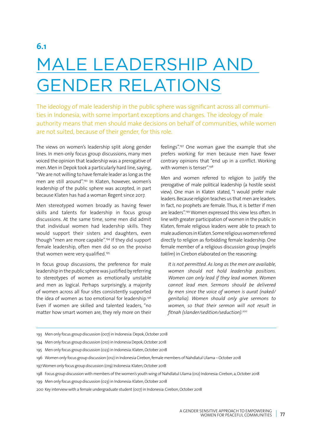# MALE LEADERSHIP AND GENDER RELATIONS

The ideology of male leadership in the public sphere was significant across all communities in Indonesia, with some important exceptions and changes. The ideology of male authority means that men should make decisions on behalf of communities, while women are not suited, because of their gender, for this role.

The views on women's leadership split along gender lines. In men-only focus group discussions, many men voiced the opinion that leadership was a prerogative of men. Men in Depok took a particularly hard line, saying, "We are not willing to have female leader as long as the men are still around".193 In Klaten, however, women's leadership of the public sphere was accepted, in part because Klaten has had a woman Regent since 2017.

Men stereotyped women broadly as having fewer skills and talents for leadership in focus group discussions. At the same time, some men did admit that individual women had leadership skills. They would support their sisters and daughters, even though "men are more capable".194 If they did support female leadership, often men did so on the proviso that women were very qualified.<sup>195</sup>

In focus group discussions, the preference for male leadership in the public sphere was justified by referring to stereotypes of women as emotionally unstable and men as logical. Perhaps surprisingly, a majority of women across all four sites consistently supported the idea of women as too emotional for leadership.196 Even if women are skilled and talented leaders, "no matter how smart women are, they rely more on their feelings".197 One woman gave the example that she prefers working for men because men have fewer contrary opinions that "end up in a conflict. Working with women is tenser"<sup>198</sup>

Men and women referred to religion to justify the prerogative of male political leadership (a hostile sexist view). One man in Klaten stated, "I would prefer male leaders. Because religion teaches us that men are leaders. In fact, no prophets are female. Thus, it is better if men are leaders".199 Women expressed this view less often. In line with greater participation of women in the public in Klaten, female religious leaders were able to preach to male audiences in Klaten. Some religious women referred directly to religion as forbidding female leadership. One female member of a religious discussion group (*majelis taklim*) in Cirebon elaborated on the reasoning:

*It is not permitted. As long as the men are available, women should not hold leadership positions. Women can only lead if they lead women. Women cannot lead men. Sermons should be delivered by men since the voice of women is aurat (naked/ genitalia). Women should only give sermons to women, so that their sermon will not result in fitnah (slander/sedition/seduction).<sup>200</sup>*

- 193 Men only focus group discussion (007) in Indonesia: Depok, October 2018
- 194 Men only focus group discussion (010) in Indonesia Depok, October 2018
- 195 Men only focus group discussion (023) in Indonesia: Klaten, October 2018
- 196 Women only focus group discussion (012) in Indonesia Cirebon, female members of Nahdlatul Ulama October 2018
- 197 Women only focus group discussion (019) Indonesia: Klaten, October 2018
- 198 Focus group discussion with members of the women's youth wing of Nahdlatul Ulama (012) Indonesia: Cirebon, a, October 2018
- 199 Men only focus group discussion (023) in Indonesia: Klaten, October 2018

<sup>200</sup> Key interview with a female undergraduate student (007) in Indonesia: Cirebon, October 2018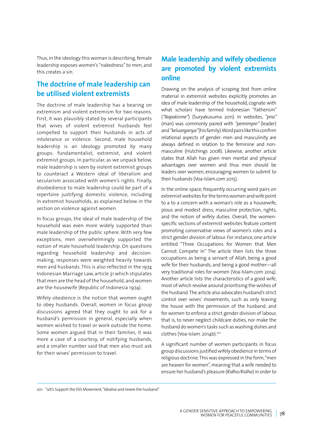Thus, in the ideology this woman is describing, female leadership exposes women's "nakedness" to men, and this creates a sin.

## **The doctrine of male leadership can be utilised violent extremists**

The doctrine of male leadership has a bearing on extremism and violent extremism for two reasons. First, it was plausibly stated by several participants that wives of violent extremist husbands feel compelled to support their husbands in acts of intolerance or violence. Second, male household leadership is an ideology promoted by many groups: fundamentalist, extremist, and violent extremist groups. In particular, as we unpack below, male leadership is seen by violent extremist groups to counteract a Western ideal of liberalism and secularism associated with women's rights. Finally, disobedience to male leadership could be part of a repertoire justifying domestic violence, including in extremist households, as explained below in the section on violence against women.

In focus groups, the ideal of male leadership of the household was even more widely supported than male leadership of the public sphere. With very few exceptions, men overwhelmingly supported the notion of male household leadership. On questions regarding household leadership and decisionmaking, responses were weighted heavily towards men and husbands. This is also reflected in the 1974 Indonesian Marriage Law, article 31 which stipulates that men are the head of the household, and women are the housewife (Republic of Indonesia 1974).

Wifely obedience is the notion that women ought to obey husbands. Overall, women in focus group discussions agreed that they ought to ask for a husband's permission in general, especially when women wished to travel or work outside the home. Some women argued that in their families, it was more a case of a courtesy, of notifying husbands, and a smaller number said that men also must ask for their wives' permission to travel.

# **Male leadership and wifely obedience are promoted by violent extremists online**

Drawing on the analysis of scraping text from online material in extremist websites explicitly promotes an idea of male leadership of the household, cognate with what scholars have termed Indonesian "Fatherism" (*"Bapakisme"*) (Suryakusuma 2011). In websites, *"pria"*  (man) was commonly paired with *"pemimpin"* (leader) and *"keluarganya"* (his family). Word pairs like this confirm relational aspects of gender: men and masculinity are always defined in relation to the feminine and nonmasculine (Hutchings 2008). Likewise, another article states that Allah has given men mental and physical advantages over women and thus men should be leaders over women, encouraging women to submit to their husbands (Voa-Islam.com 2015).

In the online space, frequently occurring word pairs on extremist websites for the terms women and wife point to a to a concern with a woman's role as a housewife, pious and modest dress, masculine protection, rights, and the notion of wifely duties. Overall, the womenspecific sections of extremist websites feature content promoting conservative views of women's roles and a strict gender division of labour. For instance, one article entitled "Three Occupations for Women that Men Cannot Compete In" The article then lists the three occupations as being a servant of Allah, being a good wife for their husbands, and being a good mother—all very traditional roles for women (Voa-Islam.com 2014). Another article lists the characteristics of a good wife, most of which revolve around prioritising the wishes of the husband. The article also advocates husband's strict control over wives' movements, such as only leaving the house with the permission of the husband, and for women to enforce a strict gender division of labour, that is, to never neglect childcare duties, nor make the husband do women's tasks such as washing dishes and clothes (Voa-Islam. 2014b).201

A significant number of women participants in focus group discussions justified wifely obedience in terms of religious doctrine. This was expressed in the form, "men are heaven for women", meaning that a wife needed to ensure her husband's pleasure (*Ridho/Ridha*) in order to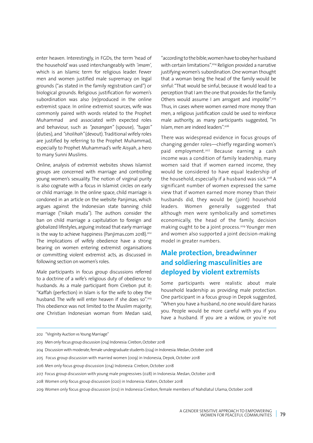enter heaven. Interestingly, in FGDs, the term 'head of the household' was used interchangeably with *'imam'*, which is an Islamic term for religious leader. Fewer men and women justified male supremacy on legal grounds ("as stated in the family registration card") or biological grounds. Religious justification for women's subordination was also (re)produced in the online extremist space. In online extremist sources, wife was commonly paired with words related to the Prophet Muhammad and associated with expected roles and behaviour, such as *"pasangan"* (spouse), *"tugas"*  (duties), and *"sholihah"* (devout). Traditional wifely roles are justified by referring to the Prophet Muhammad, especially to Prophet Muhammad's wife Aisyah, a hero to many Sunni Muslims.

Online, analysis of extremist websites shows Islamist groups are concerned with marriage and controlling young women's sexuality. The notion of virginal purity is also cognate with a focus in Islamist circles on early or child marriage. In the online space, child marriage is condoned in an article on the website Panjimas, which argues against the Indonesian state banning child marriage ("nikah muda"). The authors consider the ban on child marriage a capitulation to foreign and globalized lifestyles, arguing instead that early marriage is the way to achieve happiness (Panjimas.com 2018).<sup>202</sup> The implications of wifely obedience have a strong bearing on women entering extremist organisations or committing violent extremist acts, as discussed in following section on women's roles.

Male participants in focus group discussions referred to a doctrine of a wife's religious duty of obedience to husbands. As a male participant from Cirebon put it: "Kaffah (perfection) in Islam is for the wife to obey the husband. The wife will enter heaven if she does so".<sup>203</sup> This obedience was not limited to the Muslim majority; one Christian Indonesian woman from Medan said,

"according to the bible, women have to obey her husband with certain limitations".<sup>204</sup> Religion provided a narrative justifying women's subordination. One woman thought that a woman being the head of the family would be sinful: "That would be sinful, because it would lead to a perception that I am the one that provides for the family. Others would assume I am arrogant and impolite".<sup>205</sup> Thus, in cases where women earned more money than men, a religious justification could be used to reinforce male authority, as many participants suggested, "In Islam, men are indeed leaders".206

There was widespread evidence in focus groups of changing gender roles—chiefly regarding women's paid employment.<sup>207</sup> Because earning a cash income was a condition of family leadership, many women said that if women earned income, they would be considered to have equal leadership of the household, especially if a husband was sick.<sup>208</sup> A significant number of women expressed the same view that if women earned more money than their husbands did, they would be (joint) household leaders. Women generally suggested that although men were symbolically and sometimes economically, the head of the family, decision making ought to be a joint process.<sup>209</sup> Younger men and women also supported a joint decision-making model in greater numbers.

## **Male protection, breadwinner and soldiering masculinities are deployed by violent extremists**

Some participants were realistic about male household leadership as providing male protection. One participant in a focus group in Depok suggested, "When you have a husband, no one would dare harass you. People would be more careful with you if you have a husband. If you are a widow, or you're not

<sup>202 &</sup>quot;Virginity Auction vs Young Marriage"

<sup>203</sup> Men only focus group discussion (014) Indonesia: Cirebon, October 2018

<sup>204</sup> Discussion with moderate, female undergraduate students (024) in Indonesia: Medan, October 2018

<sup>205</sup> Focus group discussion with married women (009) in Indonesia, Depok, October 2018

<sup>206</sup> Men only focus group discussion (014) Indonesia: Cirebon, October 2018

<sup>207</sup> Focus group discussion with young male progressives (028) in Indonesia: Medan, October 2018

<sup>208</sup> Women only focus group discussion (020) in Indonesia: Klaten, October 2018

<sup>209</sup> Women only focus group discussion (012) in Indonesia Cirebon, female members of Nahdlatul Ulama, October 2018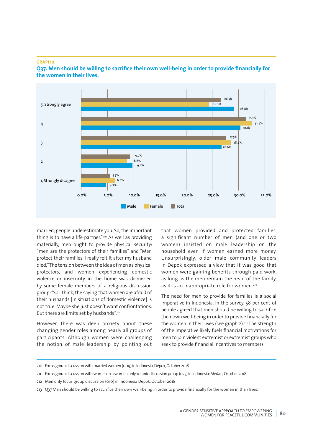#### **GRAPH 2:**



**Q37. Men should be willing to sacrifice their own well-being in order to provide financially for the women in their lives.**

married, people underestimate you. So, the important thing is to have a life partner."210 As well as providing materially, men ought to provide physical security: "men are the protectors of their families" and "Men protect their families. I really felt it after my husband died." The tension between the idea of men as physical protectors, and women experiencing domestic violence or insecurity in the home was dismissed by some female members of a religious discussion group: "So I think, the saying that women are afraid of their husbands [in situations of domestic violence] is not true. Maybe she just doesn't want confrontations. But there are limits set by husbands".<sup>211</sup>

However, there was deep anxiety about these changing gender roles among nearly all groups of participants. Although women were challenging the notion of male leadership by pointing out that women provided and protected families, a significant number of men (and one or two women) insisted on male leadership on the household even if women earned more money. Unsurprisingly, older male community leaders in Depok expressed a view that it was good that women were gaining benefits through paid work, as long as the men remain the head of the family, as it is an inappropriate role for women.<sup>212</sup>

The need for men to provide for families is a social imperative in Indonesia. In the survey, 58 per cent of people agreed that men should be willing to sacrifice their own well-being in order to provide financially for the women in their lives (see graph  $2$ ).<sup>213</sup> The strength of the imperative likely fuels financial motivations for men to join violent extremist or extremist groups who seek to provide financial incentives to members.

<sup>210</sup> Focus group discussion with married women (009) in Indonesia, Depok, October 2018

<sup>211</sup> Focus group discussion with women in a women only koranic discussion group (025) in Indonesia: Medan, October 2018

<sup>212</sup> Men only focus group discussion (010) in Indonesia Depok, October 2018

<sup>213</sup> Q37 Men should be willing to sacrifice their own well-being in order to provide financially for the women in their lives.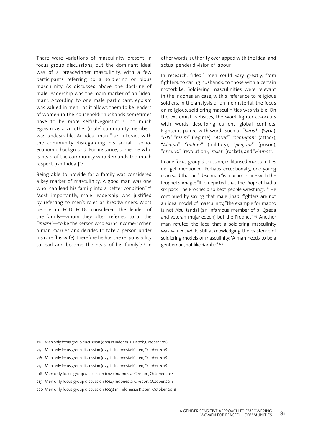There were variations of masculinity present in focus group discussions, but the dominant ideal was of a breadwinner masculinity, with a few participants referring to a soldiering or pious masculinity. As discussed above, the doctrine of male leadership was the main marker of an "ideal man". According to one male participant, egoism was valued in men - as it allows them to be leaders of women in the household: "husbands sometimes have to be more selfish/egoistic".<sup>214</sup> Too much egoism vis-à-vis other (male) community members was undesirable. An ideal man "can interact with the community disregarding his social socioeconomic background. For instance, someone who is head of the community who demands too much respect [isn't ideal]".215

Being able to provide for a family was considered a key marker of masculinity: A good man was one who "can lead his family into a better condition".<sup>216</sup> Most importantly, male leadership was justified by referring to men's roles as breadwinners. Most people in FGD FGDs considered the leader of the family—whom they often referred to as the *"imam"*—to be the person who earns income: "When a man marries and decides to take a person under his care (his wife), therefore he has the responsibility to lead and become the head of his family".<sup>217</sup> In other words, authority overlapped with the ideal and actual gender division of labour.

In research, "ideal" men could vary greatly, from fighters, to caring husbands, to those with a certain motorbike. Soldiering masculinities were relevant in the Indonesian case, with a reference to religious soldiers. In the analysis of online material, the focus on religious, soldiering masculinities was visible. On the extremist websites, the word fighter co-occurs with words describing current global conflicts. Fighter is paired with words such as "*Suriah*" (Syria), "*ISIS*" "*rezim*" (regime), "*Assad*", *"serangan"* (attack), "*Aleppo*", "*militer*" (military), "*penjara*" (prison), "*revolusi*" (revolution), "*roket*" (rocket), and "*Hamas*".

In one focus group discussion, militarised masculinities did get mentioned. Perhaps exceptionally, one young man said that an "ideal man "is macho" in line with the Prophet's image: "It is depicted that the Prophet had a six pack. The Prophet also beat people wrestling".<sup>218</sup> He continued by saying that male jihadi fighters are not an ideal model of masculinity, "the example for macho is not Abu Jandal (an infamous member of al Qaeda and veteran mujahedeen) but the Prophet".<sup>219</sup> Another man refuted the idea that a soldiering masculinity was valued, while still acknowledging the existence of soldiering models of masculinity: "A man needs to be a gentleman, not like Rambo".<sup>220</sup>

- 214 Men only focus group discussion (007) in Indonesia: Depok, October 2018
- 215 Men only focus group discussion (023) in Indonesia: Klaten, October 2018
- 216 Men only focus group discussion (023) in Indonesia: Klaten, October 2018
- 217 Men only focus group discussion (023) in Indonesia: Klaten, October 2018
- 218 Men only focus group discussion (014) Indonesia: Cirebon, October 2018
- 219 Men only focus group discussion (014) Indonesia: Cirebon, October 2018
- 220 Men only focus group discussion (023) in Indonesia: Klaten, October 2018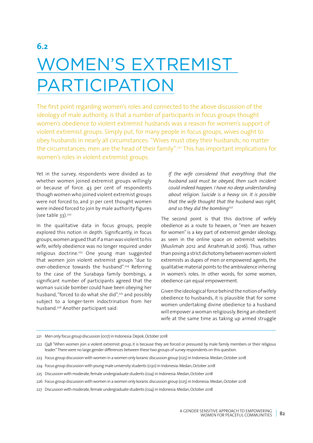# **6.2** WOMEN'S EXTREMIST PARTICIPATION

The first point regarding women's roles and connected to the above discussion of the ideology of male authority, is that a number of participants in focus groups thought women's obedience to violent extremist husbands was a reason for women's support of violent extremist groups. Simply put, for many people in focus groups, wives ought to obey husbands in nearly all circumstances: "Wives must obey their husbands, no matter the circumstances; men are the head of their family".221 This has important implications for women's roles in violent extremist groups.

Yet in the survey, respondents were divided as to whether women joined extremist groups willingly or because of force. 43 per cent of respondents though women who joined violent extremist groups were not forced to, and 31 per cent thought women were indeed forced to join by male authority figures  $(see table 33).<sup>222</sup>$ 

In the qualitative data in focus groups, people explored this notion in depth. Significantly, in focus groups, women argued that if a man was violent to his wife, wifely obedience was no longer required under religious doctrine.<sup>223</sup> One young man suggested that women join violent extremist groups "due to over-obedience towards the husband".224 Referring to the case of the Surabaya family bombings, a significant number of participants agreed that the woman suicide bomber could have been obeying her husband, "forced to do what she did",<sup>225</sup> and possibly subject to a longer-term indoctrination from her husband.<sup>226</sup> Another participant said:

*If the wife considered that everything that the husband said must be obeyed, then such incident could indeed happen. I have no deep understanding about religion. Suicide is a heavy sin. It is possible that the wife thought that the husband was right, and so they did the bombing227*

The second point is that this doctrine of wifely obedience as a route to heaven, or "men are heaven for women" is a key part of extremist gender ideology, as seen in the online space on extremist websites (Muslimah 2012 and Arrahmah.Id 2016). Thus, rather than posing a strict dichotomy between women violent extremists as dupes of men or empowered agents, the qualitative material points to the ambivalence inhering in women's roles. In other words, for some women, obedience can equal empowerment.

Given the ideological force behind the notion of wifely obedience to husbands, it is plausible that for some women undertaking divine obedience to a husband will empower a woman religiously. Being an obedient wife at the same time as taking up armed struggle

<sup>221</sup> Men only focus group discussion (007) in Indonesia: Depok, October 2018

<sup>222</sup> Q48 "When women join a violent extremist group, it is because they are forced or pressured by male family members or their religious leader." There were no large gender differences between these two groups of survey respondents on this question.

<sup>223</sup> Focus group discussion with women in a women only koranic discussion group (025) in Indonesia: Medan, October 2018

<sup>224</sup> Focus group discussion with young male university students (030) in Indonesia: Medan, October 2018

<sup>225</sup> Discussion with moderate, female undergraduate students (024) in Indonesia: Medan, October 2018

<sup>226</sup> Focus group discussion with women in a women only koranic discussion group (025) in Indonesia: Medan, October 2018

<sup>227</sup> Discussion with moderate, female undergraduate students (024) in Indonesia: Medan, October 2018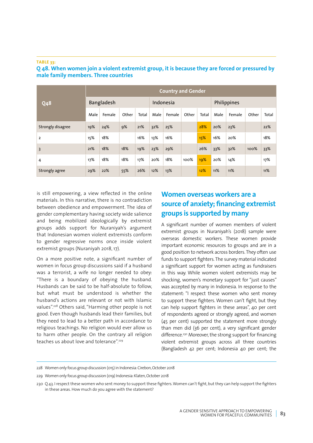#### **TABLE 33:**

| <b>Q48</b>        | <b>Country and Gender</b> |        |       |       |           |        |       |       |             |        |       |       |  |
|-------------------|---------------------------|--------|-------|-------|-----------|--------|-------|-------|-------------|--------|-------|-------|--|
|                   | Bangladesh                |        |       |       | Indonesia |        |       |       | Philippines |        |       |       |  |
|                   | Male                      | Female | Other | Total | Male      | Female | Other | Total | Male        | Female | Other | Total |  |
| Strongly disagree | 19%                       | 24%    | 9%    | 21%   | 32%       | 25%    |       | 28%   | 20%         | 23%    |       | 22%   |  |
| $\overline{2}$    | 15%                       | 18%    |       | 16%   | 13%       | 16%    |       | 15%   | 16%         | 20%    |       | 18%   |  |
| $\overline{3}$    | 21%                       | 18%    | 18%   | 19%   | 23%       | 29%    |       | 26%   | 33%         | 32%    | 100%  | 33%   |  |
| 4                 | 17%                       | 18%    | 18%   | 17%   | 20%       | 18%    | 100%  | 19%   | 20%         | 14%    |       | 17%   |  |
| Strongly agree    | 29%                       | 22%    | 55%   | 26%   | 12%       | 13%    |       | 12%   | 11%         | 11%    |       | 11%   |  |

#### **Q 48. When women join a violent extremist group, it is because they are forced or pressured by male family members. Three countries**

is still empowering, a view reflected in the online materials. In this narrative, there is no contradiction between obedience and empowerment. The idea of gender complementary having society wide salience and being mobilized ideologically by extremist groups adds support for Nuraniyah's argument that Indonesian women violent extremists conform to gender regressive norms once inside violent extremist groups (Nuraniyah 2018, 17).

On a more positive note, a significant number of women in focus group discussions said if a husband was a terrorist, a wife no longer needed to obey: "There is a boundary of obeying the husband. Husbands can be said to be half-absolute to follow, but what must be understood is whether the husband's actions are relevant or not with Islamic values".228 Others said, "Harming other people is not good. Even though husbands lead their families, but they need to lead to a better path in accordance to religious teachings. No religion would ever allow us to harm other people. On the contrary all religion teaches us about love and tolerance".<sup>229</sup>

## **Women overseas workers are a source of anxiety; financing extremist groups is supported by many**

A significant number of women members of violent extremist groups in Nuraniyah's (2018) sample were overseas domestic workers. These women provide important economic resources to groups and are in a good position to network across borders. They often use funds to support fighters. The survey material indicated a significant support for women acting as fundraisers in this way. While women violent extremists may be shocking, women's monetary support for "just causes" was accepted by many in Indonesia. In response to the statement: "I respect these women who sent money to support these fighters. Women can't fight, but they can help support fighters in these areas", 40 per cent of respondents agreed or strongly agreed, and women (45 per cent) supported the statement more strongly than men did (36 per cent), a very significant gender difference.<sup>230</sup> Moreover, the strong support for financing violent extremist groups across all three countries (Bangladesh 42 per cent; Indonesia 40 per cent; the

<sup>228</sup> Women only focus group discussion (015) in Indonesia: Cirebon, October 2018

<sup>229</sup> Women only focus group discussion (019) Indonesia: Klaten, October 2018

<sup>230</sup> Q 43. I respect these women who sent money to support these fighters. Women can't fight, but they can help support the fighters in these areas. How much do you agree with the statement?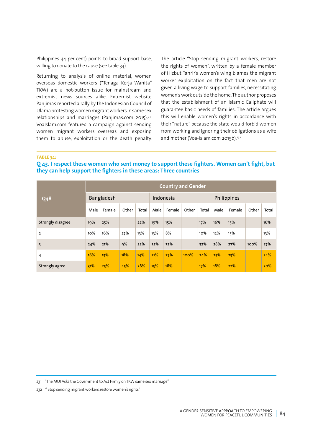Philippines 44 per cent) points to broad support base, willing to donate to the cause (see table 34).

Returning to analysis of online material, women overseas domestic workers ("Tenaga Kerja Wanita" TKW) are a hot-button issue for mainstream and extremist news sources alike. Extremist website Panjimas reported a rally by the Indonesian Council of Ulama protesting women migrant workers in same sex relationships and marriages (Panjimas.com 2015).231 VoaIslam.com featured a campaign against sending women migrant workers overseas and exposing them to abuse, exploitation or the death penalty. The article "Stop sending migrant workers, restore the rights of women", written by a female member of Hizbut Tahrir's women's wing blames the migrant worker exploitation on the fact that men are not given a living wage to support families, necessitating women's work outside the home. The author proposes that the establishment of an Islamic Caliphate will guarantee basic needs of families. The article argues this will enable women's rights in accordance with their "nature" because the state would forbid women from working and ignoring their obligations as a wife and mother (Voa-Islam.com 2015b).<sup>232</sup>

**TABLE 34:** 

#### **Q 43. I respect these women who sent money to support these fighters. Women can't fight, but they can help support the fighters in these areas: Three countries**

| <b>Q48</b>        | <b>Country and Gender</b> |        |       |       |           |        |       |       |             |        |       |       |  |
|-------------------|---------------------------|--------|-------|-------|-----------|--------|-------|-------|-------------|--------|-------|-------|--|
|                   | Bangladesh                |        |       |       | Indonesia |        |       |       | Philippines |        |       |       |  |
|                   | Male                      | Female | Other | Total | Male      | Female | Other | Total | Male        | Female | Other | Total |  |
| Strongly disagree | 19%                       | 25%    |       | 22%   | 19%       | 15%    |       | 17%   | 16%         | 15%    |       | 16%   |  |
| $\overline{2}$    | 10%                       | 16%    | 27%   | 13%   | 13%       | 8%     |       | 10%   | 12%         | 13%    |       | 13%   |  |
| $\overline{3}$    | 24%                       | 21%    | 9%    | 22%   | 32%       | 32%    |       | 32%   | 28%         | 27%    | 100%  | 27%   |  |
| 4                 | 16%                       | 13%    | 18%   | 14%   | 21%       | 27%    | 100%  | 24%   | 25%         | 23%    |       | 24%   |  |
| Strongly agree    | 31%                       | 25%    | 45%   | 28%   | 15%       | 18%    |       | 17%   | 18%         | 22%    |       | 20%   |  |

231 "The MUI Asks the Government to Act Firmly on TKW same sex marriage"

232 " Stop sending migrant workers, restore women's rights"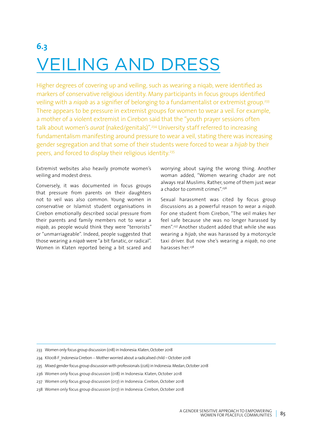# **6.3** VEILING AND DRESS

Higher degrees of covering up and veiling, such as wearing a niqab, were identified as markers of conservative religious identity. Many participants in focus groups identified veiling with a *niqab* as a signifier of belonging to a fundamentalist or extremist group.<sup>233</sup> There appears to be pressure in extremist groups for women to wear a veil. For example, a mother of a violent extremist in Cirebon said that the "youth prayer sessions often talk about women's *aurat* (naked/genitals)".234 University staff referred to increasing fundamentalism manifesting around pressure to wear a veil, stating there was increasing gender segregation and that some of their students were forced to wear a *hijab* by their peers, and forced to display their religious identity.235

Extremist websites also heavily promote women's veiling and modest dress.

Conversely, it was documented in focus groups that pressure from parents on their daughters not to veil was also common. Young women in conservative or Islamist student organisations in Cirebon emotionally described social pressure from their parents and family members not to wear a *niqab*, as people would think they were "terrorists" or "unmarriageable". Indeed, people suggested that those wearing a *niqab* were "a bit fanatic, or radical". Women in Klaten reported being a bit scared and

worrying about saying the wrong thing. Another woman added, "Women wearing chador are not always real Muslims. Rather, some of them just wear a chador to commit crimes".<sup>236</sup>

Sexual harassment was cited by focus group discussions as a powerful reason to wear a *niqab*. For one student from Cirebon, "The veil makes her feel safe because she was no longer harassed by men".237 Another student added that while she was wearing a *hijab*, she was harassed by a motorcycle taxi driver. But now she's wearing a *niqab*, no one harasses her.<sup>238</sup>

- 233 Women only focus group discussion (018) in Indonesia: Klaten, October 2018
- 234 KII008-F Indonesia Cirebon -- Mother worried about a radicalised child October 2018
- 235 Mixed gender focus group discussion with professionals (026) in Indonesia: Medan, October 2018
- 236 Women only focus group discussion (018) in Indonesia: Klaten, October 2018
- 237 Women only focus group discussion (017) in Indonesia: Cirebon, October 2018
- 238 Women only focus group discussion (017) in Indonesia: Cirebon, October 2018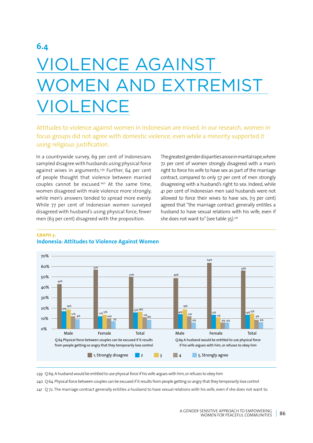# **6.4** VIOLENCE AGAINST WOMEN AND EXTREMIST VIOLENCE

Attitudes to violence against women in Indonesian are mixed. In our research, women in focus groups did not agree with domestic violence, even while a minority supported it using religious justification.

In a countrywide survey, 69 per cent of Indonesians sampled disagree with husbands using physical force against wives in arguments.<sup>239</sup> Further, 64 per cent of people thought that violence between married couples cannot be excused.<sup>240</sup> At the same time, women disagreed with male violence more strongly, while men's answers tended to spread more evenly. While 77 per cent of Indonesian women surveyed disagreed with husband's using physical force, fewer men (63 per cent) disagreed with the proposition.

The greatest gender disparities arose in marital rape, where 72 per cent of women strongly disagreed with a man's right to force his wife to have sex as part of the marriage contract, compared to only 57 per cent of men strongly disagreeing with a husband's right to sex. Indeed, while 41 per cent of Indonesian men said husbands were not allowed to force their wives to have sex, (13 per cent) agreed that "the marriage contract generally entitles a husband to have sexual relations with his wife, even if she does not want to" (see table 35).<sup>241</sup>



#### **GRAPH 3: Indonesia: Attitudes to Violence Against Women**

239 Q 69. A husband would be entitled to use physical force if his wife argues with him, or refuses to obey him

240 Q 64. Physical force between couples can be excused if it results from people getting so angry that they temporarily lose control

241 Q 72. The marriage contract generally entitles a husband to have sexual relations with his wife, even if she does not want to.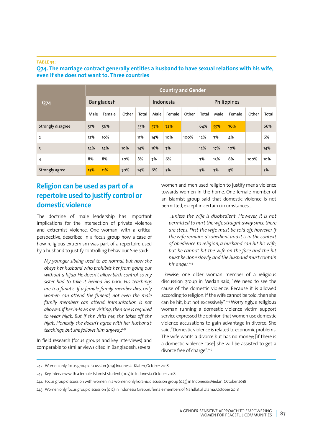#### **TABLE 35:**

**Q74. The marriage contract generally entitles a husband to have sexual relations with his wife, even if she does not want to. Three countries**

| <b>Q74</b>        | <b>Country and Gender</b> |        |       |       |           |        |       |       |             |        |       |       |  |
|-------------------|---------------------------|--------|-------|-------|-----------|--------|-------|-------|-------------|--------|-------|-------|--|
|                   | Bangladesh                |        |       |       | Indonesia |        |       |       | Philippines |        |       |       |  |
|                   | Male                      | Female | Other | Total | Male      | Female | Other | Total | Male        | Female | Other | Total |  |
| Strongly disagree | 51%                       | 56%    |       | 53%   | 57%       | 72%    |       | 64%   | 55%         | 76%    |       | 66%   |  |
| $\overline{2}$    | 12%                       | 10%    |       | 11%   | 14%       | 10%    | 100%  | 12%   | 7%          | 4%     |       | 6%    |  |
| $\overline{3}$    | 14%                       | 14%    | 10%   | 14%   | 16%       | 7%     |       | 12%   | 17%         | 10%    |       | 14%   |  |
| 4                 | 8%                        | 8%     | 20%   | 8%    | 7%        | 6%     |       | 7%    | 13%         | 6%     | 100%  | 10%   |  |
| Strongly agree    | 15%                       | 11%    | 70%   | 14%   | 6%        | 5%     |       | 5%    | 7%          | 3%     |       | 5%    |  |

## **Religion can be used as part of a repertoire used to justify control or domestic violence**

The doctrine of male leadership has important implications for the intersection of private violence and extremist violence. One woman, with a critical perspective, described in a focus group how a case of how religious extremism was part of a repertoire used by a husband to justify controlling behaviour. She said:

*My younger sibling used to be normal, but now she obeys her husband who prohibits her from going out without a hijab. He doesn't allow birth control, so my sister had to take it behind his back. His teachings are too fanatic. If a female family member dies, only women can attend the funeral, not even the male family members can attend. Immunization is not allowed. If her in-laws are visiting, then she is required to wear hijab. But if she visits me, she takes off the hijab. Honestly, she doesn't agree with her husband's teachings, but she follows him anyway.242*

In field research (focus groups and key interviews) and comparable to similar views cited in Bangladesh, several women and men used religion to justify men's violence towards women in the home. One female member of an Islamist group said that domestic violence is not permitted, except in certain circumstances…

*…unless the wife is disobedient. However, it is not permitted to hurt the wife straight away since there are steps. First the wife must be told off, however if the wife remains disobedient and it is in the context of obedience to religion, a husband can hit his wife, but he cannot hit the wife on the face and the hit must be done slowly, and the husband must contain his anger.243*

Likewise, one older woman member of a religious discussion group in Medan said, "We need to see the cause of the domestic violence. Because it is allowed according to religion. If the wife cannot be told, then she can be hit, but not excessively".<sup>244</sup> Worryingly, a religious woman running a domestic violence victim support service expressed the opinion that women use domestic violence accusations to gain advantage in divorce. She said, "Domestic violence is related to economic problems. The wife wants a divorce but has no money; [if there is a domestic violence case] she will be assisted to get a divorce free of charge".<sup>245</sup>

<sup>242</sup> Women only focus group discussion (019) Indonesia: Klaten, October 2018

<sup>243</sup> Key interview with a female, Islamist student (007) in Indonesia, October 2018

<sup>244</sup> Focus group discussion with women in a women only koranic discussion group (025) in Indonesia: Medan, October 2018

<sup>245</sup> Women only focus group discussion (012) in Indonesia Cirebon, female members of Nahdlatul Ulama, October 2018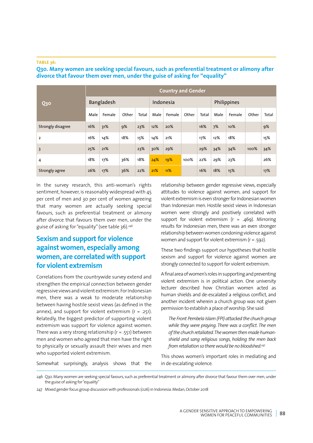#### **TABLE 36:**

**Q30 Country and Gender**  Bangladesh Indonesia Philippines Male | Female | Other | Total | Male | Female | Other | Total | Male | Female | Other | Total Strongly disagree 16% 31% 9% 23% 12% 20% 16% 7% 10% 9% 2 16% 14% 16% 17% 21% 17% 12% 18% 18% 15% 3 25% 21% 23% 30% 29% 29% 34% 34% 100% 34% 4 18% 17% 36% 18% 24% 19% 100% 22% 29% 23% 26% Strongly agree 26% 17% 36% 22% 21% 11% 16% 18% 15% 17% 17%

**Q30. Many women are seeking special favours, such as preferential treatment or alimony after divorce that favour them over men, under the guise of asking for "equality"**

In the survey research, this anti-woman's rights sentiment, however, is reasonably widespread with 45 per cent of men and 30 per cent of women agreeing that many women are actually seeking special favours, such as preferential treatment or alimony after divorce that favours them over men, under the guise of asking for "equality" (see table 36).246

## **Sexism and support for violence against women, especially among women, are correlated with support for violent extremism**

Correlations from the countrywide survey extend and strengthen the empirical connection between gender regressive views and violent extremism. For Indonesian men, there was a weak to moderate relationship between having hostile sexist views (as defined in the annex), and support for violent extremism  $(r = .251)$ . Relatedly, the biggest predictor of supporting violent extremism was support for violence against women. There was a very strong relationship ( $r = .551$ ) between men and women who agreed that men have the right to physically or sexually assault their wives and men who supported violent extremism.

Somewhat surprisingly, analysis shows that the

relationship between gender regressive views, especially attitudes to violence against women, and support for violent extremism is even stronger for Indonesian women than Indonesian men. Hostile sexist views in Indonesian women were strongly and positively correlated with support for violent extremism ( $r = .469$ ). Mirroring results for Indonesian men, there was an even stronger relationship between women condoning violence against women and support for violent extremism (r = .592).

These two findings support our hypotheses that hostile sexism and support for violence against women are strongly connected to support for violent extremism.

A final area of women's roles in supporting and preventing violent extremism is in political action. One university lecturer described how Christian women acted as human shields and de-escalated a religious conflict, and another incident wherein a church group was not given permission to establish a place of worship. She said:

*The Front Pembela Islam (FPI) attacked the church group while they were praying. There was a conflict. The men of the church retaliated. The women then made humanshield and sang religious songs, holding the men back from retaliation so there would be no bloodshed.247*

This shows women's important roles in mediating and in de-escalating violence.

246 Q30. Many women are seeking special favours, such as preferential treatment or alimony after divorce that favour them over men, under the guise of asking for "equality"

247 Mixed gender focus group discussion with professionals (026) in Indonesia: Medan, October 2018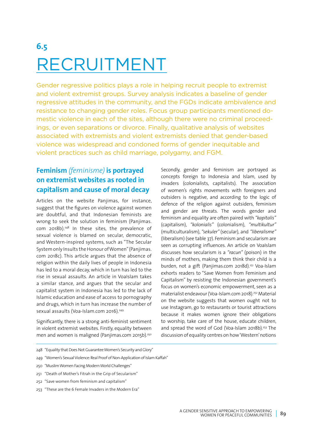# **6.5** RECRUITMENT

Gender regressive politics plays a role in helping recruit people to extremist and violent extremist groups. Survey analysis indicates a baseline of gender regressive attitudes in the community, and the FGDs indicate ambivalence and resistance to changing gender roles. Focus group participants mentioned domestic violence in each of the sites, although there were no criminal proceedings, or even separations or divorce. Finally, qualitative analysis of websites associated with extremists and violent extremists denied that gender-based violence was widespread and condoned forms of gender inequitable and violent practices such as child marriage, polygamy, and FGM.

## **Feminism** *(feminisme)* **is portrayed on extremist websites as rooted in capitalism and cause of moral decay**

Articles on the website Panjimas, for instance, suggest that the figures on violence against women are doubtful, and that Indonesian feminists are wrong to seek the solution in feminism (Panjimas. com 2018b).248 In these sites, the prevalence of sexual violence is blamed on secular, democratic, and Western-inspired systems, such as "The Secular System only Insults the Honour of Women" (Panjimas. com 2018c). This article argues that the absence of religion within the daily lives of people in Indonesia has led to a moral decay, which in turn has led to the rise in sexual assaults. An article in VoaIslam takes a similar stance, and argues that the secular and capitalist system in Indonesia has led to the lack of Islamic education and ease of access to pornography and drugs, which in turn has increase the number of sexual assaults (Voa-Islam.com 2016).<sup>249</sup>

Significantly, there is a strong anti-feminist sentiment in violent extremist websites. Firstly, equality between men and women is maligned (Panjimas.com 2015b).<sup>250</sup>

Secondly, gender and feminism are portrayed as concepts foreign to Indonesia and Islam, used by invaders (colonialists, capitalists). The association of women's rights movements with foreigners and outsiders is negative, and according to the logic of defence of the religion against outsiders, feminism and gender are threats. The words gender and feminism and equality are often paired with *"kapitalis"* (capitalism), *"kolonialis"* (colonialism), *"multikultur"* (multiculturalism), *"sekuler"* (secular), and *"liberalisme"* (liberalism) (see table 37). Feminism and secularism are seen as corrupting influences. An article on Voalslam discusses how secularism is a *"racun"* (poison) in the minds of mothers, making them think their child is a burden, not a gift (Panjimas.com 2018d).251 Voa-Islam exhorts readers to "Save Women from Feminism and Capitalism" by resisting the Indonesian government's focus on women's economic empowerment, seen as a materialist endeavour (Voa-Islam.com 2018).252 Material on the website suggests that women ought not to use Instagram, go to restaurants or tourist attractions because it makes women ignore their obligations to worship, take care of the house, educate children, and spread the word of God (Voa-Islam 2018b).<sup>253</sup> The discussion of equality centres on how 'Western' notions

- 248 "Equality that Does Not Guarantee Women's Security and Glory"
- 249 "Women's Sexual Violence: Real Proof of Non-Application of Islam Kaffah"
- 250 "Muslim Women Facing Modern World Challenges"
- 251 "Death of Mother's Fitrah in the Grip of Secularism"
- 252 "Save women from feminism and capitalism"
- 253 "These are the 6 Female Invaders in the Modern Era"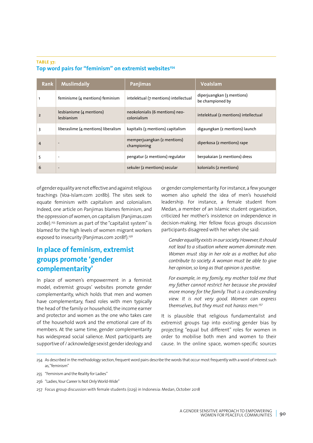#### **TABLE 37:**  Top word pairs for "feminism" on extremist websites<sup>254</sup>

| <b>Rank</b>    | <b>Muslimdaily</b>                     | <b>Panjimas</b>                                | <b>Voalslam</b>                                |
|----------------|----------------------------------------|------------------------------------------------|------------------------------------------------|
|                | feminisme (4 mentions) feminism        | intelektual (7 mentions) intellectual          | diperjuangkan (3 mentions)<br>be championed by |
| $\overline{2}$ | lesbianisme (4 mentions)<br>lesbianism | neokolonialis (6 mentions) neo-<br>colonialism | intelektual (2 mentions) intellectual          |
| 3              | liberaslime (4 mentions) liberalism    | kapitalis (3 mentions) capitalism              | digaungkan (2 mentions) launch                 |
| 4              | $\overline{\phantom{m}}$               | memperjuangkan (2 mentions)<br>championing     | diperkosa (2 mentions) rape                    |
| 5              | ٠                                      | pengatur (2 mentions) regulator                | berpakaian (2 mentions) dress                  |
| 6              | $\overline{\phantom{a}}$               | sekuler (2 mentions) secular                   | kolonialis (2 mentions)                        |

of gender equality are not effective and against religious teachings (Voa-Islam.com 2018b). The sites seek to equate feminism with capitalism and colonialism. Indeed, one article on Panjimas blames feminism, and the oppression of women, on capitalism (Panjimas.com 2018e).255 Feminism as part of the "capitalist system" is blamed for the high levels of women migrant workers exposed to insecurity (Panjimas.com 2018f).<sup>256</sup>

# **In place of feminism, extremist groups promote 'gender complementarity'**

In place of women's empowerment in a feminist model, extremist groups' websites promote gender complementarity, which holds that men and women have complementary, fixed roles with men typically the head of the family or household, the income earner and protector and women as the one who takes care of the household work and the emotional care of its members. At the same time, gender complementarity has widespread social salience. Most participants are supportive of / acknowledge sexist gender ideology and or gender complementarity. For instance, a few younger women also upheld the idea of men's household leadership. For instance, a female student from Medan, a member of an Islamic student organization, criticized her mother's insistence on independence in decision-making. Her fellow focus groups discussion participants disagreed with her when she said:

*Gender equality exists in our society. However, it should not lead to a situation where women dominate men. Women must stay in her role as a mother, but also contribute to society. A woman must be able to give her opinion, so long as that opinion is positive.* 

*For example, in my family, my mother told me that my father cannot restrict her because she provided more money for the family. That is a condescending view. It is not very good. Women can express themselves, but they must not harass men.257*

It is plausible that religious fundamentalist and extremist groups tap into existing gender bias by projecting "equal but different" roles for women in order to mobilise both men and women to their cause. In the online space, women-specific sources

<sup>254</sup> As described in the methodology section, frequent word pairs describe the words that occur most frequently with a word of interest such as, "feminism"

<sup>255</sup> "Feminism and the Reality for Ladies"

<sup>256</sup> "Ladies, Your Career Is Not Only World-Wide"

<sup>257</sup> Focus group discussion with female students (029) in Indonesia: Medan, October 2018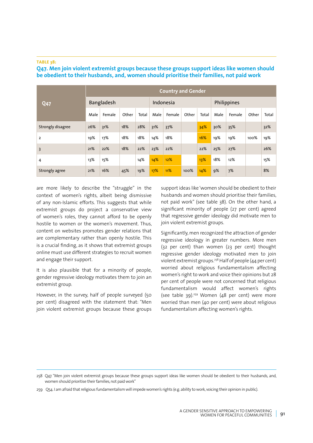#### **TABLE 38:**

#### **Q47. Men join violent extremist groups because these groups support ideas like women should be obedient to their husbands, and, women should prioritise their families, not paid work**

| <b>Q47</b>              | <b>Country and Gender</b> |        |       |       |           |        |       |       |             |        |       |       |  |
|-------------------------|---------------------------|--------|-------|-------|-----------|--------|-------|-------|-------------|--------|-------|-------|--|
|                         | <b>Bangladesh</b>         |        |       |       | Indonesia |        |       |       | Philippines |        |       |       |  |
|                         | Male                      | Female | Other | Total | Male      | Female | Other | Total | Male        | Female | Other | Total |  |
| Strongly disagree       | 26%                       | 31%    | 18%   | 28%   | 31%       | 37%    |       | 34%   | 30%         | 35%    |       | 32%   |  |
| 2                       | 19%                       | 17%    | 18%   | 18%   | 14%       | 18%    |       | 16%   | 19%         | 19%    | 100%  | 19%   |  |
| $\overline{\mathbf{3}}$ | 21%                       | 22%    | 18%   | 22%   | 23%       | 22%    |       | 22%   | 25%         | 27%    |       | 26%   |  |
| 4                       | 13%                       | 15%    |       | 14%   | 14%       | 12%    |       | 13%   | 18%         | 12%    |       | 15%   |  |
| Strongly agree          | 21%                       | 16%    | 45%   | 19%   | 17%       | 11%    | 100%  | 14%   | 9%          | 7%     |       | 8%    |  |

are more likely to describe the "struggle" in the context of women's rights, albeit being dismissive of any non-Islamic efforts. This suggests that while extremist groups do project a conservative view of women's roles, they cannot afford to be openly hostile to women or the women's movement. Thus, content on websites promotes gender relations that are complementary rather than openly hostile. This is a crucial finding, as it shows that extremist groups online must use different strategies to recruit women and engage their support.

It is also plausible that for a minority of people, gender regressive ideology motivates them to join an extremist group.

However, in the survey, half of people surveyed (50 per cent) disagreed with the statement that: "Men join violent extremist groups because these groups support ideas like 'women should be obedient to their husbands and women should prioritise their families, not paid work" (see table 38). On the other hand, a significant minority of people (27 per cent) agreed that regressive gender ideology did motivate men to join violent extremist groups.

Significantly, men recognized the attraction of gender regressive ideology in greater numbers. More men (32 per cent) than women (23 per cent) thought regressive gender ideology motivated men to join violent extremist groups.258 Half of people (44 per cent) worried about religious fundamentalism affecting women's right to work and voice their opinions but 28 per cent of people were not concerned that religious fundamentalism would affect women's rights (see table 39).<sup>259</sup> Women (48 per cent) were more worried than men (40 per cent) were about religious fundamentalism affecting women's rights.

<sup>258</sup> Q47. "Men join violent extremist groups because these groups support ideas like women should be obedient to their husbands, and, women should prioritise their families, not paid work"

<sup>259</sup> Q54. I am afraid that religious fundamentalism will impede women's rights (e.g. ability to work, voicing their opinion in public).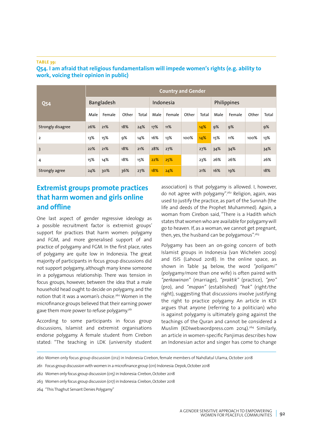#### **TABLE 39:**

| <b>Q54</b>        | <b>Country and Gender</b> |        |       |       |           |        |       |       |             |        |       |       |
|-------------------|---------------------------|--------|-------|-------|-----------|--------|-------|-------|-------------|--------|-------|-------|
|                   | Bangladesh                |        |       |       | Indonesia |        |       |       | Philippines |        |       |       |
|                   | Male                      | Female | Other | Total | Male      | Female | Other | Total | Male        | Female | Other | Total |
| Strongly disagree | 26%                       | 21%    | 18%   | 24%   | 17%       | 11%    |       | 14%   | 9%          | 9%     |       | 9%    |
| $\overline{2}$    | 13%                       | 15%    | 9%    | 14%   | 16%       | 13%    | 100%  | 14%   | 15%         | 11%    | 100%  | 13%   |
| $\overline{3}$    | 22%                       | 21%    | 18%   | 21%   | 28%       | 27%    |       | 27%   | 34%         | 34%    |       | 34%   |
| 4                 | 15%                       | 14%    | 18%   | 15%   | 22%       | 25%    |       | 23%   | 26%         | 26%    |       | 26%   |
| Strongly agree    | 24%                       | 30%    | 36%   | 27%   | 18%       | 24%    |       | 21%   | 16%         | 19%    |       | 18%   |

#### **Q54. I am afraid that religious fundamentalism will impede women's rights (e.g. ability to work, voicing their opinion in public)**

# **Extremist groups promote practices that harm women and girls online and offline**

One last aspect of gender regressive ideology as a possible recruitment factor is extremist groups' support for practices that harm women: polygamy and FGM, and more generalised support of and practice of polygamy and FGM. In the first place, rates of polygamy are quite low in Indonesia. The great majority of participants in focus group discussions did not support polygamy, although many knew someone in a polygamous relationship. There was tension in focus groups, however, between the idea that a male household head ought to decide on polygamy, and the notion that it was a woman's choice.<sup>260</sup> Women in the microfinance groups believed that their earning power gave them more power to refuse polygamy.<sup>261</sup>

According to some participants in focus group discussions, Islamist and extremist organisations endorse polygamy. A female student from Cirebon stated: "The teaching in LDK (university student

association) is that polygamy is allowed. I, however, do not agree with polygamy".262 Religion, again, was used to justify the practice, as part of the Sunnah (the life and deeds of the Prophet Muhammed). Again, a woman from Cirebon said, "There is a Hadith which states that women who are available for polygamy will go to heaven. If, as a woman, we cannot get pregnant, then, yes, the husband can be polygamous".<sup>263</sup>

Polygamy has been an on-going concern of both Islamist groups in Indonesia (van Wichelen 2009) and ISIS (Lahoud 2018). In the online space, as shown in Table 34 below, the word *"poligami"*  (polygamy/more than one wife) is often paired with *"perkawinan"* (marriage), *"praktik"* (practice), *"pro"*  (pro), and *"mapan"* (established) *"hak"* (right/the right), suggesting that discussions involve justifying the right to practice polygamy. An article in KDI argues that anyone (referring to a politician) who is against polygamy is ultimately going against the teachings of the Quran and cannot be considered a Muslim (KDIweb.wordpress.com 2014).264 Similarly, an article in women-specific Panjimas describes how an Indonesian actor and singer has come to change

<sup>260</sup> Women only focus group discussion (012) in Indonesia Cirebon, female members of Nahdlatul Ulama, October 2018

<sup>261</sup> Focus group discussion with women in a microfinance group (011) Indonesia: Depok, October 2018

<sup>262</sup> Women only focus group discussion (015) in Indonesia: Cirebon, October 2018

<sup>263</sup> Women only focus group discussion (017) in Indonesia: Cirebon, October 2018

<sup>264</sup> "This Thaghut Servant Denies Polygamy"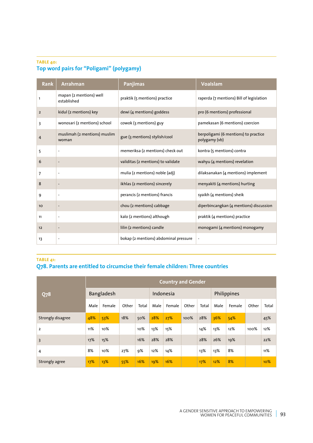#### **TABLE 40:**

# **Top word pairs for "Poligami" (polygamy)**

| <b>Rank</b>    | <b>Arrahman</b>                        | <b>Panjimas</b>                       | <b>Voalslam</b>                                       |
|----------------|----------------------------------------|---------------------------------------|-------------------------------------------------------|
| 1              | mapan (2 mentions) well<br>established | praktik (5 mentions) practice         | raperda (7 mentions) Bill of legislation              |
| $\overline{2}$ | kidul (2 mentions) key                 | dewi (4 mentions) goddess             | pro (6 mentions) professional                         |
| 3              | wonosari (2 mentions) school           | cowok (3 mentions) guy                | pamekasan (6 mentions) coercion                       |
| 4              | muslimah (2 mentions) muslim<br>woman  | gue (3 mentions) stylish/cool         | berpoligami (6 mentions) to practice<br>polygamy (vb) |
| 5              |                                        | memeriksa (2 mentions) check out      | kontra (5 mentions) contra                            |
| 6              |                                        | validitas (2 mentions) to validate    | wahyu (4 mentions) revelation                         |
| 7              |                                        | mulia (2 mentions) noble (adj)        | dilaksanakan (4 mentions) implement                   |
| 8              |                                        | ikhlas (2 mentions) sincerely         | menyakiti (4 mentions) hurting                        |
| 9              |                                        | perancis (2 mentions) francis         | syaikh (4 mentions) sheik                             |
| 10             |                                        | chou (2 mentions) cabbage             | diperbincangkan (4 mentions) discussion               |
| 11             | $\overline{\phantom{a}}$               | kalo (2 mentions) although            | praktik (4 mentions) practice                         |
| 12             |                                        | lilin (2 mentions) candle             | monogami (4 mentions) monogamy                        |
| 13             | $\overline{\phantom{a}}$               | bokap (2 mentions) abdominal pressure | $\overline{\phantom{0}}$                              |

#### **TABLE 41: Q78. Parents are entitled to circumcise their female children: Three countries**

| <b>Q78</b>        | <b>Country and Gender</b> |        |       |       |           |        |       |             |      |        |       |       |  |
|-------------------|---------------------------|--------|-------|-------|-----------|--------|-------|-------------|------|--------|-------|-------|--|
|                   | Bangladesh                |        |       |       | Indonesia |        |       | Philippines |      |        |       |       |  |
|                   | Male                      | Female | Other | Total | Male      | Female | Other | Total       | Male | Female | Other | Total |  |
| Strongly disagree | 48%                       | 53%    | 18%   | 50%   | 28%       | 27%    | 100%  | 28%         | 36%  | 54%    |       | 45%   |  |
| $\overline{2}$    | 11%                       | 10%    |       | 10%   | 13%       | 15%    |       | 14%         | 13%  | 12%    | 100%  | 12%   |  |
| $\overline{3}$    | 17%                       | 15%    |       | 16%   | 28%       | 28%    |       | 28%         | 26%  | 19%    |       | 22%   |  |
| 4                 | 8%                        | 10%    | 27%   | 9%    | 12%       | 14%    |       | 13%         | 13%  | 8%     |       | 11%   |  |
| Strongly agree    | 17%                       | 13%    | 55%   | 16%   | 19%       | 16%    |       | 17%         | 12%  | 8%     |       | 10%   |  |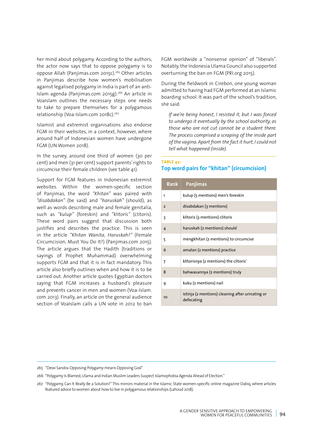her mind about polygamy. According to the authors, the actor now says that to oppose polygamy is to oppose Allah (Panjimas.com 2015c).265 Other articles in Panjimas describe how women's mobilisation against legalised polygamy in India is part of an anti-Islam agenda (Panjimas.com 2015g).<sup>266</sup> An article in VoaIslam outlines the necessary steps one needs to take to prepare themselves for a polygamous relationship (Voa-Islam.com 2018c).<sup>267</sup>

Islamist and extremist organisations also endorse FGM in their websites, in a context, however, where around half of Indonesian women have undergone FGM (UN Women 2018).

In the survey, around one third of women (30 per cent) and men (31 per cent) support parents' rights to circumcise their female children (see table 41).

Support for FGM features in Indonesian extremist websites. Within the women-specific section of Panjimas, the word *"Khitan"* was paired with *"disabdakan"* (be said) and *"haruskah"* (should), as well as words describing male and female genitalia, such as *"kulup"* (foreskin) and *"klitoris"* (clitoris). These word pairs suggest that discussion both justifies and describes the practice. This is seen in the article *"Khitan Wanita, Haruskah?"* (Female Circumcision, Must You Do It?) (Panjimas.com 2015). The article argues that the Hadith (traditions or sayings of Prophet Muhammad) overwhelming supports FGM and that it is in fact mandatory. This article also briefly outlines when and how it is to be carried out. Another article quotes Egyptian doctors saying that FGM increases a husband's pleasure and prevents cancer in men and women (Voa-Islam. com 2013). Finally, an article on the general audience section of VoaIslam calls a UN vote in 2012 to ban

FGM worldwide a "nonsense opinion" of "liberals". Notably, the Indonesia Ulama Council also supported overturning the ban on FGM (PRI.org 2015).

During the fieldwork in Cirebon, one young woman admitted to having had FGM performed at an Islamic boarding school. It was part of the school's tradition, she said:

*If we're being honest, I resisted it, but I was forced to undergo it eventually by the school authority, as those who are not cut cannot be a student there. The process comprised a scraping of the inside part of the vagina. Apart from the fact it hurt, I could not tell what happened (inside).*

#### **TABLE 42: Top word pairs for "khitan" (circumcision)**

| <b>Rank</b>    | <b>Panjimas</b>                                                |
|----------------|----------------------------------------------------------------|
| 1              | kulup (5 mentions) men's foreskin                              |
| $\overline{2}$ | disabdakan (3 mentions)                                        |
| 3              | klitoris (3 mentions) clitoris                                 |
| 4              | haruskah (2 mentions) should                                   |
| 5              | mengkhitan (2 mentions) to circumcise                          |
| 6              | amalan (2 mentions) practice                                   |
| 7              | klitorisnya (2 mentions) the clitoris'                         |
| 8              | bahwasannya (2 mentions) truly                                 |
| 9              | kuku (2 mentions) nail                                         |
| 10             | istinja (2 mentions) cleaning after urinating or<br>defecating |

<sup>265</sup> "Dewi Sandra: Opposing Polygamy means Opposing God"

<sup>266</sup> "Polygamy Is Blamed, Ulama and Indian Muslim Leaders Suspect Islamophobia Agenda Ahead of Election."

<sup>267</sup> "Polygamy, Can It Really Be a Solution?" This mirrors material in the Islamic State women-specific online magazine Dabiq, where articles featured advice to women about how to live in polygamous relationships (Lahoud 2018).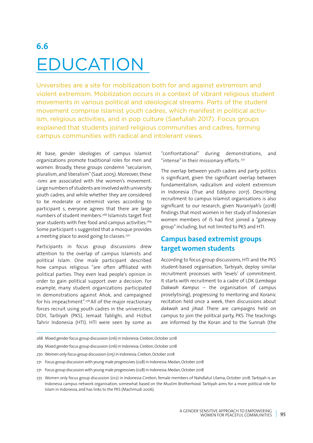# **6.6** EDUCATION

Universities are a site for mobilization both for and against extremism and violent extremism. Mobilization occurs in a context of vibrant religious student movements in various political and ideological streams. Parts of the student movement comprise Islamist youth cadres, which manifest in political activism, religious activities, and in pop culture (Saefullah 2017). Focus groups explained that students joined religious communities and cadres, forming campus communities with radical and intolerant views.

At base, gender ideologies of campus Islamist organizations promote traditional roles for men and women. Broadly, these groups condemn "secularism, pluralism, and liberalism" (Saat 2005). Moreover, these *-isms* are associated with the women's movement. Large numbers of students are involved with university youth cadres, and while whether they are considered to be moderate or extremist varies according to participant s, everyone agrees that there are large numbers of student members.268 Islamists target first year students with free food and campus activities.<sup>269</sup> Some participant s suggested that a mosque provides a meeting place to avoid going to classes.<sup>270</sup>

Participants in focus group discussions drew attention to the overlap of campus Islamists and political Islam. One male participant described how campus religious "are often affiliated with political parties. They even lead people's opinion in order to gain political support over a decision. For example, many student organizations participated in demonstrations against Ahok, and campaigned for his impeachment".278 All of the major reactionary forces recruit using youth cadres in the universities, DDII, Tarbiyah (PKS), Jemaat Tablighi, and Hizbut Tahrir Indonesia (HTI). HTI were seen by some as "confrontational" during demonstrations, and "intense" in their missionary efforts.<sup>272</sup>

The overlap between youth cadres and party politics is significant, given the significant overlap between fundamentalism, radicalism and violent extremism in Indonesia (True and Eddyono 2017). Describing recruitment to campus Islamist organisations is also significant to our research, given Nuraniyah's (2018) findings that most women in her study of Indonesian women members of IS had first joined a "gateway group" including, but not limited to PKS and HTI.

# **Campus based extremist groups target women students**

According to focus group discussions, HTI and the PKS student-based organisation, Tarbiyah, deploy similar recruitment processes with 'levels' of commitment. It starts with recruitment to a cadre of LDK (*Lembaga Dakwah Kampus* – the organisation of campus proselytising), progressing to mentoring and Koranic recitation held once a week, then discussions about *dakwah* and *jihad*. There are campaigns held on campus to join the political party, PKS. The teachings are informed by the Koran and to the Sunnah (the

268 Mixed gender focus group discussion (016) in Indonesia: Cirebon, October 2018

- 269 Mixed gender focus group discussion (016) in Indonesia: Cirebon, October 2018
- 270 Women only focus group discussion (015) in Indonesia: Cirebon, October 2018
- 271 Focus group discussion with young male progressives (028) in Indonesia: Medan, October 2018

<sup>271</sup> Focus group discussion with young male progressives (028) in Indonesia: Medan, October 2018

<sup>272</sup> Women only focus group discussion (012) in Indonesia Cirebon, female members of Nahdlatul Ulama, October 2018. Tarbiyah is an Indonesia campus network organisation, somewhat based on the Muslim Brotherhood. Tarbiyah aims for a more political role for Islam in Indonesia, and has links to the PKS (Machmudi 2006).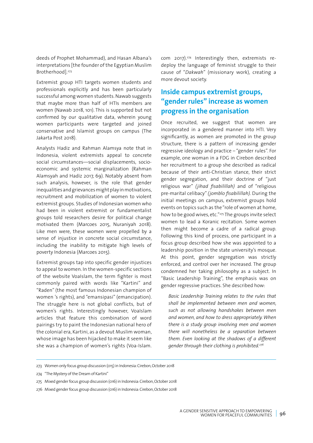deeds of Prophet Mohammad), and Hasan Albana's interpretations [the founder of the Egyptian Muslim Brotherhood].273

Extremist group HTI targets women students and professionals explicitly and has been particularly successful among women students. Nawab suggests that maybe more than half of HTIs members are women (Nawab 2018, 101). This is supported but not confirmed by our qualitative data, wherein young women participants were targeted and joined conservative and Islamist groups on campus (The Jakarta Post 2018).

Analysts Hadiz and Rahman Alamsya note that in Indonesia, violent extremists appeal to concrete social circumstances—social displacements, socioeconomic and systemic marginalization (Rahman Alamsyah and Hadiz 2017, 69). Notably absent from such analysis, however, is the role that gender inequalities and grievances might play in motivations, recruitment and mobilization of women to violent extremist groups. Studies of Indonesian women who had been in violent extremist or fundamentalist groups told researchers desire for political change motivated them (Marcoes 2015, Nuraniyah 2018). Like men were, these women were propelled by a sense of injustice in concrete social circumstance, including the inability to mitigate high levels of poverty Indonesia (Marcoes 2015).

Extremist groups tap into specific gender injustices to appeal to women. In the women-specific sections of the website VoaIslam, the term fighter is most commonly paired with words like "Kartini" and "Raden" (the most famous Indonesian champion of women 's rights), and "emansipasi" (emancipation). The struggle here is not global conflicts, but of women's rights. Interestingly however, VoaIslam articles that feature this combination of word pairings try to paint the Indonesian national hero of the colonial era, Kartini, as a devout Muslim woman, whose image has been hijacked to make it seem like she was a champion of women's rights (Voa-Islam.

com 2017).274 Interestingly then, extremists redeploy the language of feminist struggle to their cause of "*Dakwah*" (missionary work), creating a more devout society.

# **Inside campus extremist groups, "gender rules" increase as women progress in the organisation**

Once recruited, we suggest that women are incorporated in a gendered manner into HTI. Very significantly, as women are promoted in the group structure, there is a pattern of increasing gender regressive ideology and practice – "gender rules". For example, one woman in a FDG in Cirebon described her recruitment to a group she described as radical because of their anti-Christian stance, their strict gender segregation, and their doctrine of "just religious war" *(jihad fisabilillah)* and of "religious pre-marital celibacy" *(jomblo fisabilillah).* During the initial meetings on campus, extremist groups hold events on topics such as the "role of women at home, how to be good wives, etc."<sup>275</sup> The groups invite select women to lead a Koranic recitation. Some women then might become a cadre of a radical group. Following this kind of process, one participant in a focus group described how she was appointed to a leadership position in the state university's mosque. At this point, gender segregation was strictly enforced, and control over her increased. The group condemned her taking philosophy as a subject. In "Basic Leadership Training", the emphasis was on gender regressive practices. She described how:

*Basic Leadership Training relates to the rules that shall be implemented between men and women, such as not allowing handshakes between men and women, and how to dress appropriately. When there is a study group involving men and women there will nonetheless be a separation between them. Even looking at the shadows of a different gender through their clothing is prohibited.276*

<sup>273</sup> Women only focus group discussion (015) in Indonesia: Cirebon, October 2018

<sup>274</sup> "The Mystery of the Dream of Kartini"

<sup>275</sup> Mixed gender focus group discussion (016) in Indonesia: Cirebon, October 2018

<sup>276</sup> Mixed gender focus group discussion (016) in Indonesia: Cirebon, October 2018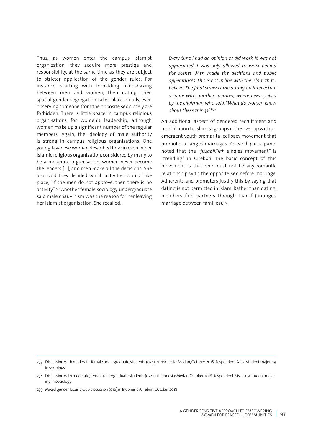Thus, as women enter the campus Islamist organization, they acquire more prestige and responsibility, at the same time as they are subject to stricter application of the gender rules. For instance, starting with forbidding handshaking between men and women, then dating, then spatial gender segregation takes place. Finally, even observing someone from the opposite sex closely are forbidden. There is little space in campus religious organisations for women's leadership, although women make up a significant number of the regular members. Again, the ideology of male authority is strong in campus religious organisations. One young Javanese woman described how in even in her Islamic religious organization, considered by many to be a moderate organisation, women never become the leaders […], and men make all the decisions. She also said they decided which activities would take place, "If the men do not approve, then there is no activity".277 Another female sociology undergraduate said male chauvinism was the reason for her leaving her Islamist organisation. She recalled:

*Every time I had an opinion or did work, it was not appreciated. I was only allowed to work behind the scenes. Men made the decisions and public appearances. This is not in line with the Islam that I believe. The final straw came during an intellectual dispute with another member, where I was yelled by the chairman who said, "What do women know about these things?!278*

An additional aspect of gendered recruitment and mobilisation to Islamist groups is the overlap with an emergent youth premarital celibacy movement that promotes arranged marriages. Research participants noted that the *"fissabilillah* singles movement" is "trending" in Cirebon. The basic concept of this movement is that one must not be any romantic relationship with the opposite sex before marriage. Adherents and promoters justify this by saying that dating is not permitted in Islam. Rather than dating, members find partners through Taaruf (arranged marriage between families).279

<sup>277</sup> Discussion with moderate, female undergraduate students (024) in Indonesia: Medan, October 2018. Respondent A is a student majoring in sociology

<sup>278</sup> Discussion with moderate, female undergraduate students (024) in Indonesia: Medan, October 2018. Respondent B is also a student majoring in sociology

<sup>279</sup> Mixed gender focus group discussion (016) in Indonesia: Cirebon, October 2018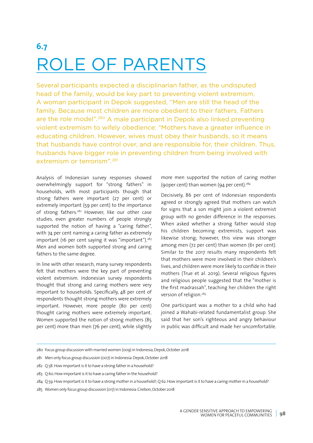# **6.7** ROLE OF PARENTS

Several participants expected a disciplinarian father, as the undisputed head of the family, would be key part to preventing violent extremism. A woman participant in Depok suggested, "Men are still the head of the family. Because most children are more obedient to their fathers. Fathers are the role model".<sup>280</sup> A male participant in Depok also linked preventing violent extremism to wifely obedience: "Mothers have a greater influence in educating children. However, wives must obey their husbands, so it means that husbands have control over, and are responsible for, their children. Thus, husbands have bigger role in preventing children from being involved with extremism or terrorism".<sup>281</sup>

Analysis of Indonesian survey responses showed overwhelmingly support for "strong fathers" in households, with most participants though that strong fathers were important (27 per cent) or extremely important (59 per cent) to the importance of strong fathers.<sup>282</sup> However, like our other case studies, even greater numbers of people strongly supported the notion of having a "caring father", with 74 per cent naming a caring father as extremely important (16 per cent saying it was "important"). $283$ Men and women both supported strong and caring fathers to the same degree.

In line with other research, many survey respondents felt that mothers were the key part of preventing violent extremism. Indonesian survey respondents thought that strong and caring mothers were very important to households. Specifically, 48 per cent of respondents thought strong mothers were extremely important. However, more people (80 per cent) thought caring mothers were extremely important. Women supported the notion of strong mothers (85 per cent) more than men (76 per cent), while slightly more men supported the notion of caring mother (90per cent) than women (94 per cent).284

Decisively, 86 per cent of Indonesian respondents agreed or strongly agreed that mothers can watch for signs that a son might join a violent extremist group with no gender difference in the responses. When asked whether a strong father would stop his children becoming extremists, support was likewise strong; however, this view was stronger among men (72 per cent) than women (61 per cent). Similar to the 2017 results many respondents felt that mothers were more involved in their children's lives, and children were more likely to confide in their mothers (True et al. 2019). Several religious figures and religious people suggested that the "mother is the first madrassah", teaching her children the right version of religion.<sup>285</sup>

One participant was a mother to a child who had joined a Wahabi-related fundamentalist group. She said that her son's righteous and angry behaviour in public was difficult and made her uncomfortable.

- 282 Q 58. How important is it to have a strong father in a household?
- 283 Q 60. How important is it to have a caring father in the household?

284 Q 59. How important is it to have a strong mother in a household?; Q 62. How important is it to have a caring mother in a household?

<sup>280</sup> Focus group discussion with married women (009) in Indonesia, Depok, October 2018

<sup>281</sup> Men only focus group discussion (007) in Indonesia: Depok, October 2018

<sup>285</sup> Women only focus group discussion (017) in Indonesia: Cirebon, October 2018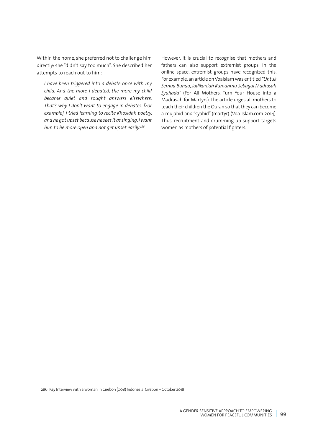Within the home, she preferred not to challenge him directly: she "didn't say too much". She described her attempts to reach out to him:

*I have been triggered into a debate once with my child. And the more I debated, the more my child became quiet and sought answers elsewhere. That's why I don't want to engage in debates. [For example], I tried learning to recite Khosidah poetry, and he got upset because he sees it as singing. I want him to be more open and not get upset easily.286*

However, it is crucial to recognise that mothers and fathers can also support extremist groups. In the online space, extremist groups have recognized this. For example, an article on VoaIslam was entitled *"Untuk Semua Bunda, Jadikanlah Rumahmu Sebagai Madrasah Syuhada"* (For All Mothers, Turn Your House into a Madrasah for Martyrs). The article urges all mothers to teach their children the Quran so that they can become a mujahid and "syahid" (martyr) (Voa-Islam.com 2014). Thus, recruitment and drumming up support targets women as mothers of potential fighters.

286 Key Interview with a woman in Cirebon (008) Indonesia: Cirebon – October 2018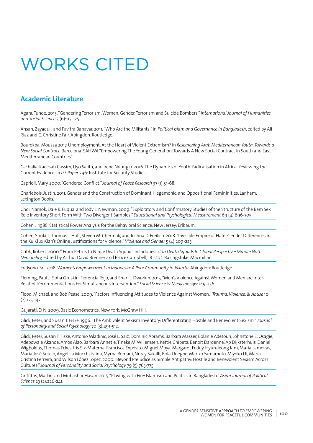# WORKS CITED

## **Academic Literature**

Agara, Tunde. 2015. "Gendering Terrorism: Women, Gender, Terrorism and Suicide Bombers."*International Journal of Humanities and Social Science* 5 (6):115-125.

Ahsan, Zayadul , and Pavitra Banavar. 2011. "Who Are the Militants." In *Political Islam and Governance in Bangladesh*, edited by Ali Riaz and C. Christine Fair. Abingdon: Routledge.

Bourekba, Moussa 2017. Unemployment: At the Heart of Violent Extremism? In *Researching Arab Mediterranean Youth: Towards a New Social Contract.* Barcelona: SAHWA"Empowering The Young Generation: Towards A New Social Contract In South and East Mediterranean Countries".

Cachalia, Raeesah Cassim, Uyo Salifu, and Irene Ndung'u. 2016. The Dynamics of Youth Radicalisation in Africa: Reviewing the Current Evidence. In *ISS Paper* 296: Institute for Security Studies.

Caprioli, Mary. 2000. "Gendered Conflict."*Journal of Peace Research* 37 (1):51-68.

Charlebois, Justin. 2011. Gender and the Construction of Dominant, Hegemonic, and Oppositional Femininities. Lanham: Lexington Books.

Choi, Namok, Dale R. Fuqua, and Jody L. Newman. 2009. "Exploratory and Confirmatory Studies of the Structure of the Bem Sex Role Inventory Short Form With Two Divergent Samples." *Educational and Psychological Measurement* 69 (4):696-705.

Cohen, J. 1988. Statistical Power Analysis for the Behavioral Science. New Jersey: Erlbaum.

Cohen, Shuki J., Thomas J. Holt, Steven M. Chermak, and Joshua D. Freilich. 2018. "Invisible Empire of Hate: Gender Differences in the Ku Klux Klan's Online Justifications for Violence."*Violence and Gender* 5 (4):209-225.

Cribb, Robert. 2000. " From Petrus to Ninja: Death Squads in Indonesia." *In Death Squads In Global Perspective: Murder With Deniability,* edited by Arthur David Brenner and Bruce Campbell, 181-202. Basingstoke: Macmillan.

Eddyono, Sri. 2018. *Women's Empowerment in Indonesia: A Poor Community in Jakarta.* Abingdon: Routledge.

Fleming, Paul J., Sofia Gruskin, Florencia Rojo, and Shari L. Dworkin. 2015. "Men's Violence Against Women and Men are Inter-Related: Recommendations For Simultaneous Intervention." *Social Science & Medicine* 146:249-256.

Flood, Michael, and Bob Pease. 2009. "Factors Influencing Attitudes to Violence Against Women."*Trauma, Violence, & Abuse* 10 (2):125-142.

Gujarati, D. N. 2009. Basic Econometrics. New York: McGraw Hill.

Glick, Peter, and Susan T. Fiske. 1996. "The Ambivalent Sexism Inventory: Differentiating Hostile and Benevolent Sexism "*Journal of Personality and Social Psychology* 70 (3):491-512.

Glick, Peter, Susan T. Fiske, Antonio Mladinic, José L. Saiz, Dominic Abrams, Barbara Masser, Bolanle Adetoun, Johnstone E. Osagie, Adebowale Akande, Amos Alao, Barbara Annetje, Tineke M. Willemsen, Kettie Chipeta, Benoit Dardenne, Ap Dijksterhuis, Daniel Wigboldus, Thomas Eckes, Iris Six-Materna, Francisca Expósito, Miguel Moya, Margaret Foddy, Hyun-Jeong Kim, Maria Lameiras, Maria José Sotelo, Angelica Mucchi-Faina, Myrna Romani, Nuray Sakalli, Bola Udegbe, Mariko Yamamoto, Miyoko Ui, Maria Cristina Ferreira, and Wilson López López. 2000. "Beyond Prejudice as Simple Antipathy: Hostile and Benevolent Sexism Across Cultures."*Journal of Personality and Social Psychology* 79 (5):763-775.

Griffiths, Martin, and Mubashar Hasan. 2015. "Playing with Fire: Islamism and Politics in Bangladesh."*Asian Journal of Political Science* 23 (2):226-241.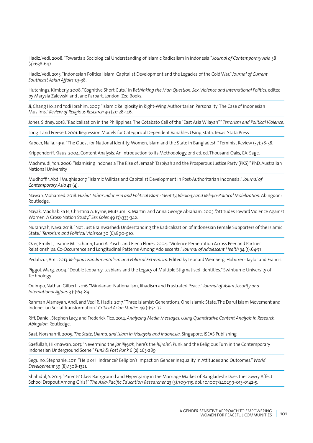Hadiz, Vedi. 2008. "Towards a Sociological Understanding of Islamic Radicalism in Indonesia."*Journal of Contemporary Asia* 38 (4):638-647.

Hadiz, Vedi. 2013. "Indonesian Political Islam: Capitalist Development and the Legacies of the Cold War."*Journal of Current Southeast Asian Affairs* 1:3-38.

Hutchings, Kimberly. 2008. "Cognitive Short Cuts." In R*ethinking the Man Question: Sex, Violence and International Politics*, edited by Marysia Zalewski and Jane Parpart. London: Zed Books.

Ji, Chang Ho, and Yodi Ibrahim. 2007. "Islamic Religiosity in Right-Wing Authoritarian Personality: The Case of Indonesian Muslims."*Review of Religious Research* 49 (2):128-146.

Jones, Sidney. 2018. "Radicalisation in the Philippines: The Cotabato Cell of the "East Asia Wilayah"."*Terrorism and Political Violence.*

Long J. and Freese J. 2001. Regression Models for Categorical Dependent Variables Using Stata. Texas: Stata Press

Kabeer, Naila. 1991. "The Quest for National Identity: Women, Islam and the State in Bangladesh." Feminist Review (37):38-58.

Krippendorff, Klaus. 2004. Content Analysis: An Introduction to its Methodology. 2nd ed. ed. Thousand Oaks, CA: Sage.

Machmudi, Yon. 2006. "Islamising Indonesia The Rise of Jemaah Tarbiyah and the Prosperous Justice Party (PKS)." PhD, Australian National University.

Mudhoffir, Abdil Mughis 2017. "Islamic Militias and Capitalist Development in Post-Authoritarian Indonesia."*Journal of Contemporary Asia* 47 (4).

Nawab, Mohamed. 2018. *Hizbut Tahrir Indonesia and Political Islam: Identity, Ideology and Religio-Political Mobilization.* Abingdon: Routledge.

Nayak, Madhabika B., Christina A. Byrne, Mutsumi K. Martin, and Anna George Abraham. 2003. "Attitudes Toward Violence Against Women: A Cross-Nation Study." *Sex Roles* 49 (7):333-342.

Nuraniyah, Nava. 2018. "Not Just Brainwashed: Understanding the Radicalization of Indonesian Female Supporters of the Islamic State."*Terrorism and Political Violence* 30 (6):890-910.

Ozer, Emily J., Jeanne M. Tschann, Lauri A. Pasch, and Elena Flores. 2004. "Violence Perpetration Across Peer and Partner Relationships: Co-Occurrence and Longitudinal Patterns Among Adolescents."*Journal of Adolescent Health* 34 (1):64-71

Pedahzur, Ami. 2013. *Religious Fundamentalism and Political Extremism.* Edited by Leonard Weinberg. Hoboken: Taylor and Francis.

Piggot, Marg. 2004. "Double Jeopardy: Lesbians and the Legacy of Multiple Stigmatised Identities." Swinburne University of Technology.

Quimpo, Nathan Gilbert. 2016. "Mindanao: Nationalism, Jihadism and Frustrated Peace."*Journal of Asian Security and International Affairs* 3 (1):64-89.

Rahman Alamsyah, Andi, and Vedi R. Hadiz. 2017. "Three Islamist Generations, One Islamic State: The Darul Islam Movement and Indonesian Social Transformation."*Critical Asian Studies* 49 (1):54-72.

Riff, Daniel, Stephen Lacy, and Frederick Fico. 2014. *Analyzing Media Messages: Using Quantitative Content Analysis in Research. Abingdon:* Routledge.

Saat, Norshahril. 2005. *The State, Ulama, and Islam in Malaysia and Indonesia.* Singapore: ISEAS Publishing

Saefullah, Hikmawan. 2017. "Nevermind the *jahiliyyah*, here's the *hijrahs*': Punk and the Religious Turn in the Contemporary Indonesian Underground Scene." *Punk & Post Punk* 6 (2):263-289.

Seguino, Stephanie. 2011. "Help or Hindrance? Religion's Impact on Gender Inequality in Attitudes and Outcomes." *World Development* 39 (8):1308-1321.

Shahidul, S. 2014. "Parents' Class Background and Hypergamy in the Marriage Market of Bangladesh: Does the Dowry Affect School Dropout Among Girls?" *The Asia-Pacific Education Researcher* 23 (3):709-715. doi: 10.1007/s40299-013-0142-5.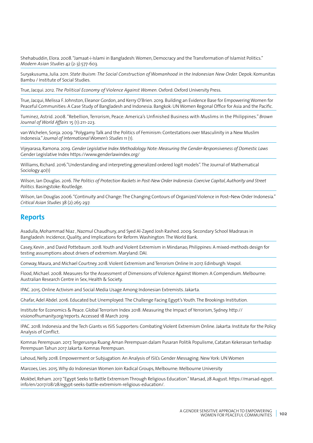Shehabuddin, Elora. 2008. "Jamaat-i-Islami in Bangladesh: Women, Democracy and the Transformation of Islamist Politics." *Modern Asian Studies* 42 (2-3):577-603.

Suryakusuma, Julia. 2011. *State Ibuism: The Social Construction of Womanhood in the Indonesian New Order. Depok: Komunitas* Bambu / Institute of Social Studies.

True, Jacqui. 2012. *The Political Economy of Violence Against Women.* Oxford: Oxford University Press.

True, Jacqui, Melissa F. Johnston, Eleanor Gordon, and Kerry O'Brien. 2019. Building an Evidence Base for Empowering Women for Peaceful Communities: A Case Study of Bangladesh and Indonesia. Bangkok: UN Women Regonal Office for Asia and the Pacific.

Tuminez, Astrid. 2008. "Rebellion, Terrorism, Peace: America's Unfinished Business with Muslims in the Philippines." *Brown Journal of World Affairs* 15 (1):211-223.

van Wichelen, Sonja. 2009. "Polygamy Talk and the Politics of Feminism: Contestations over Masculinity in a New Muslim Indonesia." *Journal of International Women's Studies* 11 (1).

Vijeyarasa, Ramona. 2019. *Gender Legislative Index Methodology Note: Measuring the Gender-Responsiveness of Domestic Laws*  Gender Legislative Index<https://www.genderlawindex.org/>

Williams, Richard. 2016."Understanding and interpreting generalized ordered logit models". The Journal of Mathematical Sociology 40(1)

Wilson, Ian Douglas. 2016. *The Politics of Protection Rackets in Post-New Order Indonesia: Coercive Capital, Authority and Street Politics.* Basingstoke: Routledge.

Wilson, Ian Douglas 2006. "Continuity and Change: The Changing Contours of Organized Violence in Post–New Order Indonesia." *Critical Asian Studies* 38 (2):265-297.

## **Reports**

Asadulla, Mohammad Niaz , Nazmul Chaudhury, and Syed Al-Zayed Josh Rashed. 2009. Secondary School Madrasas in Bangladesh: Incidence, Quality, and Implications for Reform. Washington: The World Bank.

Casey, Kevin , and David Pottebaum. 2018. Youth and Violent Extremism in Mindanao, Philippines: A mixed-methods design for testing assumptions about drivers of extremism. Maryland: DAI.

Conway, Maura, and Michael Courtney. 2018. Violent Extremism and Terrorism Online In 2017. Edinburgh: Voxpol.

Flood, Michael. 2008. Measures for the Assessment of Dimensions of Violence Against Women: A Compendium. Melbourne: Australian Research Centre in Sex, Health & Society.

IPAC. 2015. Online Activism and Social Media Usage Among Indonesian Extremists. Jakarta.

Ghafar, Adel Abdel. 2016. Educated but Unemployed: The Challenge Facing Egypt's Youth. The Brookings Institution.

Institute for Economics & Peace. Global Terrorism Index 2018: Measuring the Impact of Yerrorism, Sydney. [http://](http://visionofhumanity.org/reports) [visionofhumanity.org/reports.](http://visionofhumanity.org/reports) Accessed 18 March 2019

IPAC. 2018. Indonesia and the Tech Giants vs ISIS Supporters: Combating Violent Extremism Online. Jakarta: Institute for the Policy Analysis of Conflict.

Komnas Perempuan. 2017. Tergerusnya Ruang Aman Perempuan dalam Pusaran Politik Populisme, Catatan Kekerasan terhadap Perempuan Tahun 2017 Jakarta: Komnas Perempuan.

Lahoud, Nelly. 2018. Empowerment or Subjugation: An Analysis of ISIL's Gender Messaging. New York: UN Women

Marcoes, Lies. 2015. Why do Indonesian Women Join Radical Groups, Melbourne: Melbourne University

Mokbel, Reham. 2017. "Egypt Seeks to Battle Extremism Through Religious Education." Marsad, 28 August. [https://marsad-egypt.](https://marsad-egypt.info/en/2017/08/28/egypt-seeks-battle-extremism-religious-education/) [info/en/2017/08/28/egypt-seeks-battle-extremism-religious-education/](https://marsad-egypt.info/en/2017/08/28/egypt-seeks-battle-extremism-religious-education/).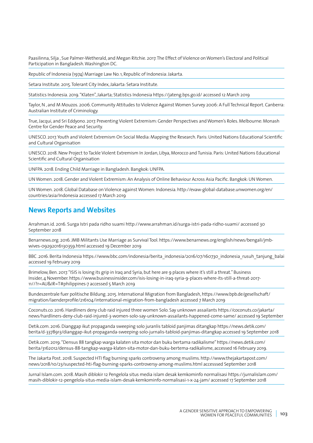Paasilinna, Silja , Sue Palmer-Wetherald, and Megan Ritchie. 2017. The Effect of Violence on Women's Electoral and Political Participation in Bangladesh. Washington DC.

Republic of Indonesia (1974) Marriage Law No. 1, Republic of Indonesia: Jakarta.

Setara Institute. 2015. Tolerant City Index, Jakarta: Setara Institute.

Statistics Indonesia. 2019. "Klaten", Jakarta; Statistics Indonesia<https://jateng.bps.go.id/> accessed 12 March 2019

Taylor, N , and M Mouzos. 2006. Community Attitudes to Violence Against Women Survey 2006: A Full Technical Report. Canberra: Australian Institute of Criminology.

True, Jacqui, and Sri Eddyono. 2017. Preventing Violent Extremism: Gender Perspectives and Women's Roles. Melbourne: Monash Centre for Gender Peace and Security.

UNESCO. 2017. Youth and Violent Extremism On Social Media: Mapping the Research. Paris: United Nations Educational Scientific and Cultural Organisation

UNESCO. 2018. New Project to Tackle Violent Extremism In Jordan, Libya, Morocco and Tunisia. Paris: United Nations Educational Scientific and Cultural Organisation

UNFPA. 2018. Ending Child Marriage in Bangladesh. Bangkok: UNFPA.

UN Women. 2018. Gender and Violent Extremism: An Analysis of Online Behaviour Across Asia Pacific. Bangkok: UN Women.

UN Women. 2018. Global Database on Violence against Women: Indonesia. [http://evaw-global-database.unwomen.org/en/](http://evaw-global-database.unwomen.org/en/countries/asia/Indonesia%20%20accessed%2017%20March%202019) [countries/asia/Indonesia accessed 17 March 2019](http://evaw-global-database.unwomen.org/en/countries/asia/Indonesia%20%20accessed%2017%20March%202019)

## **News Reports and Websites**

Arrahman.id. 2016. Surga Istri pada ridho suami<http://www.arrahman.id/surga-istri-pada-ridho-suami/>accessed 30 September 2018

Benarnews.org. 2016. JMB Militants Use Marriage as Survival Tool. [https://www.benarnews.org/english/news/bengali/jmb](https://www.benarnews.org/english/news/bengali/jmb-wives-09292016130359.html)[wives-09292016130359.html](https://www.benarnews.org/english/news/bengali/jmb-wives-09292016130359.html) accessed 19 December 2019

BBC .2016. Berita Indonesia [https://www.bbc.com/indonesia/berita\\_indonesia/2016/07/160730\\_indonesia\\_rusuh\\_tanjung\\_balai](https://www.bbc.com/indonesia/berita_indonesia/2016/07/160730_indonesia_rusuh_tanjung_balai%20accessed%2019%20February%202019) [accessed 19 February 2019](https://www.bbc.com/indonesia/berita_indonesia/2016/07/160730_indonesia_rusuh_tanjung_balai%20accessed%2019%20February%202019)

Brimelow, Ben. 2017. "ISIS is losing its grip in Iraq and Syria, but here are 9 places where it's still a threat." Business Insider, 4 November. https://www.businessinsider.com/isis-losing-in-iraq-syria-9-places-where-its-still-a-threat-2017- 11//?r=AU&IR=T#philippines-7 accessed 5 March 2019

Bundeszentrale fuer politische Bildung. 2015. International Migration from Bangladesh, [https://www.bpb.de/gesellschaft/](https://www.bpb.de/gesellschaft/migration/laenderprofile/216104/international-migration-from-bangladesh) [migration/laenderprofile/216104/international-migration-from-bangladesh](https://www.bpb.de/gesellschaft/migration/laenderprofile/216104/international-migration-from-bangladesh) accessed 7 March 2019

Coconuts.co. 2016. Hardliners deny club raid injured three women Solo. Say unknown assailants [https://coconuts.co/jakarta/](https://coconuts.co/jakarta/news/hardliners-deny-club-raid-injured-3-women-solo-say-unknown-assailants-happened-come-same/) [news/hardliners-deny-club-raid-injured-3-women-solo-say-unknown-assailants-happened-come-same/](https://coconuts.co/jakarta/news/hardliners-deny-club-raid-injured-3-women-solo-say-unknown-assailants-happened-come-same/) accessed 19 September

Detik.com. 2016. Dianggap ikut propaganda sweeping solo juranlis tabloid panjimas ditangkap [https://news.detik.com/](https://news.detik.com/berita/d-3378913/dianggap-ikut-propaganda-sweeping-solo-jurnalis-tabloid-panjimas-ditangkap) [berita/d-3378913/dianggap-ikut-propaganda-sweeping-solo-jurnalis-tabloid-panjimas-ditangkap](https://news.detik.com/berita/d-3378913/dianggap-ikut-propaganda-sweeping-solo-jurnalis-tabloid-panjimas-ditangkap) accessed 19 September 2018

Detik.com. 2019. "Densus 88 tangkap warga kalaten sita motor dan buku bertama radikalisme" [https://news.detik.com/](https://news.detik.com/berita/3162012/densus-88-tangkap-warga-klaten-sita-motor-dan-buku-bertema-radikalisme) [berita/3162012/densus-88-tangkap-warga-klaten-sita-motor-dan-buku-bertema-radikalisme,](https://news.detik.com/berita/3162012/densus-88-tangkap-warga-klaten-sita-motor-dan-buku-bertema-radikalisme) accessed 16 February 2019.

The Jakarta Post. 2018. Suspected HTI flag burning sparks controversy among muslims. [http://www.thejakartapost.com/](http://www.thejakartapost.com/news/2018/10/23/suspected-hti-flag-burning-sparks-controversy-among-muslims.html%20accesssed%20September%202018) [news/2018/10/23/suspected-hti-flag-burning-sparks-controversy-among-muslims.html accesssed September 2018](http://www.thejakartapost.com/news/2018/10/23/suspected-hti-flag-burning-sparks-controversy-among-muslims.html%20accesssed%20September%202018)

Jurnal Islam.com. 2018. Masih diblokir 12 Pengelola situs media islam desak kemkominfo normalisasi [https://jurnalislam.com/](https://jurnalislam.com/masih-diblokir-12-pengelola-situs-media-islam-desak-kemkominfo-normalisasi-1-x-24-jam/) [masih-diblokir-12-pengelola-situs-media-islam-desak-kemkominfo-normalisasi-1-x-24-jam/](https://jurnalislam.com/masih-diblokir-12-pengelola-situs-media-islam-desak-kemkominfo-normalisasi-1-x-24-jam/) accessed 17 September 2018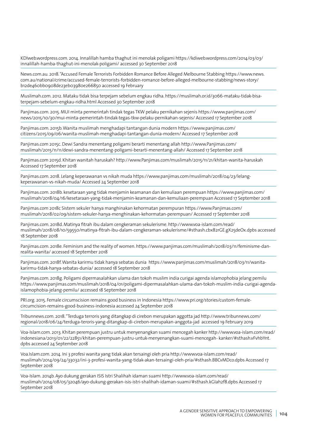KDIweb.wordpress.com. 2014. Innalillah hamba thaghut ini menolak poligami [https://kdiweb.wordpress.com/2014/03/03/](https://kdiweb.wordpress.com/2014/03/03/innalillah-hamba-thaghut-ini-menolak-poligami/) [innalillah-hamba-thaghut-ini-menolak-poligami/](https://kdiweb.wordpress.com/2014/03/03/innalillah-hamba-thaghut-ini-menolak-poligami/) accessed 30 September 2018

News.com.au. 2018. "Accused Female Terrorists Forbidden Romance Before Alleged Melbourne Stabbing [https://www.news.](https://www.news.com.au/national/crime/accused-female-terrorists-forbidden-romance-before-alleged-melbourne-stabbing/news-story/b12de460bb0908de23eb03980e266850) [com.au/national/crime/accused-female-terrorists-forbidden-romance-before-alleged-melbourne-stabbing/news-story/](https://www.news.com.au/national/crime/accused-female-terrorists-forbidden-romance-before-alleged-melbourne-stabbing/news-story/b12de460bb0908de23eb03980e266850) [b12de460bb0908de23eb03980e266850](https://www.news.com.au/national/crime/accused-female-terrorists-forbidden-romance-before-alleged-melbourne-stabbing/news-story/b12de460bb0908de23eb03980e266850) accessed 19 February

Muslimah.com. 2012. Mataku tidak bisa terpejam sebelum engkau ridha. [https://muslimah.or.id/3066-mataku-tidak-bisa](https://muslimah.or.id/3066-mataku-tidak-bisa-terpejam-sebelum-engkau-ridha.html%20Accessed%2030%20September%202018)[terpejam-sebelum-engkau-ridha.html Accessed 30 September 2018](https://muslimah.or.id/3066-mataku-tidak-bisa-terpejam-sebelum-engkau-ridha.html%20Accessed%2030%20September%202018)

Panjimas.com. 2015. MUI minta permerintah tindak tegas TKW pelaku pernikahan sejenis [https://www.panjimas.com/](https://www.panjimas.com/news/2015/10/30/mui-minta-pemerintah-tindak-tegas-tkw-pelaku-pernikahan-sejenis/) [news/2015/10/30/mui-minta-pemerintah-tindak-tegas-tkw-pelaku-pernikahan-sejenis/](https://www.panjimas.com/news/2015/10/30/mui-minta-pemerintah-tindak-tegas-tkw-pelaku-pernikahan-sejenis/) Accessed 17 September 2018

Panjimas.com. 2015b. Wanita muslimah menghadapi tantangan dunia modern [https://www.panjimas.com/](https://www.panjimas.com/citizens/2015/09/06/wanita-muslimah-menghadapi-tantangan-dunia-modern/) [citizens/2015/09/06/wanita-muslimah-menghadapi-tantangan-dunia-modern/](https://www.panjimas.com/citizens/2015/09/06/wanita-muslimah-menghadapi-tantangan-dunia-modern/) Accessed 17 September 2018

Panjimas.com 2015c. Dewi Sandra menentang poligami berarti menentang allah [http://www.Panjimas.com/](http://www.Panjimas.com/muslimah/2015/11/11/dewi-sandra-menentang-poligami-berarti-menentang-allah/) [muslimah/2015/11/11/dewi-sandra-menentang-poligami-berarti-menentang-allah/](http://www.Panjimas.com/muslimah/2015/11/11/dewi-sandra-menentang-poligami-berarti-menentang-allah/) Accessed 17 September 2018

Panjimas.com 2015d. Khitan wanitah haruskah? <http://www.Panjimas.com/muslimah/2015/11/21/khitan-wanita-haruskah> Accessed 17 September 2018

Panjimas.com. 2018. Lelang keperawanan vs nikah muda [https://www.panjimas.com/muslimah/2018/04/23/lelang](https://www.panjimas.com/muslimah/2018/04/23/lelang-keperawanan-vs-nikah-muda/)[keperawanan-vs-nikah-muda/](https://www.panjimas.com/muslimah/2018/04/23/lelang-keperawanan-vs-nikah-muda/) Accessed 24 September 2018

Panjimas.com. 2018b. kesetaraan yang tidak menjamin keamanan dan kemuliaan perempuan [https://www.panjimas.com/](https://www.panjimas.com/muslimah/2018/04/16/kesetaraan-yang-tidak-menjamin-keamanan-dan-kemuliaan-perempuan) [muslimah/2018/04/16/kesetaraan-yang-tidak-menjamin-keamanan-dan-kemuliaan-perempuan](https://www.panjimas.com/muslimah/2018/04/16/kesetaraan-yang-tidak-menjamin-keamanan-dan-kemuliaan-perempuan) Accessed 17 September 2018

Panjimas.com 2018c Sistem sekuler hanya manghinakan kehormatan perempuran [https://www.Panjimas.com/](https://www.Panjimas.com/muslimah/2018/02/09/sistem-sekuler-hanya-menghinakan-kehormatan-perempuan/) [muslimah/2018/02/09/sistem-sekuler-hanya-menghinakan-kehormatan-perempuan/](https://www.Panjimas.com/muslimah/2018/02/09/sistem-sekuler-hanya-menghinakan-kehormatan-perempuan/) Accessed 17 September 2018

Panjimas.com. 2018d. Matinya fitrah ibu dalam cengkeraman sekulerisme. http://www.voa-islam.com/read/ muslimah/2018/08/10/59550/matinya-fitrah-ibu-dalam-cengkeraman-sekulerisme/#sthash.cbx82rGE.gX25deOx.dpbs accessed 18 September 2018

Panjimas.com. 2018e. Feminism and the reality of women. [https://www.panjimas.com/muslimah/2018/03/11/feminisme-dan](https://www.panjimas.com/muslimah/2018/03/11/feminisme-dan-realita-wanita/)[realita-wanita/](https://www.panjimas.com/muslimah/2018/03/11/feminisme-dan-realita-wanita/) accessed 18 September 2018

Panjimas.com. 2018f. Wanita karirmu tidak hanya sebatas dunia [https://www.panjimas.com/muslimah/2018/03/11/wanita](https://www.panjimas.com/muslimah/2018/03/11/wanita-karirmu-tidak-hanya-sebatas-dunia/)[karirmu-tidak-hanya-sebatas-dunia/](https://www.panjimas.com/muslimah/2018/03/11/wanita-karirmu-tidak-hanya-sebatas-dunia/) accessed 18 September 2018

Panjimas.com. 2018g. Poligami dipermasalahkan ulama dan tokoh muslim india curigai agenda islamophobia jelang pemilu [https://www.panjimas.com/muslimah/2018/04/01/poligami-dipermasalahkan-ulama-dan-tokoh-muslim-india-curigai-agenda](https://www.panjimas.com/muslimah/2018/04/01/poligami-dipermasalahkan-ulama-dan-tokoh-muslim-india-curigai-agenda-islamophobia-jelang-pemilu/)[islamophobia-jelang-pemilu/](https://www.panjimas.com/muslimah/2018/04/01/poligami-dipermasalahkan-ulama-dan-tokoh-muslim-india-curigai-agenda-islamophobia-jelang-pemilu/) accessed 18 September 2018

PRI.org. 2015. Female circumscision remains good business in Indonesia [https://www.pri.org/stories/custom-female](https://www.pri.org/stories/custom-female-circumcision-remains-good-business-indonesia%20accessed%2024%20September%202018)[circumcision-remains-good-business-indonesia accessed 24 September 2018](https://www.pri.org/stories/custom-female-circumcision-remains-good-business-indonesia%20accessed%2024%20September%202018) 

Tribunnews.com. 2018. "Terduga terroris yang ditangkap di cirebon merupakan aggotta jad [http://www.tribunnews.com/](http://www.tribunnews.com/regional/2018/06/24/terduga-teroris-yang-ditangkap-di-cirebon-merupakan-anggota-jad%20%20%20accessed%2019%20February%202019) [regional/2018/06/24/terduga-teroris-yang-ditangkap-di-cirebon-merupakan-anggota-jad accessed 19 February 2019](http://www.tribunnews.com/regional/2018/06/24/terduga-teroris-yang-ditangkap-di-cirebon-merupakan-anggota-jad%20%20%20accessed%2019%20February%202019)

Voa-Islam.com. 2013. Khitan perempuan justru untuk menyenangkan suami mencegah kanker http://www.voa-islam.com/read/ indonesiana/2013/01/22/22851/khitan-perempuan-justru-untuk-menyenangkan-suami-mencegah- kanker/#sthash.vFvhbYnt. dpbs accessed 24 September 2018

Voa.Islam.com. 2014. Ini 3 profesi wanita yang tidak akan tersaingi oleh pria http://www.voa-islam.com/read/ muslimah/2014/09/24/33032/ini-3-profesi-wanita-yang-tidak-akan-tersaingi-oleh-pria/#sthash.BBCvMDco.dpbs Accessed 17 September 2018

Voa-Islam. 2014b. Ayo dukung gerakan ISIS Istri Shalihah idaman suami http://www.voa-islam.com/read/ muslimah/2014/08/05/32046/ayo-dukung-gerakan-isis-istri-shalihah-idaman-suami/#sthash.kGIah2f8.dpbs Accessed 17 September 2018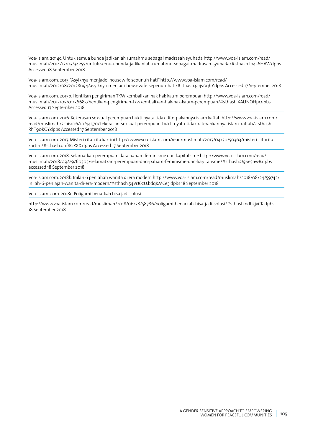Voa-Islam. 2014c. Untuk semua bunda jadikanlah rumahmu sebagai madrasah syuhada http://www.voa-islam.com/read/ muslimah/2014/12/03/34255/untuk-semua-bunda-jadikanlah-rumahmu-sebagai-madrasah-syuhada/#sthash.To4s6HAW.dpbs Accessed 18 September 2018

Voa-Islam.com. 2015. "Asyiknya menjadei housewife sepunuh hati" http://www.voa-islam.com/read/ muslimah/2015/08/20/38694/asyiknya-menjadi-housewife-sepenuh-hati/#sthash.gi4v0qhY.dpbs Accessed 17 September 2018

Voa-Islam.com. 2015b. Hentikan pengiriman TKW kembalikan hak hak kaum perempuan http://www.voa-islam.com/read/ muslimah/2015/05/01/36685/hentikan-pengiriman-tkwkembalikan-hak-hak-kaum-perempuan/#sthash.XAUNQHpr.dpbs Accessed 17 September 2018

Voa-Islam.com. 2016. Kekerasan seksual perempuan bukti nyata tidak diterpakannya islam kaffah http://www.voa-islam.com/ read/muslimah/2016/06/10/44570/kekerasan-seksual-perempuan-bukti-nyata-tidak-diterapkannya-islam-kaffah/#sthash. RhT90ROY.dpbs Accessed 17 September 2018

Voa-Islam.com. 2017. Misteri cita-cita kartini http://www.voa-islam.com/read/muslimah/2017/04/30/50363/misteri-citacitakartini/#sthash.ohf8GRXX.dpbs Accessed 17 September 2018

Voa-Islam.com. 2018. Selamatkan perempuan dara paham feminisme dan kapitalisme http://www.voa-islam.com/read/ muslimah/2018/09/29/60305/selamatkan-perempuan-dari-paham-feminisme-dan-kapitalisme/#sthash.O9be3awB.dpbs accessed 18 September 2018

Voa-Islam.com. 2018b. Inilah 6 penjahah wanita di era modern http://www.voa-islam.com/read/muslimah/2018/08/24/59742/ inilah-6-penjajah-wanita-di-era-modern/#sthash.54VrJ6zU.bdqRMCe3.dpbs 18 September 2018

Voa-Islami.com. 2018c. Poligami benarkah bisa jadi solusi

http://www.voa-islam.com/read/muslimah/2018/06/28/58786/poligami-benarkah-bisa-jadi-solusi/#sthash.ndb5jvCK.dpbs 18 September 2018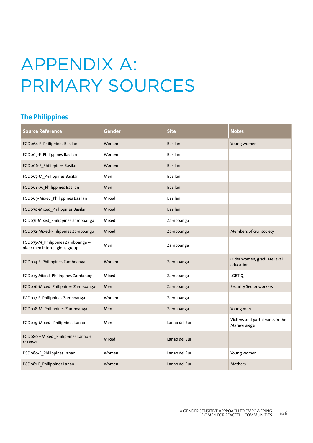# APPENDIX A: PRIMARY SOURCES

## **The Philippines**

| <b>Source Reference</b>                                             | Gender | <b>Site</b>    | <b>Notes</b>                                    |
|---------------------------------------------------------------------|--------|----------------|-------------------------------------------------|
| FGD064-F_Philippines Basilan                                        | Women  | <b>Basilan</b> | Young women                                     |
| FGD065-F_Philippines Basilan                                        | Women  | Basilan        |                                                 |
| FGD066-F_Philippines Basilan                                        | Women  | <b>Basilan</b> |                                                 |
| FGD067-M_Philippines Basilan                                        | Men    | Basilan        |                                                 |
| FGD068-M_Philippines Basilan                                        | Men    | <b>Basilan</b> |                                                 |
| FGD069-Mixed Philippines Basilan                                    | Mixed  | Basilan        |                                                 |
| FGD070-Mixed_Philippines Basilan                                    | Mixed  | <b>Basilan</b> |                                                 |
| FGD071-Mixed_Philippines Zamboanga                                  | Mixed  | Zamboanga      |                                                 |
| FGD072-Mixed-Philippines Zamboanga                                  | Mixed  | Zamboanga      | Members of civil society                        |
| FGD073-M_Philippines Zamboanga --<br>older men interreligious group | Men    | Zamboanga      |                                                 |
| FGD074-F_Philippines Zamboanga                                      | Women  | Zamboanga      | Older women, graduate level<br>education        |
| FGD075-Mixed_Philippines Zamboanga                                  | Mixed  | Zamboanga      | <b>LGBTIQ</b>                                   |
| FGD076-Mixed Philippines Zamboanga-                                 | Men    | Zamboanga      | <b>Security Sector workers</b>                  |
| FGD077-F_Philippines Zamboanga                                      | Women  | Zamboanga      |                                                 |
| FGD078-M_Philippines Zamboanga --                                   | Men    | Zamboanga      | Young men                                       |
| FGD079-Mixed Philippines Lanao                                      | Men    | Lanao del Sur  | Victims and participants in the<br>Marawi siege |
| FGDo8o - Mixed Philippines Lanao +<br>Marawi                        | Mixed  | Lanao del Sur  |                                                 |
| FGDo8o-F_Philippines Lanao                                          | Women  | Lanao del Sur  | Young women                                     |
| FGDo81-F_Philippines Lanao                                          | Women  | Lanao del Sur  | Mothers                                         |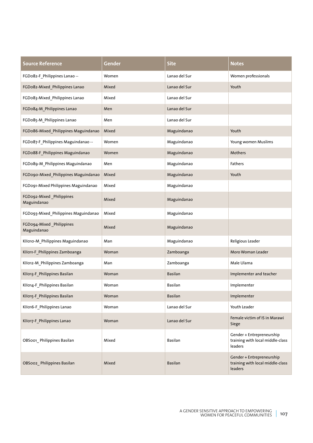| <b>Source Reference</b>                 | Gender | <b>Site</b>    | <b>Notes</b>                                                                    |
|-----------------------------------------|--------|----------------|---------------------------------------------------------------------------------|
| FGDo82-F_Philippines Lanao --           | Women  | Lanao del Sur  | Women professionals                                                             |
| FGDo82-Mixed_Philippines Lanao          | Mixed  | Lanao del Sur  | Youth                                                                           |
| FGDo83-Mixed_Philippines Lanao          | Mixed  | Lanao del Sur  |                                                                                 |
| FGDo84-M_Philippines Lanao              | Men    | Lanao del Sur  |                                                                                 |
| FGDo85-M_Philippines Lanao              | Men    | Lanao del Sur  |                                                                                 |
| FGDo86-Mixed Philippines Maguindanao    | Mixed  | Maguindanao    | Youth                                                                           |
| FGDo87-F_Philippines Maguindanao --     | Women  | Maguindanao    | Young women Muslims                                                             |
| FGDo88-F_Philippines Maguindanao        | Women  | Maguindanao    | Mothers                                                                         |
| FGDo89-M_Philippines Maguindanao        | Men    | Maguindanao    | Fathers                                                                         |
| FGDo90-Mixed_Philippines Maguindanao    | Mixed  | Maguindanao    | Youth                                                                           |
| FGDo91-Mixed Philippines Maguindanao    | Mixed  | Maguindanao    |                                                                                 |
| FGDo92-Mixed_Philippines<br>Maguindanao | Mixed  | Maguindanao    |                                                                                 |
| FGD093-Mixed Philippines Maguindanao    | Mixed  | Maguindanao    |                                                                                 |
| FGD094-Mixed_Philippines<br>Maguindanao | Mixed  | Maguindanao    |                                                                                 |
| KII010-M_Philippines Maguindanao        | Man    | Maguindanao    | Religious Leader                                                                |
| KII011-F_Philippines Zamboanga          | Woman  | Zamboanga      | Moro Woman Leader                                                               |
| KII012-M_Philippines Zamboanga          | Man    | Zamboanga      | Male Ulama                                                                      |
| KII013-F_Philippines Basilan            | Woman  | <b>Basilan</b> | Implementer and teacher                                                         |
| KII014-F_Philippines Basilan            | Woman  | Basilan        | Implementer                                                                     |
| KII015-F_Philippines Basilan            | Woman  | Basilan        | Implementer                                                                     |
| KII016-F Philippines Lanao              | Woman  | Lanao del Sur  | Youth Leader                                                                    |
| KII017-F_Philippines Lanao              | Woman  | Lanao del Sur  | Female victim of IS in Marawi<br>Siege                                          |
| OBSoo1_Philippines Basilan              | Mixed  | Basilan        | Gender + Entrepreneurship<br>training with local middle-class<br>leaders        |
| OBSoo2_Philippines Basilan              | Mixed  | Basilan        | Gender + Entrepreneurship<br>training with local middle-class<br><b>leaders</b> |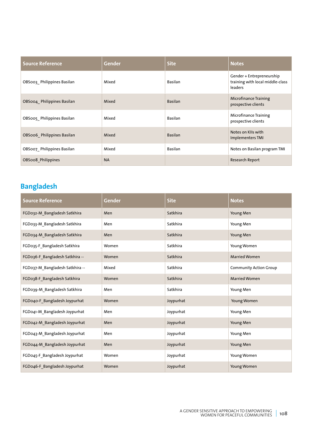| <b>Source Reference</b>    | <b>Gender</b> | <b>Site</b>    | <b>Notes</b>                                                             |
|----------------------------|---------------|----------------|--------------------------------------------------------------------------|
| OBS003 Philippines Basilan | Mixed         | Basilan        | Gender + Entrepreneurship<br>training with local middle-class<br>leaders |
| OBS004 Philippines Basilan | Mixed         | <b>Basilan</b> | <b>Microfinance Training</b><br>prospective clients                      |
| OBS005_Philippines Basilan | Mixed         | Basilan        | Microfinance Training<br>prospective clients                             |
| OBS006 Philippines Basilan | Mixed         | <b>Basilan</b> | Notes on Klls with<br>Implementers TMI                                   |
| OBS007 Philippines Basilan | Mixed         | Basilan        | Notes on Basilan program TMI                                             |
| OBSoo8 Philippines         | <b>NA</b>     |                | Research Report                                                          |

### **Bangladesh**

| <b>Source Reference</b>         | <b>Gender</b> | <b>Site</b> | <b>Notes</b>                  |
|---------------------------------|---------------|-------------|-------------------------------|
| FGD032-M Bangladesh Satkhira    | Men           | Satkhira    | Young Men                     |
| FGD033-M_Bangladesh Satkhira    | Men           | Satkhira    | Young Men                     |
| FGD034-M_Bangladesh Satkhira    | Men           | Satkhira    | Young Men                     |
| FGD035-F Bangladesh Satkhira    | Women         | Satkhira    | Young Women                   |
| FGD036-F_Bangladesh Satkhira -- | Women         | Satkhira    | <b>Married Women</b>          |
| FGD037-M_Bangladesh Satkhira -- | Mixed         | Satkhira    | <b>Community Action Group</b> |
| FGD038-F_Bangladesh Satkhira    | Women         | Satkhira    | <b>Married Women</b>          |
| FGD039-M_Bangladesh Satkhira    | Men           | Satkhira    | Young Men                     |
| FGD040-F_Bangladesh Joypurhat   | Women         | Joypurhat   | Young Women                   |
| FGD041-M_Bangladesh Joypurhat   | Men           | Joypurhat   | Young Men                     |
| FGD042-M_Bangladesh Joypurhat   | Men           | Joypurhat   | Young Men                     |
| FGD043-M_Bangladesh Joypurhat   | Men           | Joypurhat   | Young Men                     |
| FGD044-M_Bangladesh Joypurhat   | Men           | Joypurhat   | Young Men                     |
| FGD045-F_Bangladesh Joypurhat   | Women         | Joypurhat   | Young Women                   |
| FGD046-F Bangladesh Joypurhat   | Women         | Joypurhat   | Young Women                   |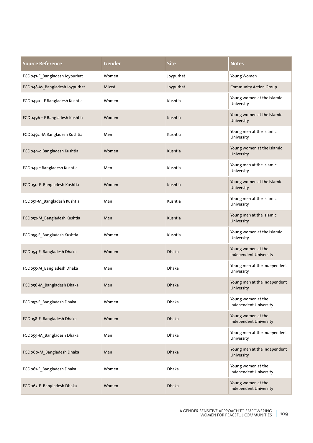| <b>Source Reference</b>        | Gender | <b>Site</b>  | <b>Notes</b>                                        |
|--------------------------------|--------|--------------|-----------------------------------------------------|
| FGD047-F_Bangladesh Joypurhat  | Women  | Joypurhat    | Young Women                                         |
| FGD048-M_Bangladesh Joypurhat  | Mixed  | Joypurhat    | <b>Community Action Group</b>                       |
| FGD049a - F Bangladesh Kushtia | Women  | Kushtia      | Young women at the Islamic<br>University            |
| FGD049b - F Bangladesh Kushtia | Women  | Kushtia      | Young women at the Islamic<br>University            |
| FGD049c - M Bangladesh Kushtia | Men    | Kushtia      | Young men at the Islamic<br>University              |
| FGD049-d Bangladesh Kushtia    | Women  | Kushtia      | Young women at the Islamic<br>University            |
| FGD049 e Bangladesh Kushtia    | Men    | Kushtia      | Young men at the Islamic<br>University              |
| FGD050-F_Bangladesh Kushtia    | Women  | Kushtia      | Young women at the Islamic<br>University            |
| FGD051-M_Bangladesh Kushtia    | Men    | Kushtia      | Young men at the Islamic<br>University              |
| FGD052-M_Bangladesh Kushtia    | Men    | Kushtia      | Young men at the Islamic<br>University              |
| FGD053-F_Bangladesh Kushtia    | Women  | Kushtia      | Young women at the Islamic<br>University            |
| FGD054-F_Bangladesh Dhaka      | Women  | <b>Dhaka</b> | Young women at the<br>Independent University        |
| FGD055-M_Bangladesh Dhaka      | Men    | Dhaka        | Young men at the Independent<br>University          |
| FGD056-M Bangladesh Dhaka      | Men    | Dhaka        | Young men at the Independent<br>University          |
| FGD057-F_Bangladesh Dhaka      | Women  | Dhaka        | Young women at the<br>Independent University        |
| FGD058-F_Bangladesh Dhaka      | Women  | Dhaka        | Young women at the<br><b>Independent University</b> |
| FGD059-M_Bangladesh Dhaka      | Men    | Dhaka        | Young men at the Independent<br>University          |
| FGDo6o-M_Bangladesh Dhaka      | Men    | <b>Dhaka</b> | Young men at the Independent<br>University          |
| FGD061-F_Bangladesh Dhaka      | Women  | Dhaka        | Young women at the<br>Independent University        |
| FGD062-F_Bangladesh Dhaka      | Women  | <b>Dhaka</b> | Young women at the<br><b>Independent University</b> |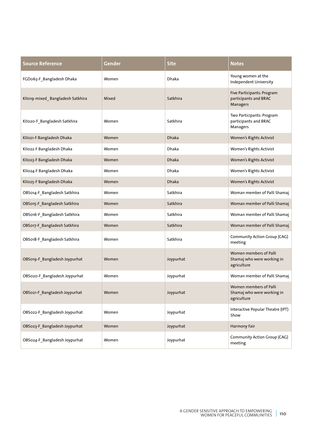| <b>Source Reference</b>          | Gender | <b>Site</b>  | <b>Notes</b>                                                        |
|----------------------------------|--------|--------------|---------------------------------------------------------------------|
| FGD063-F_Bangladesh Dhaka        | Women  | Dhaka        | Young women at the<br>Independent University                        |
| KII019-mixed_Bangladesh Satkhira | Mixed  | Satkhira     | Five Participants: Program<br>participants and BRAC<br>Managers     |
| KII020-F_Bangladesh Satkhira     | Women  | Satkhira     | Two Participants: Program<br>participants and BRAC<br>Managers      |
| KIIo21-F Bangladesh Dhaka        | Women  | <b>Dhaka</b> | Women's Rights Activist                                             |
| KII022-F Bangladesh Dhaka        | Women  | Dhaka        | Women's Rights Activist                                             |
| KII023-F Bangladesh Dhaka        | Women  | <b>Dhaka</b> | Women's Rights Activist                                             |
| KII024-F Bangladesh Dhaka        | Women  | <b>Dhaka</b> | Women's Rights Activist                                             |
| KII025-F Bangladesh Dhaka        | Women  | Dhaka        | Women's Rights Activist                                             |
| OBS014-F_Bangladesh Satkhira     | Women  | Satkhira     | Woman member of Palli Shamaj                                        |
| OBS015-F_Bangladesh Satkhira     | Women  | Satkhira     | Woman member of Palli Shamaj                                        |
| OBS016-F_Bangladesh Satkhira     | Women  | Satkhira     | Woman member of Palli Shamaj                                        |
| OBS017-F_Bangladesh Satkhira     | Women  | Satkhira     | Woman member of Palli Shamaj                                        |
| OBS018-F_Bangladesh Satkhira     | Women  | Satkhira     | Community Action Group (CAG)<br>meeting                             |
| OBS019-F_Bangladesh Joypurhat    | Women  | Joypurhat    | Women members of Palli<br>Shamaj who were working in<br>agriculture |
| OBS020-F_Bangladesh Joypurhat    | Women  | Joypurhat    | Woman member of Palli Shamaj                                        |
| OBSo21-F_Bangladesh Joypurhat    | Women  | Joypurhat    | Women members of Palli<br>Shamaj who were working in<br>agriculture |
| OBS022-F_Bangladesh Joypurhat    | Women  | Joypurhat    | Interactive Popular Theatre (IPT)<br>Show                           |
| OBS023-F_Bangladesh Joypurhat    | Women  | Joypurhat    | <b>Harmony Fair</b>                                                 |
| OBS024-F_Bangladesh Joypurhat    | Women  | Joypurhat    | <b>Community Action Group (CAG)</b><br>meeting                      |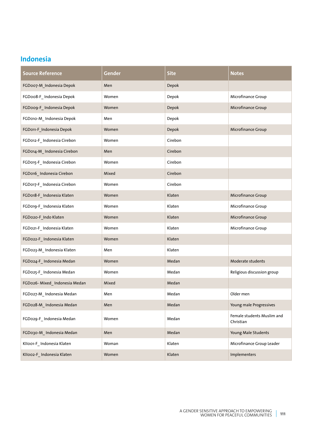#### **Indonesia**

| <b>Source Reference</b>      | Gender | <b>Site</b> | <b>Notes</b>                            |
|------------------------------|--------|-------------|-----------------------------------------|
| FGD007-M_Indonesia Depok     | Men    | Depok       |                                         |
| FGDoo8-F_Indonesia Depok     | Women  | Depok       | Microfinance Group                      |
| FGDoog-F_Indonesia Depok     | Women  | Depok       | Microfinance Group                      |
| FGD010-M_Indonesia Depok     | Men    | Depok       |                                         |
| FGD011-F_Indonesia Depok     | Women  | Depok       | Microfinance Group                      |
| FGD012-F_Indonesia Cirebon   | Women  | Cirebon     |                                         |
| FGD014-M_Indonesia Cirebon   | Men    | Cirebon     |                                         |
| FGD015-F_Indonesia Cirebon   | Women  | Cirebon     |                                         |
| FGD016_Indonesia Cirebon     | Mixed  | Cirebon     |                                         |
| FGD017-F_Indonesia Cirebon   | Women  | Cirebon     |                                         |
| FGD018-F_Indonesia Klaten    | Women  | Klaten      | Microfinance Group                      |
| FGD019-F_Indonesia Klaten    | Women  | Klaten      | Microfinance Group                      |
| FGD020-F_Indo Klaten         | Women  | Klaten      | Microfinance Group                      |
| FGD021-F_Indonesia Klaten    | Women  | Klaten      | Microfinance Group                      |
| FGD022-F_Indonesia Klaten    | Women  | Klaten      |                                         |
| FGD023-M_Indonesia Klaten    | Men    | Klaten      |                                         |
| FGD024-F_Indonesia Medan     | Women  | Medan       | Moderate students                       |
| FGD025-F_Indonesia Medan     | Women  | Medan       | Religious discussion group              |
| FGD026-Mixed_Indonesia Medan | Mixed  | Medan       |                                         |
| FGD027-M_Indonesia Medan     | Men    | Medan       | Older men                               |
| FGD028-M_Indonesia Medan     | Men    | Medan       | Young male Progressives                 |
| FGD029-F_Indonesia Medan     | Women  | Medan       | Female students Muslim and<br>Christian |
| FGD030-M_Indonesia Medan     | Men    | Medan       | Young Male Students                     |
| KIIoo1-F_Indonesia Klaten    | Woman  | Klaten      | Microfinance Group Leader               |
| KIIoo2-F_Indonesia Klaten    | Women  | Klaten      | Implementers                            |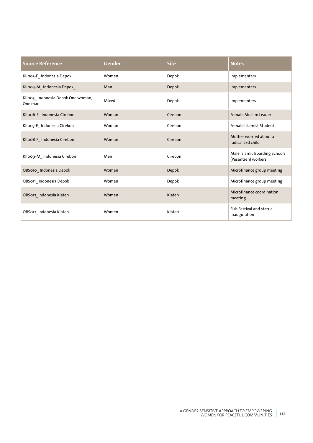| <b>Source Reference</b>                      | Gender | <b>Site</b> | <b>Notes</b>                                         |
|----------------------------------------------|--------|-------------|------------------------------------------------------|
| KII003-F_Indonesia Depok                     | Women  | Depok       | Implementers                                         |
| KIIoo4-M_Indonesia Depok_                    | Man    | Depok       | Implementers                                         |
| KIIoo5 Indonesia Depok One woman,<br>One man | Mixed  | Depok       | Implementers                                         |
| KIIoo6-F_Indonesia Cirebon                   | Woman  | Cirebon     | <b>Female Muslim Leader</b>                          |
| KIIoo7-F_Indonesia Cirebon                   | Woman  | Cirebon     | Female Islamist Student                              |
| KIIoo8-F_Indonesia Cirebon                   | Woman  | Cirebon     | Mother worried about a<br>radicalised child          |
| KIIoog-M_Indonesia Cirebon                   | Men    | Cirebon     | Male Islamic Boarding Schools<br>(Pesantren) workers |
| OBS010_Indonesia Depok                       | Women  | Depok       | Microfinance group meeting                           |
| OBS011_Indonesia Depok                       | Women  | Depok       | Microfinance group meeting                           |
| OBS012_Indonesia Klaten                      | Women  | Klaten      | Microfinance coordination<br>meeting                 |
| OBS012_Indonesia Klaten                      | Women  | Klaten      | Fish Festival and statue<br>inauguration             |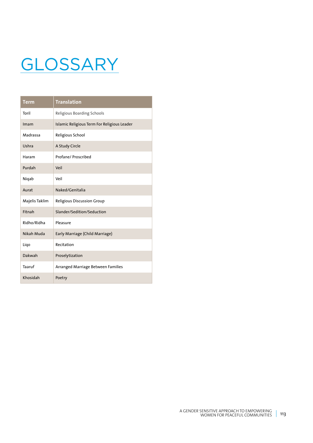# **GLOSSARY**

| <b>Term</b>    | <b>Translation</b>                          |
|----------------|---------------------------------------------|
| Toril          | Religious Boarding Schools                  |
| Imam           | Islamic Religious Term For Religious Leader |
| Madrassa       | Religious School                            |
| Ushra          | A Study Circle                              |
| Haram          | Profane/ Proscribed                         |
| Purdah         | Veil                                        |
| Niqab          | Veil                                        |
| Aurat          | Naked/Genitalia                             |
| Majelis Taklim | Religious Discussion Group                  |
| Fitnah         | Slander/Sedition/Seduction                  |
| Ridho/Ridha    | Pleasure                                    |
| Nikah Muda     | Early Marriage (Child Marriage)             |
| Ligo           | Recitation                                  |
| Dakwah         | Proselytization                             |
| Taaruf         | Arranged Marriage Between Families          |
| Khosidah       | Poetry                                      |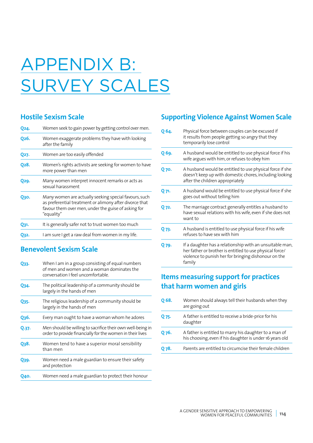# APPENDIX B: SURVEY SCALES

#### **Hostile Sexism Scale**

| Q24.              | Women seek to gain power by getting control over men.                                                                                                                                 |
|-------------------|---------------------------------------------------------------------------------------------------------------------------------------------------------------------------------------|
| O <sub>26</sub> . | Women exaggerate problems they have with looking<br>after the family                                                                                                                  |
| Q27.              | Women are too easily offended                                                                                                                                                         |
| O <sub>2</sub> 8. | Women's rights activists are seeking for women to have<br>more power than men                                                                                                         |
| Q29.              | Many women interpret innocent remarks or acts as<br>sexual harassment                                                                                                                 |
| Озо.              | Many women are actually seeking special favours, such<br>as preferential treatment or alimony after divorce that<br>favour them over men, under the guise of asking for<br>"equality" |
| Q31.              | It is generally safer not to trust women too much                                                                                                                                     |
| O32.              | I am sure I get a raw deal from women in my life.                                                                                                                                     |
|                   |                                                                                                                                                                                       |

#### **Benevolent Sexism Scale**

| O33.  | When I am in a group consisting of equal numbers<br>of men and women and a woman dominates the<br>conversation I feel uncomfortable. |
|-------|--------------------------------------------------------------------------------------------------------------------------------------|
| Q34.  | The political leadership of a community should be<br>largely in the hands of men                                                     |
| Q35.  | The religious leadership of a community should be<br>largely in the hands of men                                                     |
| Q36.  | Every man ought to have a woman whom he adores                                                                                       |
| Q.37. | Men should be willing to sacrifice their own well-being in<br>order to provide financially for the women in their lives              |
| O38.  | Women tend to have a superior moral sensibility<br>than men                                                                          |
| Q39.  | Women need a male guardian to ensure their safety<br>and protection                                                                  |
| Q40.  | Women need a male guardian to protect their honour                                                                                   |

### **Supporting Violence Against Women Scale**

| O 64. | Physical force between couples can be excused if<br>it results from people getting so angry that they<br>temporarily lose control                                                      |
|-------|----------------------------------------------------------------------------------------------------------------------------------------------------------------------------------------|
| Q 69. | A husband would be entitled to use physical force if his<br>wife argues with him, or refuses to obey him                                                                               |
| Q 70. | A husband would be entitled to use physical force if she<br>doesn't keep up with domestic chores, including looking<br>after the children appropriately                                |
| Q 71. | A husband would be entitled to use physical force if she<br>goes out without telling him                                                                                               |
| Q 72. | The marriage contract generally entitles a husband to<br>have sexual relations with his wife, even if she does not<br>want to                                                          |
| Q 73. | A husband is entitled to use physical force if his wife<br>refuses to have sex with him                                                                                                |
| Q 79. | If a daughter has a relationship with an unsuitable man,<br>her father or brother is entitled to use physical force/<br>violence to punish her for bringing dishonour on the<br>family |

### **Items measuring support for practices that harm women and girls**

| O 68. | Women should always tell their husbands when they<br>are going out                                                 |
|-------|--------------------------------------------------------------------------------------------------------------------|
| O 75. | A father is entitled to receive a bride-price for his<br>daughter                                                  |
| O 76. | A father is entitled to marry his daughter to a man of<br>his choosing, even if his daughter is under 16 years old |
| O 78. | Parents are entitled to circumcise their female children                                                           |
|       |                                                                                                                    |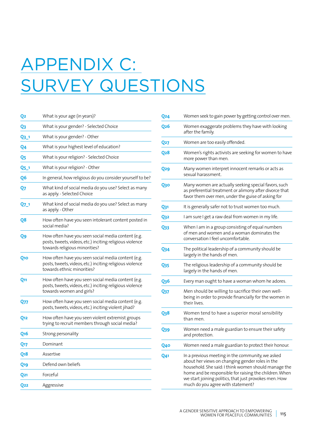# APPENDIX C: SURVEY QUESTIONS

| Q2              | What is your age (in years)?                                                                                                                    |
|-----------------|-------------------------------------------------------------------------------------------------------------------------------------------------|
| Q3              | What is your gender? - Selected Choice                                                                                                          |
| <u>Q3_1</u>     | What is your gender? - Other                                                                                                                    |
| Q4              | What is your highest level of education?                                                                                                        |
| Q5              | What is your religion? - Selected Choice                                                                                                        |
| Q5_1            | What is your religion? - Other                                                                                                                  |
| Q6              | In general, how religious do you consider yourself to be?                                                                                       |
| Q7              | What kind of social media do you use? Select as many<br>as apply. - Selected Choice                                                             |
| Q7_1            | What kind of social media do you use? Select as many<br>as apply. - Other                                                                       |
| Q8              | How often have you seen intolerant content posted in<br>social media?                                                                           |
| Q9              | How often have you seen social media content (e.g.<br>posts, tweets, videos, etc.) inciting religious violence<br>towards religious minorities? |
| Q10             | How often have you seen social media content (e.g.<br>posts, tweets, videos, etc.) inciting religious violence<br>towards ethnic minorities?    |
| Q11             | How often have you seen social media content (e.g.<br>posts, tweets, videos, etc.) inciting religious violence<br>towards women and girls?      |
| Q77             | How often have you seen social media content (e.g.<br>posts, tweets, videos, etc.) inciting violent jihad?                                      |
| Q12             | How often have you seen violent extremist groups<br>trying to recruit members through social media?                                             |
| <b>Q16</b>      | Strong personality                                                                                                                              |
| Q17             | Dominant                                                                                                                                        |
| Q <sub>18</sub> | Assertive                                                                                                                                       |
| Q <sub>19</sub> | Defend own beliefs                                                                                                                              |
| <b>Q21</b>      | Forceful                                                                                                                                        |
| <b>O22</b>      | Aggressive                                                                                                                                      |
|                 |                                                                                                                                                 |

| Q24        | Women seek to gain power by getting control over men.                                                                                                                                                                                                                                                                |
|------------|----------------------------------------------------------------------------------------------------------------------------------------------------------------------------------------------------------------------------------------------------------------------------------------------------------------------|
| Q26        | Women exaggerate problems they have with looking<br>after the family.                                                                                                                                                                                                                                                |
| Q27        | Women are too easily offended.                                                                                                                                                                                                                                                                                       |
| Q28        | Women's rights activists are seeking for women to have<br>more power than men.                                                                                                                                                                                                                                       |
| Q29        | Many women interpret innocent remarks or acts as<br>sexual harassment.                                                                                                                                                                                                                                               |
| <u>Q30</u> | Many women are actually seeking special favors, such<br>as preferential treatment or alimony after divorce that<br>favor them over men, under the guise of asking for                                                                                                                                                |
| Q31        | It is generally safer not to trust women too much.                                                                                                                                                                                                                                                                   |
| <u>Q32</u> | I am sure I get a raw deal from women in my life.                                                                                                                                                                                                                                                                    |
| Q33        | When I am in a group consisting of equal numbers<br>of men and women and a woman dominates the<br>conversation I feel uncomfortable.                                                                                                                                                                                 |
| Q34        | The political leadership of a community should be<br>largely in the hands of men.                                                                                                                                                                                                                                    |
| Q35        | The religious leadership of a community should be<br>largely in the hands of men.                                                                                                                                                                                                                                    |
| <b>Q36</b> | Every man ought to have a woman whom he adores.                                                                                                                                                                                                                                                                      |
| Q37        | Men should be willing to sacrifice their own well-<br>being in order to provide financially for the women in<br>their lives.                                                                                                                                                                                         |
| Q38        | Women tend to have a superior moral sensibility<br>than men.                                                                                                                                                                                                                                                         |
| Q39        | Women need a male guardian to ensure their safety<br>and protection.                                                                                                                                                                                                                                                 |
| Q40        | Women need a male guardian to protect their honour.                                                                                                                                                                                                                                                                  |
| 041        | In a previous meeting in the community, we asked<br>about her views on changing gender roles in the<br>household. She said: I think women should manage the<br>home and be responsible for raising the children. When<br>we start joining politics, that just provokes men. How<br>much do you agree with statement? |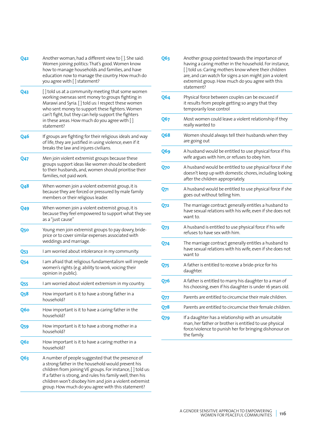| Q42             | Another woman, had a different view to []. She said:<br>Women joining politics: That's good. Women know<br>how to manage households and families, and have<br>education now to manage the country. How much do<br>you agree with [] statement?                                                                                                      |
|-----------------|-----------------------------------------------------------------------------------------------------------------------------------------------------------------------------------------------------------------------------------------------------------------------------------------------------------------------------------------------------|
| Q <sub>43</sub> | [] told us at a community meeting that some women<br>working overseas sent money to groups fighting in<br>Marawi and Syria. [ ] told us: I respect these women<br>who sent money to support these fighters. Women<br>can't fight, but they can help support the fighters<br>in these areas. How much do you agree with []<br>statement?             |
| <b>Q46</b>      | If groups are fighting for their religious ideals and way<br>of life, they are justified in using violence, even if it<br>breaks the law and injures civilians.                                                                                                                                                                                     |
| <b>Q47</b>      | Men join violent extremist groups because these<br>groups support ideas like women should be obedient<br>to their husbands, and, women should prioritise their<br>families, not paid work.                                                                                                                                                          |
| <b>Q48</b>      | When women join a violent extremist group, it is<br>because they are forced or pressured by male family<br>members or their religious leader.                                                                                                                                                                                                       |
| Q49             | When women join a violent extremist group, it is<br>because they feel empowered to support what they see<br>as a "just cause"                                                                                                                                                                                                                       |
| Q50             | Young men join extremist groups to pay dowry, bride-<br>price or to cover similar expenses associated with<br>weddings and marriage.                                                                                                                                                                                                                |
| Q53             | I am worried about intolerance in my community.                                                                                                                                                                                                                                                                                                     |
| <b>Q54</b>      | I am afraid that religious fundamentalism will impede<br>women's rights (e.g. ability to work, voicing their<br>opinion in public).                                                                                                                                                                                                                 |
| <b>Q55</b>      | I am worried about violent extremism in my country.                                                                                                                                                                                                                                                                                                 |
| <b>Q58</b>      | How important is it to have a strong father in a<br>household?                                                                                                                                                                                                                                                                                      |
| Q6o             | How important is it to have a caring father in the<br>household?                                                                                                                                                                                                                                                                                    |
| Q59             | How important is it to have a strong mother in a<br>household?                                                                                                                                                                                                                                                                                      |
| Q6 <sub>2</sub> | How important is it to have a caring mother in a<br>household?                                                                                                                                                                                                                                                                                      |
| Q63             | A number of people suggested that the presence of<br>a strong father in the household would prevent his<br>children from joining VE groups. For instance, [] told us:<br>If a father is strong, and rules his family well, then his<br>children won't disobey him and join a violent extremist<br>group. How much do you agree with this statement? |

| Q63              | Another group pointed towards the importance of<br>having a caring mother in the household. For instance,<br>[] told us: Caring mothers know where their children<br>are, and can watch for signs a son might join a violent<br>extremist group. How much do you agree with this<br>statement? |
|------------------|------------------------------------------------------------------------------------------------------------------------------------------------------------------------------------------------------------------------------------------------------------------------------------------------|
| Q64              | Physical force between couples can be excused if<br>it results from people getting so angry that they<br>temporarily lose control                                                                                                                                                              |
| Q67              | Most women could leave a violent relationship if they<br>really wanted to                                                                                                                                                                                                                      |
| Q68              | Women should always tell their husbands when they<br>are going out                                                                                                                                                                                                                             |
| Q69              | A husband would be entitled to use physical force if his<br>wife argues with him, or refuses to obey him.                                                                                                                                                                                      |
| <b>Q70</b>       | A husband would be entitled to use physical force if she<br>doesn't keep up with domestic chores, including looking<br>after the children appropriately.                                                                                                                                       |
| Q71              | A husband would be entitled to use physical force if she<br>goes out without telling him.                                                                                                                                                                                                      |
| <b>Q72</b>       | The marriage contract generally entitles a husband to<br>have sexual relations with his wife, even if she does not<br>want to.                                                                                                                                                                 |
| Q73              | A husband is entitled to use physical force if his wife<br>refuses to have sex with him.                                                                                                                                                                                                       |
| <b>Q74</b>       | The marriage contract generally entitles a husband to<br>have sexual relations with his wife, even if she does not<br>want to                                                                                                                                                                  |
| <b>Q75</b>       | A father is entitled to receive a bride-price for his<br>daughter.                                                                                                                                                                                                                             |
| Q <sub>7</sub> 6 | A father is entitled to marry his daughter to a man of<br>his choosing, even if his daughter is under 16 years old.                                                                                                                                                                            |
| Q77              | Parents are entitled to circumcise their male children.                                                                                                                                                                                                                                        |
| O78              | Parents are entitled to circumcise their female children.                                                                                                                                                                                                                                      |
| Q79              | If a daughter has a relationship with an unsuitable<br>man, her father or brother is entitled to use physical<br>force/violence to punish her for bringing dishonour on<br>the family.                                                                                                         |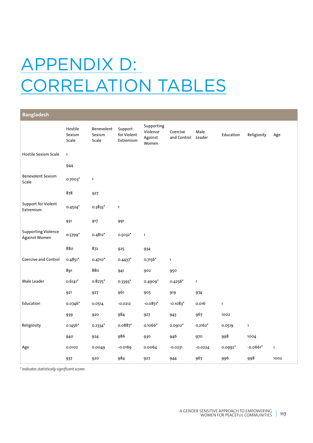### APPENDIX D: CORRELATION TABLES

| <b>Bangladesh</b>                           |                            |                               |                                     |                                            |                         |                |              |              |              |
|---------------------------------------------|----------------------------|-------------------------------|-------------------------------------|--------------------------------------------|-------------------------|----------------|--------------|--------------|--------------|
|                                             | Hostile<br>Sexism<br>Scale | Benevolent<br>Sexism<br>Scale | Support<br>for Violent<br>Extremism | Supporting<br>Violence<br>Against<br>Women | Coercive<br>and Control | Male<br>Leader | Education    | Religiosity  | Age          |
| Hostile Sexism Scale                        | $\mathbf{1}$               |                               |                                     |                                            |                         |                |              |              |              |
|                                             | 944                        |                               |                                     |                                            |                         |                |              |              |              |
| <b>Benevolent Sexism</b><br>Scale           | $0.7003*$                  | $\mathbf{1}$                  |                                     |                                            |                         |                |              |              |              |
|                                             | 878                        | 927                           |                                     |                                            |                         |                |              |              |              |
| <b>Support for Violent</b><br>Extremism     | $0.4524*$                  | $0.3833*$                     | $\mathbf{1}$                        |                                            |                         |                |              |              |              |
|                                             | 931                        | 917                           | 991                                 |                                            |                         |                |              |              |              |
| <b>Supporting Violence</b><br>Against Women | $0.5799*$                  | $0.4812*$                     | $0.5032*$                           | $\mathbf{1}$                               |                         |                |              |              |              |
|                                             | 880                        | 872                           | 925                                 | 934                                        |                         |                |              |              |              |
| Coercive and Control                        | $0.4851*$                  | $0.4710*$                     | $0.4437*$                           | $0.7156*$                                  | $\mathbf{1}$            |                |              |              |              |
|                                             | 891                        | 880                           | 941                                 | 902                                        | 950                     |                |              |              |              |
| Male Leader                                 | $0.6141*$                  | $0.8275$ *                    | 0.3393*                             | $0.4909*$                                  | $0.4256*$               | $\mathbf{1}$   |              |              |              |
|                                             | 921                        | 927                           | 961                                 | 905                                        | 919                     | 974            |              |              |              |
| Education                                   | 0.0746*                    | 0.0514                        | $-0.0212$                           | $-0.0851*$                                 | $-0.1083$ <sup>*</sup>  | 0.016          | $\mathbf{1}$ |              |              |
|                                             | 939                        | 920                           | 984                                 | 927                                        | 943                     | 967            | 1002         |              |              |
| Religiosity                                 | $0.1456*$                  | $0.2334*$                     | $0.0887$ *                          | 0.1066*                                    | $0.0910*$               | $0.2162*$      | 0.0519       | $\mathbf{1}$ |              |
|                                             | 940                        | 924                           | 986                                 | 930                                        | 946                     | 970            | 998          | 1004         |              |
| Age                                         | 0.0102                     | 0.0049                        | $-0.0169$                           | 0.0064                                     | $-0.0231$               | $-0.0224$      | 0.0992*      | $-0.0661*$   | $\mathbf{1}$ |
|                                             | 937                        | 920                           | 984                                 | 927                                        | 944                     | 967            | 996          | 998          | 1002         |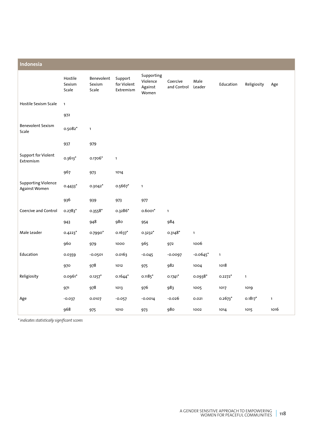| Indonesia                                   |                            |                               |                                     |                                            |                         |                |              |              |              |
|---------------------------------------------|----------------------------|-------------------------------|-------------------------------------|--------------------------------------------|-------------------------|----------------|--------------|--------------|--------------|
|                                             | Hostile<br>Sexism<br>Scale | Benevolent<br>Sexism<br>Scale | Support<br>for Violent<br>Extremism | Supporting<br>Violence<br>Against<br>Women | Coercive<br>and Control | Male<br>Leader | Education    | Religiosity  | Age          |
| Hostile Sexism Scale                        | $\mathbf{1}$               |                               |                                     |                                            |                         |                |              |              |              |
|                                             | 972                        |                               |                                     |                                            |                         |                |              |              |              |
| <b>Benevolent Sexism</b><br>Scale           | 0.5082*                    | $\mathbf{1}$                  |                                     |                                            |                         |                |              |              |              |
|                                             | 937                        | 979                           |                                     |                                            |                         |                |              |              |              |
| Support for Violent<br>Extremism            | $0.3613*$                  | $0.1706*$                     | $\mathbf{1}$                        |                                            |                         |                |              |              |              |
|                                             | 967                        | 973                           | 1014                                |                                            |                         |                |              |              |              |
| <b>Supporting Violence</b><br>Against Women | $0.4433*$                  | 0.3042*                       | $0.5667$ *                          | $\mathbf{1}$                               |                         |                |              |              |              |
|                                             | 936                        | 939                           | 973                                 | 977                                        |                         |                |              |              |              |
| Coercive and Control                        | $0.2783*$                  | $0.3558*$                     | 0.3286*                             | $0.6001*$                                  | $\mathbf{1}$            |                |              |              |              |
|                                             | 943                        | 948                           | 980                                 | 954                                        | 984                     |                |              |              |              |
| Male Leader                                 | $0.4223*$                  | 0.7990*                       | $0.1637*$                           | 0.3232*                                    | $0.3148*$               | $\mathbf{1}$   |              |              |              |
|                                             | 960                        | 979                           | 1000                                | 965                                        | 972                     | 1006           |              |              |              |
| Education                                   | 0.0359                     | $-0.0501$                     | 0.0163                              | $-0.045$                                   | $-0.0097$               | $-0.0645$ *    | $\mathbf{1}$ |              |              |
|                                             | 970                        | 978                           | 1012                                | 975                                        | 982                     | 1004           | 1018         |              |              |
| Religiosity                                 | 0.0961*                    | $0.1257$ <sup>*</sup>         | $0.1644*$                           | $0.1185*$                                  | $0.1741*$               | $0.0938*$      | $0.2272*$    | $\mathbf{1}$ |              |
|                                             | 971                        | 978                           | 1013                                | 976                                        | 983                     | 1005           | 1017         | 1019         |              |
| Age                                         | $-0.037$                   | 0.0107                        | $-0.057$                            | $-0.0014$                                  | $-0.026$                | 0.021          | $0.2673*$    | $0.1817*$    | $\mathbf{1}$ |
|                                             | 968                        | 975                           | 1010                                | 973                                        | <b>980</b>              | 1002           | 1014         | 1015         | 1016         |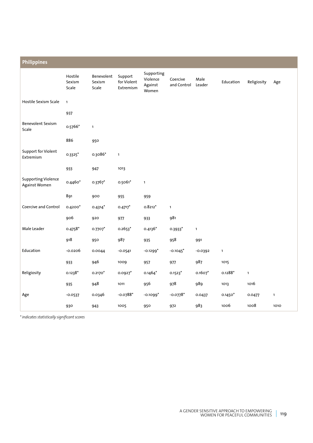| <b>Philippines</b>                          |                            |                               |                                     |                                            |                         |                |              |              |              |
|---------------------------------------------|----------------------------|-------------------------------|-------------------------------------|--------------------------------------------|-------------------------|----------------|--------------|--------------|--------------|
|                                             | Hostile<br>Sexism<br>Scale | Benevolent<br>Sexism<br>Scale | Support<br>for Violent<br>Extremism | Supporting<br>Violence<br>Against<br>Women | Coercive<br>and Control | Male<br>Leader | Education    | Religiosity  | Age          |
| Hostile Sexism Scale                        | $\mathbf{1}$               |                               |                                     |                                            |                         |                |              |              |              |
|                                             | 937                        |                               |                                     |                                            |                         |                |              |              |              |
| <b>Benevolent Sexism</b><br>Scale           | 0.5766*                    | $\mathbf{1}$                  |                                     |                                            |                         |                |              |              |              |
|                                             | 886                        | 950                           |                                     |                                            |                         |                |              |              |              |
| <b>Support for Violent</b><br>Extremism     | $0.3325$ *                 | 0.3086*                       | $\mathbf{1}$                        |                                            |                         |                |              |              |              |
|                                             | 933                        | 947                           | 1013                                |                                            |                         |                |              |              |              |
| <b>Supporting Violence</b><br>Against Women | 0.4460*                    | $0.3767*$                     | $0.5061*$                           | $\mathbf{1}$                               |                         |                |              |              |              |
|                                             | 891                        | 900                           | 955                                 | 959                                        |                         |                |              |              |              |
| Coercive and Control                        | $0.4200*$                  | $0.4314*$                     | $0.4717*$                           | $0.8212*$                                  | $\mathbf{1}$            |                |              |              |              |
|                                             | 906                        | 920                           | 977                                 | 933                                        | 981                     |                |              |              |              |
| Male Leader                                 | $0.4758*$                  | 0.7707*                       | $0.2653*$                           | $0.4136*$                                  | $0.3933*$               | $\mathbf{1}$   |              |              |              |
|                                             | 918                        | 950                           | 987                                 | 935                                        | 958                     | 991            |              |              |              |
| Education                                   | $-0.0206$                  | 0.0044                        | $-0.0541$                           | $-0.1299*$                                 | $-0.1045$ <sup>*</sup>  | $-0.0392$      | $\mathbf{1}$ |              |              |
|                                             | 933                        | 946                           | 1009                                | 957                                        | 977                     | 987            | 1015         |              |              |
| Religiosity                                 | $0.1238*$                  | $0.2170*$                     | $0.0927$ *                          | $0.1464*$                                  | $0.1523*$               | $0.1607*$      | $0.1288*$    | $\mathbf{1}$ |              |
|                                             | 935                        | 948                           | 1011                                | 956                                        | 978                     | 989            | 1013         | 1016         |              |
| Age                                         | $-0.0537$                  | 0.0346                        | $-0.0788*$                          | $-0.1099*$                                 | $-0.0778*$              | 0.0437         | $0.1450*$    | 0.0477       | $\mathbf{1}$ |
|                                             | 930                        | 943                           | 1005                                | 950                                        | 972                     | 983            | 1006         | 1008         | 1010         |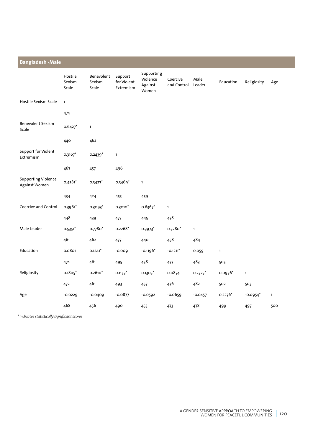| <b>Bangladesh - Male</b>                    |                            |                               |                                     |                                            |                         |                |              |                        |              |  |  |
|---------------------------------------------|----------------------------|-------------------------------|-------------------------------------|--------------------------------------------|-------------------------|----------------|--------------|------------------------|--------------|--|--|
|                                             | Hostile<br>Sexism<br>Scale | Benevolent<br>Sexism<br>Scale | Support<br>for Violent<br>Extremism | Supporting<br>Violence<br>Against<br>Women | Coercive<br>and Control | Male<br>Leader | Education    | Religiosity            | Age          |  |  |
| Hostile Sexism Scale                        | $\mathbf{1}$               |                               |                                     |                                            |                         |                |              |                        |              |  |  |
|                                             | 474                        |                               |                                     |                                            |                         |                |              |                        |              |  |  |
| <b>Benevolent Sexism</b><br>Scale           | $0.6427$ *                 | $\mathbf{1}$                  |                                     |                                            |                         |                |              |                        |              |  |  |
|                                             | 440                        | 462                           |                                     |                                            |                         |                |              |                        |              |  |  |
| Support for Violent<br>Extremism            | $0.3167*$                  | $0.2439*$                     | $\mathbf{1}$                        |                                            |                         |                |              |                        |              |  |  |
|                                             | 467                        | 457                           | 496                                 |                                            |                         |                |              |                        |              |  |  |
| <b>Supporting Violence</b><br>Against Women | $0.4381*$                  | $0.3427$ *                    | 0.3469*                             | $\mathbf{1}$                               |                         |                |              |                        |              |  |  |
|                                             | 434                        | 424                           | 455                                 | 459                                        |                         |                |              |                        |              |  |  |
| Coercive and Control                        | 0.3961*                    | 0.3093*                       | $0.3010*$                           | $0.6367*$                                  | $\mathbf{1}$            |                |              |                        |              |  |  |
|                                             | 448                        | 439                           | 473                                 | 445                                        | 478                     |                |              |                        |              |  |  |
| Male Leader                                 | $0.5351*$                  | 0.7780*                       | $0.2268*$                           | $0.3973*$                                  | 0.3280*                 | $\mathbf{1}$   |              |                        |              |  |  |
|                                             | 461                        | 462                           | 477                                 | 440                                        | 458                     | 484            |              |                        |              |  |  |
| Education                                   | 0.0801                     | $0.1241*$                     | $-0.009$                            | $-0.1196*$                                 | $-0.1211$ <sup>*</sup>  | 0.059          | $\mathbf{1}$ |                        |              |  |  |
|                                             | 474                        | 461                           | 495                                 | 458                                        | 477                     | 483            | 505          |                        |              |  |  |
| Religiosity                                 | $0.1805*$                  | $0.2610*$                     | $0.1153*$                           | 0.1305*                                    | 0.0874                  | $0.2325$ *     | 0.0936*      | $\mathbf{1}$           |              |  |  |
|                                             | 472                        | 461                           | 493                                 | 457                                        | 476                     | 482            | 502          | 503                    |              |  |  |
| Age                                         | $-0.0229$                  | $-0.0409$                     | $-0.0877$                           | $-0.0592$                                  | $-0.0659$               | $-0.0457$      | $0.2276*$    | $-0.0954$ <sup>*</sup> | $\mathbf{1}$ |  |  |
|                                             | 468                        | 456                           | 490                                 | 453                                        | 473                     | 478            | 499          | 497                    | 500          |  |  |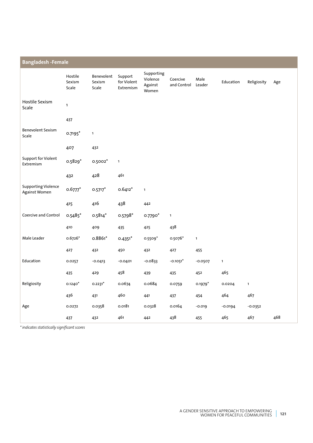| <b>Bangladesh -Female</b>                   |                            |                               |                                     |                                            |                         |                |              |              |     |  |  |
|---------------------------------------------|----------------------------|-------------------------------|-------------------------------------|--------------------------------------------|-------------------------|----------------|--------------|--------------|-----|--|--|
|                                             | Hostile<br>Sexism<br>Scale | Benevolent<br>Sexism<br>Scale | Support<br>for Violent<br>Extremism | Supporting<br>Violence<br>Against<br>Women | Coercive<br>and Control | Male<br>Leader | Education    | Religiosity  | Age |  |  |
| Hostile Sexism<br>Scale                     | $\mathbf{1}$               |                               |                                     |                                            |                         |                |              |              |     |  |  |
|                                             | 437                        |                               |                                     |                                            |                         |                |              |              |     |  |  |
| <b>Benevolent Sexism</b><br>Scale           | 0.7195*                    | $\mathbf{1}$                  |                                     |                                            |                         |                |              |              |     |  |  |
|                                             | 407                        | 432                           |                                     |                                            |                         |                |              |              |     |  |  |
| Support for Violent<br>Extremism            | $0.5829*$                  | 0.5002*                       | $\mathbf{1}$                        |                                            |                         |                |              |              |     |  |  |
|                                             | 432                        | 428                           | 461                                 |                                            |                         |                |              |              |     |  |  |
| <b>Supporting Violence</b><br>Against Women | $0.6777*$                  | $0.5717*$                     | $0.6412*$                           | $\mathbf{1}$                               |                         |                |              |              |     |  |  |
|                                             | 415                        | 416                           | 438                                 | 442                                        |                         |                |              |              |     |  |  |
| Coercive and Control                        | 0.5485*                    | $0.5814*$                     | $0.5798*$                           | 0.7790*                                    | $\mathbf 1$             |                |              |              |     |  |  |
|                                             | 410                        | 409                           | 435                                 | 425                                        | 438                     |                |              |              |     |  |  |
| Male Leader                                 | $0.6726*$                  | $0.8861*$                     | $0.4351*$                           | 0.5509*                                    | 0.5076*                 | $\mathbf{1}$   |              |              |     |  |  |
|                                             | 427                        | 432                           | 450                                 | 432                                        | 427                     | 455            |              |              |     |  |  |
| Education                                   | 0.0257                     | $-0.0413$                     | $-0.0401$                           | $-0.0833$                                  | $-0.1051$ <sup>*</sup>  | $-0.0507$      | $\mathbf{1}$ |              |     |  |  |
|                                             | 435                        | 429                           | 458                                 | 439                                        | 435                     | 452            | 465          |              |     |  |  |
| Religiosity                                 | $0.1240*$                  | $0.2231*$                     | 0.0674                              | 0.0684                                     | 0.0759                  | $0.1979*$      | 0.0204       | $\mathbf{1}$ |     |  |  |
|                                             | 436                        | 431                           | 460                                 | 441                                        | 437                     | 454            | 464          | 467          |     |  |  |
| Age                                         | 0.0272                     | 0.0358                        | 0.0181                              | 0.0328                                     | 0.0164                  | $-0.019$       | $-0.0194$    | $-0.0352$    |     |  |  |
|                                             | 437                        | 432                           | 461                                 | 442                                        | 438                     | 455            | 465          | 467          | 468 |  |  |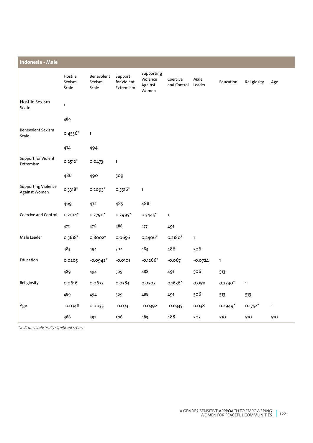| Indonesia - Male                            |                            |                               |                                     |                                            |                         |                |              |              |     |
|---------------------------------------------|----------------------------|-------------------------------|-------------------------------------|--------------------------------------------|-------------------------|----------------|--------------|--------------|-----|
|                                             | Hostile<br>Sexism<br>Scale | Benevolent<br>Sexism<br>Scale | Support<br>for Violent<br>Extremism | Supporting<br>Violence<br>Against<br>Women | Coercive<br>and Control | Male<br>Leader | Education    | Religiosity  | Age |
| Hostile Sexism<br>Scale                     | $\mathbf{1}$               |                               |                                     |                                            |                         |                |              |              |     |
|                                             | 489                        |                               |                                     |                                            |                         |                |              |              |     |
| <b>Benevolent Sexism</b><br>Scale           | $0.4536*$                  | $\mathbf{1}$                  |                                     |                                            |                         |                |              |              |     |
|                                             | 474                        | 494                           |                                     |                                            |                         |                |              |              |     |
| Support for Violent<br>Extremism            | $0.2512*$                  | 0.0473                        | $\mathbf{1}$                        |                                            |                         |                |              |              |     |
|                                             | 486                        | 490                           | 509                                 |                                            |                         |                |              |              |     |
| <b>Supporting Violence</b><br>Against Women | $0.3318*$                  | 0.2093*                       | $0.5516*$                           | $\mathbf 1$                                |                         |                |              |              |     |
|                                             | 469                        | 472                           | 485                                 | 488                                        |                         |                |              |              |     |
| Coercive and Control                        | $0.2104*$                  | 0.2790*                       | 0.2995*                             | $0.5445*$                                  | $\mathbf{1}$            |                |              |              |     |
|                                             | 472                        | 476                           | 488                                 | 477                                        | 491                     |                |              |              |     |
| Male Leader                                 | $0.3618*$                  | $0.8002*$                     | 0.0656                              | $0.2406*$                                  | $0.2180*$               | $\mathbf{1}$   |              |              |     |
|                                             | 483                        | 494                           | 502                                 | 483                                        | 486                     | 506            |              |              |     |
| Education                                   | 0.0205                     | $-0.0942*$                    | $-0.0101$                           | $-0.1266*$                                 | $-0.067$                | $-0.0724$      | $\mathbf{1}$ |              |     |
|                                             | 489                        | 494                           | 509                                 | 488                                        | 491                     | 506            | 513          |              |     |
| Religiosity                                 | 0.0616                     | 0.0672                        | 0.0383                              | 0.0502                                     | $0.1636*$               | 0.0511         | $0.2240*$    | $\mathbf{1}$ |     |
|                                             | 489                        | 494                           | 509                                 | 488                                        | 491                     | 506            | 513          | 513          |     |
| Age                                         | $-0.0748$                  | 0.0035                        | $-0.073$                            | $-0.0392$                                  | $-0.0335$               | 0.038          | $0.2949*$    | $0.1752*$    | 1   |
|                                             | 486                        | 491                           | 506                                 | 485                                        | 488                     | 503            | 510          | 510          | 510 |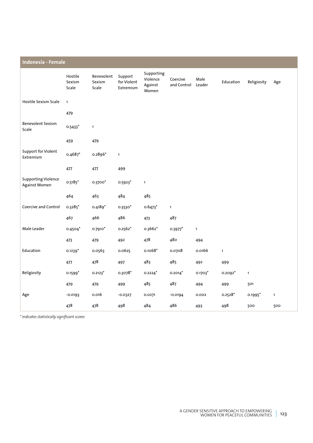| Indonesia - Female                          |                            |                               |                                     |                                            |                         |                |              |              |              |  |  |
|---------------------------------------------|----------------------------|-------------------------------|-------------------------------------|--------------------------------------------|-------------------------|----------------|--------------|--------------|--------------|--|--|
|                                             | Hostile<br>Sexism<br>Scale | Benevolent<br>Sexism<br>Scale | Support<br>for Violent<br>Extremism | Supporting<br>Violence<br>Against<br>Women | Coercive<br>and Control | Male<br>Leader | Education    | Religiosity  | Age          |  |  |
| Hostile Sexism Scale                        | $\mathbf{1}$               |                               |                                     |                                            |                         |                |              |              |              |  |  |
|                                             | 479                        |                               |                                     |                                            |                         |                |              |              |              |  |  |
| <b>Benevolent Sexism</b><br>Scale           | $0.5433*$                  | $\mathbf{1}$                  |                                     |                                            |                         |                |              |              |              |  |  |
|                                             | 459                        | 479                           |                                     |                                            |                         |                |              |              |              |  |  |
| Support for Violent<br>Extremism            | $0.4687*$                  | $0.2896*$                     | $\mathbf{1}$                        |                                            |                         |                |              |              |              |  |  |
|                                             | 477                        | 477                           | 499                                 |                                            |                         |                |              |              |              |  |  |
| <b>Supporting Violence</b><br>Against Women | $0.5185*$                  | 0.3700*                       | $0.5923$ *                          | $\mathbf{1}$                               |                         |                |              |              |              |  |  |
|                                             | 464                        | 463                           | 484                                 | 485                                        |                         |                |              |              |              |  |  |
| Coercive and Control                        | 0.3285*                    | $0.4189*$                     | $0.3530*$                           | $0.6473*$                                  | $\mathbf{1}$            |                |              |              |              |  |  |
|                                             | 467                        | 466                           | 486                                 | 473                                        | 487                     |                |              |              |              |  |  |
| Male Leader                                 | $0.4504*$                  | 0.7910*                       | $0.2562*$                           | 0.3662*                                    | 0.3977                  | $\mathbf{1}$   |              |              |              |  |  |
|                                             | 473                        | 479                           | 492                                 | 478                                        | 480                     | 494            |              |              |              |  |  |
| Education                                   | $0.1239*$                  | 0.0563                        | 0.0625                              | $0.1068*$                                  | 0.0708                  | 0.0166         | $\mathbf{1}$ |              |              |  |  |
|                                             | 477                        | 478                           | 497                                 | 483                                        | 485                     | 492            | 499          |              |              |  |  |
| Religiosity                                 | $0.1599*$                  | $0.2123*$                     | 0.3078*                             | $0.2224$ <sup>*</sup>                      | $0.2014$ <sup>*</sup>   | $0.1703*$      | $0.2092*$    | $\mathbf{1}$ |              |  |  |
|                                             | 479                        | 479                           | 499                                 | 485                                        | 487                     | 494            | 499          | 501          |              |  |  |
| Age                                         | $-0.0193$                  | 0.016                         | $-0.0327$                           | 0.0271                                     | $-0.0194$               | 0.002          | $0.2528*$    | 0.1995*      | $\mathbf{1}$ |  |  |
|                                             | 478                        | 478                           | 498                                 | 484                                        | 486                     | 493            | 498          | 500          | 500          |  |  |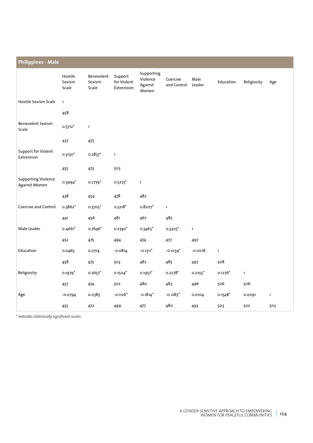| <b>Philippines - Male</b>                   |                            |                               |                                     |                                            |                         |                       |              |              |              |  |  |
|---------------------------------------------|----------------------------|-------------------------------|-------------------------------------|--------------------------------------------|-------------------------|-----------------------|--------------|--------------|--------------|--|--|
|                                             | Hostile<br>Sexism<br>Scale | Benevolent<br>Sexism<br>Scale | Support<br>for Violent<br>Extremism | Supporting<br>Violence<br>Against<br>Women | Coercive<br>and Control | Male<br>Leader        | Education    | Religiosity  | Age          |  |  |
| Hostile Sexism Scale                        | $\mathbf{1}$               |                               |                                     |                                            |                         |                       |              |              |              |  |  |
|                                             | 458                        |                               |                                     |                                            |                         |                       |              |              |              |  |  |
| <b>Benevolent Sexism</b><br>Scale           | $0.5712*$                  | $\mathbf{1}$                  |                                     |                                            |                         |                       |              |              |              |  |  |
|                                             | 437                        | 475                           |                                     |                                            |                         |                       |              |              |              |  |  |
| Support for Violent<br>Extremism            | $0.3130*$                  | $0.2837$ *                    | $\mathbf{1}$                        |                                            |                         |                       |              |              |              |  |  |
|                                             | 455                        | 473                           | 503                                 |                                            |                         |                       |              |              |              |  |  |
| <b>Supporting Violence</b><br>Against Women | 0.3994*                    | $0.2779*$                     | $0.5273$ *                          | $\mathbf{1}$                               |                         |                       |              |              |              |  |  |
|                                             | 438                        | 454                           | 478                                 | 482                                        |                         |                       |              |              |              |  |  |
| Coercive and Control                        | 0.3862*                    | 0.3705*                       | $0.5218*$                           | $0.8207$ *                                 | $\mathbf{1}$            |                       |              |              |              |  |  |
|                                             | 441                        | 456                           | 481                                 | 467                                        | 485                     |                       |              |              |              |  |  |
| Male Leader                                 | $0.4661*$                  | 0.7646*                       | $0.2740*$                           | 0.3463*                                    | 0.3305*                 | $\mathbf{1}$          |              |              |              |  |  |
|                                             | 452                        | 475                           | 494                                 | 474                                        | 477                     | 497                   |              |              |              |  |  |
| Education                                   | 0.0465                     | 0.0714                        | $-0.0814$                           | $-0.1311$ <sup>*</sup>                     | $-0.1039*$              | $-0.0018$             | $\mathbf{1}$ |              |              |  |  |
|                                             | 458                        | 475                           | 503                                 | 482                                        | 485                     | 497                   | 508          |              |              |  |  |
| Religiosity                                 | $0.1979*$                  | $0.2657*$                     | $0.1504*$                           | $0.1957$ *                                 | $0.2278*$               | $0.2255$ <sup>*</sup> | $0.1276*$    | $\mathbf{1}$ |              |  |  |
|                                             | 457                        | 474                           | 502                                 | 480                                        | 483                     | 496                   | 506          | 506          |              |  |  |
| Age                                         | $-0.0794$                  | 0.0385                        | $-0.1126*$                          | $-0.1814*$                                 | $-0.1285$ <sup>*</sup>  | 0.0104                | $0.1548*$    | 0.0091       | $\mathbf{1}$ |  |  |
|                                             | 455                        | 472                           | 499                                 | 477                                        | 480                     | 493                   | 503          | 502          | 503          |  |  |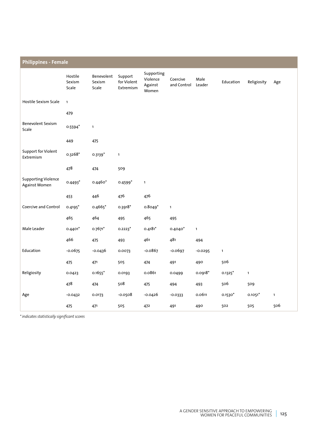| <b>Philippines - Female</b>                 |                            |                               |                                     |                                            |                         |                |                       |              |              |
|---------------------------------------------|----------------------------|-------------------------------|-------------------------------------|--------------------------------------------|-------------------------|----------------|-----------------------|--------------|--------------|
|                                             | Hostile<br>Sexism<br>Scale | Benevolent<br>Sexism<br>Scale | Support<br>for Violent<br>Extremism | Supporting<br>Violence<br>Against<br>Women | Coercive<br>and Control | Male<br>Leader | Education             | Religiosity  | Age          |
| Hostile Sexism Scale                        | $\mathbf{1}$               |                               |                                     |                                            |                         |                |                       |              |              |
|                                             | 479                        |                               |                                     |                                            |                         |                |                       |              |              |
| <b>Benevolent Sexism</b><br>Scale           | $0.5594*$                  | $\mathbf{1}$                  |                                     |                                            |                         |                |                       |              |              |
|                                             | 449                        | 475                           |                                     |                                            |                         |                |                       |              |              |
| <b>Support for Violent</b><br>Extremism     | 0.3268*                    | $0.3139*$                     | $\mathbf{1}$                        |                                            |                         |                |                       |              |              |
|                                             | 478                        | 474                           | 509                                 |                                            |                         |                |                       |              |              |
| <b>Supporting Violence</b><br>Against Women | $0.4493*$                  | 0.4460*                       | $0.4599*$                           | $\mathbf{1}$                               |                         |                |                       |              |              |
|                                             | 453                        | 446                           | 476                                 | 476                                        |                         |                |                       |              |              |
| Coercive and Control                        | $0.4195*$                  | 0.4665*                       | $0.3918*$                           | $0.8049*$                                  | $\mathbf{1}$            |                |                       |              |              |
|                                             | 465                        | 464                           | 495                                 | 465                                        | 495                     |                |                       |              |              |
| Male Leader                                 | $0.4401*$                  | $0.7671*$                     | $0.2223$ <sup>*</sup>               | $0.4181*$                                  | $0.4040*$               | $\mathbf{1}$   |                       |              |              |
|                                             | 466                        | 475                           | 493                                 | 461                                        | 481                     | 494            |                       |              |              |
| Education                                   | $-0.0675$                  | $-0.0436$                     | 0.0073                              | $-0.0867$                                  | $-0.0697$               | $-0.0295$      | $\mathbf 1$           |              |              |
|                                             | 475                        | 471                           | 505                                 | 474                                        | 491                     | 490            | 506                   |              |              |
| Religiosity                                 | 0.0423                     | $0.1655*$                     | 0.0193                              | 0.0861                                     | 0.0499                  | $0.0918*$      | $0.1325$ <sup>*</sup> | $\mathbf{1}$ |              |
|                                             | 478                        | 474                           | 508                                 | 475                                        | 494                     | 493            | 506                   | 509          |              |
| Age                                         | $-0.0432$                  | 0.0173                        | $-0.0508$                           | -0.0426                                    | $-0.0333$               | 0.0611         | $0.1530*$             | $0.1051*$    | $\mathbf{1}$ |
|                                             | 475                        | 471                           | 505                                 | 472                                        | 491                     | 490            | 502                   | 505          | 506          |